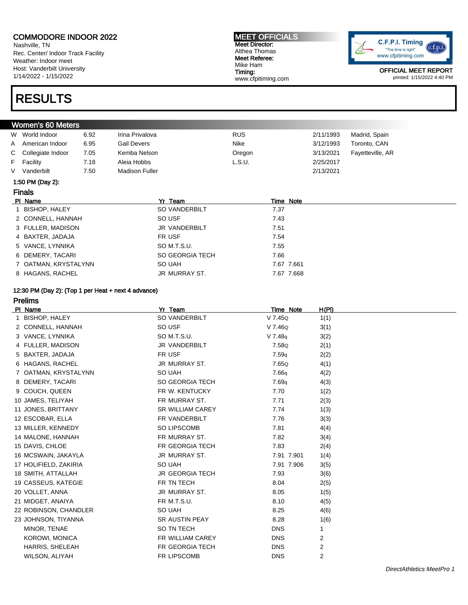Nashville, TN Rec. Center/ Indoor Track Facility Weather: Indoor meet Host: Vanderbilt University 1/14/2022 - 1/15/2022

### RESULTS

Women's 60 Meters

#### MEET OFFICIALS Meet Director: Althea Thomas Meet Referee: Mike Ham Timing: www.cfpitiming.com



OFFICIAL MEET REPORT printed: 1/15/2022 4:40 PM

| W World Indoor      | 6.92 | Irina Privalova       | <b>RUS</b> | 2/11/1993 | Madrid, Spain    |
|---------------------|------|-----------------------|------------|-----------|------------------|
| A American Indoor   | 6.95 | Gail Devers           | Nike       | 3/12/1993 | Toronto, CAN     |
| C Collegiate Indoor | 7.05 | Kemba Nelson          | Oregon     | 3/13/2021 | Fayetteville, AR |
| F Facilitv          | 7.18 | Aleia Hobbs           | L.S.U.     | 2/25/2017 |                  |
| Vanderbilt          | 7.50 | <b>Madison Fuller</b> |            | 2/13/2021 |                  |

#### 1:50 PM (Day 2):

#### Finals

| PI Name              | Yr Team                | Time Note  |
|----------------------|------------------------|------------|
| 1 BISHOP, HALEY      | SO VANDERBILT          | 7.37       |
| 2 CONNELL, HANNAH    | SO USF                 | 7.43       |
| 3 FULLER, MADISON    | <b>JR VANDERBILT</b>   | 7.51       |
| 4 BAXTER, JADAJA     | FR USF                 | 7.54       |
| 5 VANCE, LYNNIKA     | SO M.T.S.U.            | 7.55       |
| 6 DEMERY, TACARI     | <b>SO GEORGIA TECH</b> | 7.66       |
| 7 OATMAN, KRYSTALYNN | SO UAH                 | 7.67 7.661 |
| 8 HAGANS, RACHEL     | <b>JR MURRAY ST.</b>   | 7.67 7.668 |

12:30 PM (Day 2): (Top 1 per Heat + next 4 advance) Prelims PI Name **Yr Team You Time Note** H(PI) 1 BISHOP, HALEY SO VANDERBILT V 7.45Q 1(1) 2 CONNELL, HANNAH SO USF V 7.46Q 3(1) 3 VANCE, LYNNIKA SO M.T.S.U. V 7.48q 3(2) 4 FULLER, MADISON JR VANDERBILT 7.58Q 2(1) 5 BAXTER, JADAJA FR USF 7.59q 2(2) 6 HAGANS, RACHEL JR MURRAY ST. 7.65Q 4(1) 7 OATMAN, KRYSTALYNN SO UAH 7.66q 4(2) 8 DEMERY, TACARI SO GEORGIA TECH 7.69q 4(3) 9 COUCH, QUEEN FR W. KENTUCKY 7.70 1(2) 10 JAMES, TELIYAH FR MURRAY ST. 2(3) 11 JONES, BRITTANY **SR WILLIAM CAREY** 7.74 1(3) 12 ESCOBAR, ELLA FR VANDERBILT 7.76 3(3) 13 MILLER, KENNEDY SO LIPSCOMB 7.81 4(4) 14 MALONE, HANNAH **FR MURRAY ST.** 7.82 3(4) 15 DAVIS, CHLOE **FR GEORGIA TECH** 7.83 2(4) 16 MCSWAIN, JAKAYLA JR MURRAY ST. 7.91 7.901 1(4) 17 HOLIFIELD, ZAKIRIA SO UAH 7.91 7.906 3(5) 18 SMITH, ATTALLAH JR GEORGIA TECH 7.93 3(6) 19 CASSEUS, KATEGIE FR TN TECH 8.04 2(5) 20 VOLLET, ANNA 151 1(5) 20 VOLLET, ANNA 1(5) 21 MIDGET, ANAIYA FR M.T.S.U. 8.10 4(5) 22 ROBINSON, CHANDLER SO UAH 8.25 4(6) 23 JOHNSON, TIYANNA SR AUSTIN PEAY 8.28 1(6) MINOR, TENAE SO TN TECH DNS 1 KOROWI, MONICA **FR WILLIAM CAREY** DNS 2 HARRIS, SHELEAH FR GEORGIA TECH DNS 2 WILSON, ALIYAH DISCOND FR LIPSCOMB DISCOMB DirectAthletics MeetPro 1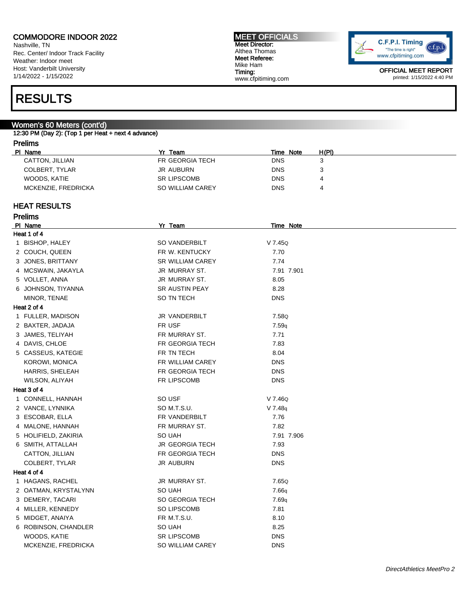Nashville, TN Rec. Center/ Indoor Track Facility Weather: Indoor meet Host: Vanderbilt University 1/14/2022 - 1/15/2022

### RESULTS

#### Women's 60 Meters (cont'd)

12:30 PM (Day 2): (Top 1 per Heat + next 4 advance)

#### Prelims

| PI Name             | Yr Team                 | Time Note | H(PI) |
|---------------------|-------------------------|-----------|-------|
| CATTON, JILLIAN     | FR GEORGIA TECH         | DNS       |       |
| COLBERT, TYLAR      | JR AUBURN               | DNS       |       |
| WOODS, KATIE        | <b>SR LIPSCOMB</b>      | DNS       | 4     |
| MCKENZIE, FREDRICKA | <b>SO WILLIAM CAREY</b> | DNS       | 4     |

#### HEAT RESULTS

| elın<br>Ľ |
|-----------|
|-----------|

| PI Name              | Yr Team                 | Time Note    |
|----------------------|-------------------------|--------------|
| Heat 1 of 4          |                         |              |
| 1 BISHOP, HALEY      | SO VANDERBILT           | V 7.45Q      |
| 2 COUCH, QUEEN       | FR W. KENTUCKY          | 7.70         |
| 3 JONES, BRITTANY    | <b>SR WILLIAM CAREY</b> | 7.74         |
| 4 MCSWAIN, JAKAYLA   | JR MURRAY ST.           | 7.91 7.901   |
| 5 VOLLET, ANNA       | JR MURRAY ST.           | 8.05         |
| 6 JOHNSON, TIYANNA   | SR AUSTIN PEAY          | 8.28         |
| MINOR, TENAE         | SO TN TECH              | <b>DNS</b>   |
| Heat 2 of 4          |                         |              |
| 1 FULLER, MADISON    | JR VANDERBILT           | 7.58Q        |
| 2 BAXTER, JADAJA     | FR USF                  | 7.59q        |
| 3 JAMES, TELIYAH     | FR MURRAY ST.           | 7.71         |
| 4 DAVIS, CHLOE       | FR GEORGIA TECH         | 7.83         |
| 5 CASSEUS, KATEGIE   | FR TN TECH              | 8.04         |
| KOROWI, MONICA       | FR WILLIAM CAREY        | <b>DNS</b>   |
| HARRIS, SHELEAH      | FR GEORGIA TECH         | <b>DNS</b>   |
| WILSON, ALIYAH       | FR LIPSCOMB             | <b>DNS</b>   |
| Heat 3 of 4          |                         |              |
| 1 CONNELL, HANNAH    | SO USF                  | V 7.46Q      |
| 2 VANCE, LYNNIKA     | SO M.T.S.U.             | $V$ 7.48 $q$ |
| 3 ESCOBAR, ELLA      | FR VANDERBILT           | 7.76         |
| 4 MALONE, HANNAH     | FR MURRAY ST.           | 7.82         |
| 5 HOLIFIELD, ZAKIRIA | SO UAH                  | 7.91 7.906   |
| 6 SMITH, ATTALLAH    | <b>JR GEORGIA TECH</b>  | 7.93         |
| CATTON, JILLIAN      | FR GEORGIA TECH         | <b>DNS</b>   |
| COLBERT, TYLAR       | JR AUBURN               | <b>DNS</b>   |
| Heat 4 of 4          |                         |              |
| 1 HAGANS, RACHEL     | JR MURRAY ST.           | 7.65Q        |
| 2 OATMAN, KRYSTALYNN | SO UAH                  | 7.66q        |
| 3 DEMERY, TACARI     | SO GEORGIA TECH         | 7.69q        |
| 4 MILLER, KENNEDY    | SO LIPSCOMB             | 7.81         |
| 5 MIDGET, ANAIYA     | FR M.T.S.U.             | 8.10         |
| 6 ROBINSON, CHANDLER | SO UAH                  | 8.25         |
| WOODS, KATIE         | <b>SR LIPSCOMB</b>      | <b>DNS</b>   |
| MCKENZIE, FREDRICKA  | SO WILLIAM CAREY        | <b>DNS</b>   |
|                      |                         |              |

MEET OFFICIALS Meet Director: Althea Thomas Meet Referee: Mike Ham Timing: www.cfpitiming.com

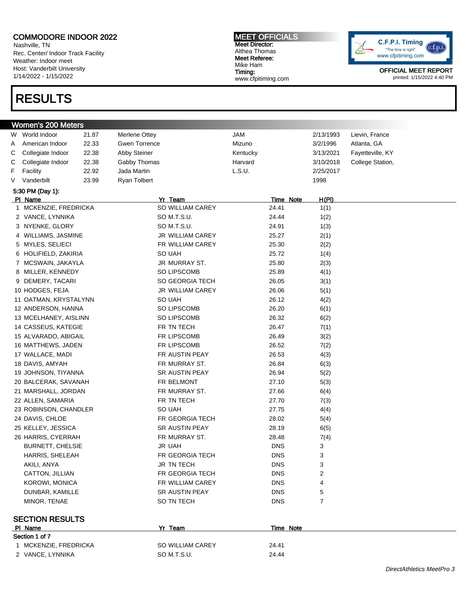Nashville, TN Rec. Center/ Indoor Track Facility Weather: Indoor meet Host: Vanderbilt University 1/14/2022 - 1/15/2022

## RESULTS

MEET OFFICIALS Meet Director: Althea Thomas Meet Referee: Mike Ham Timing: www.cfpitiming.com



|   | <b>Women's 200 Meters</b>         |       |                       |            |                |                  |
|---|-----------------------------------|-------|-----------------------|------------|----------------|------------------|
| W | World Indoor                      | 21.87 | Merlene Ottey         | <b>JAM</b> | 2/13/1993      | Lievin, France   |
| Α | American Indoor                   | 22.33 | <b>Gwen Torrence</b>  | Mizuno     | 3/2/1996       | Atlanta, GA      |
| С | Collegiate Indoor                 | 22.38 | Abby Steiner          | Kentucky   | 3/13/2021      | Fayetteville, KY |
| С | Collegiate Indoor                 | 22.38 | Gabby Thomas          | Harvard    | 3/10/2018      | College Station, |
| F | Facility                          | 22.92 | Jada Martin           | L.S.U.     | 2/25/2017      |                  |
| V | Vanderbilt                        | 23.99 | Ryan Tolbert          |            | 1998           |                  |
|   | 5:30 PM (Day 1):                  |       |                       |            |                |                  |
|   | PI Name                           |       | Yr Team               | Time Note  | H(PI)          |                  |
|   | 1 MCKENZIE, FREDRICKA             |       | SO WILLIAM CAREY      | 24.41      | 1(1)           |                  |
|   | 2 VANCE, LYNNIKA                  |       | SO M.T.S.U.           | 24.44      | 1(2)           |                  |
|   | 3 NYENKE, GLORY                   |       | SO M.T.S.U.           | 24.91      | 1(3)           |                  |
| 4 | WILLIAMS, JASMINE                 |       | JR WILLIAM CAREY      | 25.27      | 2(1)           |                  |
|   | 5 MYLES, SELIECI                  |       | FR WILLIAM CAREY      | 25.30      | 2(2)           |                  |
| 6 | HOLIFIELD, ZAKIRIA                |       | SO UAH                | 25.72      | 1(4)           |                  |
| 7 | MCSWAIN, JAKAYLA                  |       | JR MURRAY ST.         | 25.80      | 2(3)           |                  |
| 8 | MILLER, KENNEDY                   |       | SO LIPSCOMB           | 25.89      | 4(1)           |                  |
| 9 | DEMERY, TACARI                    |       | SO GEORGIA TECH       | 26.05      |                |                  |
|   | 10 HODGES, FEJA                   |       | JR WILLIAM CAREY      | 26.06      | 3(1)           |                  |
|   |                                   |       | SO UAH                |            | 5(1)           |                  |
|   | 11 OATMAN, KRYSTALYNN             |       |                       | 26.12      | 4(2)           |                  |
|   | 12 ANDERSON, HANNA                |       | SO LIPSCOMB           | 26.20      | 6(1)           |                  |
|   | 13 MCELHANEY, AISLINN             |       | SO LIPSCOMB           | 26.32      | 6(2)           |                  |
|   | 14 CASSEUS, KATEGIE               |       | FR TN TECH            | 26.47      | 7(1)           |                  |
|   | 15 ALVARADO, ABIGAIL              |       | FR LIPSCOMB           | 26.49      | 3(2)           |                  |
|   | 16 MATTHEWS, JADEN                |       | FR LIPSCOMB           | 26.52      | 7(2)           |                  |
|   | 17 WALLACE, MADI                  |       | FR AUSTIN PEAY        | 26.53      | 4(3)           |                  |
|   | 18 DAVIS, AMYAH                   |       | FR MURRAY ST.         | 26.84      | 6(3)           |                  |
|   | 19 JOHNSON, TIYANNA               |       | <b>SR AUSTIN PEAY</b> | 26.94      | 5(2)           |                  |
|   | 20 BALCERAK, SAVANAH              |       | FR BELMONT            | 27.10      | 5(3)           |                  |
|   | 21 MARSHALL, JORDAN               |       | FR MURRAY ST.         | 27.66      | 6(4)           |                  |
|   | 22 ALLEN, SAMARIA                 |       | FR TN TECH            | 27.70      | 7(3)           |                  |
|   | 23 ROBINSON, CHANDLER             |       | SO UAH                | 27.75      | 4(4)           |                  |
|   | 24 DAVIS, CHLOE                   |       | FR GEORGIA TECH       | 28.02      | 5(4)           |                  |
|   | 25 KELLEY, JESSICA                |       | SR AUSTIN PEAY        | 28.19      | 6(5)           |                  |
|   | 26 HARRIS, CYERRAH                |       | FR MURRAY ST.         | 28.48      | 7(4)           |                  |
|   | <b>BURNETT, CHELSIE</b>           |       | <b>JR UAH</b>         | <b>DNS</b> | 3              |                  |
|   | <b>HARRIS, SHELEAH</b>            |       | FR GEORGIA TECH       | <b>DNS</b> | 3              |                  |
|   | AKILI, ANYA                       |       | JR TN TECH            | <b>DNS</b> | 3              |                  |
|   | CATTON, JILLIAN                   |       | FR GEORGIA TECH       | <b>DNS</b> | 2              |                  |
|   | KOROWI, MONICA                    |       | FR WILLIAM CAREY      | <b>DNS</b> | 4              |                  |
|   | DUNBAR, KAMILLE                   |       | <b>SR AUSTIN PEAY</b> | <b>DNS</b> | 5              |                  |
|   | MINOR, TENAE                      |       | SO TN TECH            | <b>DNS</b> | $\overline{7}$ |                  |
|   |                                   |       |                       |            |                |                  |
|   | <b>SECTION RESULTS</b><br>PI Name |       | Yr Team               | Time Note  |                |                  |
|   | Section 1 of 7                    |       |                       |            |                |                  |
|   | 1 MCKENZIE, FREDRICKA             |       | SO WILLIAM CAREY      | 24.41      |                |                  |
|   | 2 VANCE, LYNNIKA                  |       | SO M.T.S.U.           | 24.44      |                |                  |
|   |                                   |       |                       |            |                |                  |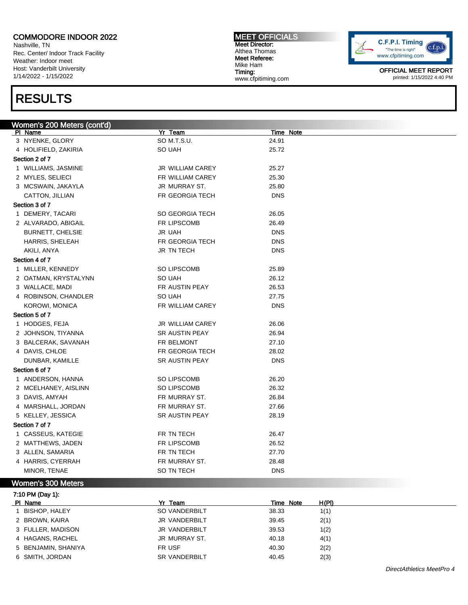Nashville, TN Rec. Center/ Indoor Track Facility Weather: Indoor meet Host: Vanderbilt University 1/14/2022 - 1/15/2022

### RESULTS

MEET OFFICIALS Meet Director: Althea Thomas Meet Referee: Mike Ham Timing: www.cfpitiming.com



OFFICIAL MEET REPORT printed: 1/15/2022 4:40 PM

| Women's 200 Meters (cont'd) |                         |                    |  |
|-----------------------------|-------------------------|--------------------|--|
| PI Name                     | Yr Team                 | Time Note          |  |
| 3 NYENKE, GLORY             | SO M.T.S.U.             | 24.91              |  |
| 4 HOLIFIELD, ZAKIRIA        | SO UAH                  | 25.72              |  |
| Section 2 of 7              |                         |                    |  |
| 1 WILLIAMS, JASMINE         | <b>JR WILLIAM CAREY</b> | 25.27              |  |
| 2 MYLES, SELIECI            | FR WILLIAM CAREY        | 25.30              |  |
| 3 MCSWAIN, JAKAYLA          | JR MURRAY ST.           | 25.80              |  |
| CATTON, JILLIAN             | FR GEORGIA TECH         | <b>DNS</b>         |  |
| Section 3 of 7              |                         |                    |  |
| 1 DEMERY, TACARI            | SO GEORGIA TECH         | 26.05              |  |
| 2 ALVARADO, ABIGAIL         | FR LIPSCOMB             | 26.49              |  |
| <b>BURNETT, CHELSIE</b>     | JR UAH                  | <b>DNS</b>         |  |
| HARRIS, SHELEAH             | FR GEORGIA TECH         | <b>DNS</b>         |  |
| AKILI, ANYA                 | <b>JR TN TECH</b>       | <b>DNS</b>         |  |
| Section 4 of 7              |                         |                    |  |
| 1 MILLER, KENNEDY           | SO LIPSCOMB             | 25.89              |  |
| 2 OATMAN, KRYSTALYNN        | SO UAH                  | 26.12              |  |
| 3 WALLACE, MADI             | FR AUSTIN PEAY          | 26.53              |  |
| 4 ROBINSON, CHANDLER        | SO UAH                  | 27.75              |  |
| KOROWI, MONICA              | FR WILLIAM CAREY        | <b>DNS</b>         |  |
| Section 5 of 7              |                         |                    |  |
| 1 HODGES, FEJA              | <b>JR WILLIAM CAREY</b> | 26.06              |  |
| 2 JOHNSON, TIYANNA          | SR AUSTIN PEAY          | 26.94              |  |
| 3 BALCERAK, SAVANAH         | FR BELMONT              | 27.10              |  |
| 4 DAVIS, CHLOE              | FR GEORGIA TECH         | 28.02              |  |
| DUNBAR, KAMILLE             | SR AUSTIN PEAY          | <b>DNS</b>         |  |
| Section 6 of 7              |                         |                    |  |
| 1 ANDERSON, HANNA           | <b>SO LIPSCOMB</b>      | 26.20              |  |
| 2 MCELHANEY, AISLINN        | SO LIPSCOMB             | 26.32              |  |
| 3 DAVIS, AMYAH              | FR MURRAY ST.           | 26.84              |  |
| 4 MARSHALL, JORDAN          | FR MURRAY ST.           | 27.66              |  |
| 5 KELLEY, JESSICA           | SR AUSTIN PEAY          | 28.19              |  |
| Section 7 of 7              |                         |                    |  |
| 1 CASSEUS, KATEGIE          | FR TN TECH              | 26.47              |  |
| 2 MATTHEWS, JADEN           | FR LIPSCOMB             | 26.52              |  |
| 3 ALLEN, SAMARIA            | FR TN TECH              | 27.70              |  |
| 4 HARRIS, CYERRAH           | FR MURRAY ST.           | 28.48              |  |
| MINOR, TENAE                | SO TN TECH              | <b>DNS</b>         |  |
| Women's 300 Meters          |                         |                    |  |
| 7:10 PM (Day 1):            |                         |                    |  |
| PI Name                     | Yr_Team                 | H(PI)<br>Time Note |  |
| 1 BISHOP, HALEY             | SO VANDERBILT           | 38.33<br>1(1)      |  |
| 2 BROWN, KAIRA              | JR VANDERBILT           | 2(1)<br>39.45      |  |

3 FULLER, MADISON JR VANDERBILT 39.53 1(2) 4 HAGANS, RACHEL 3 1 JR MURRAY ST. 40.18 4(1) 5 BENJAMIN, SHANIYA FR USF 40.30 2(2)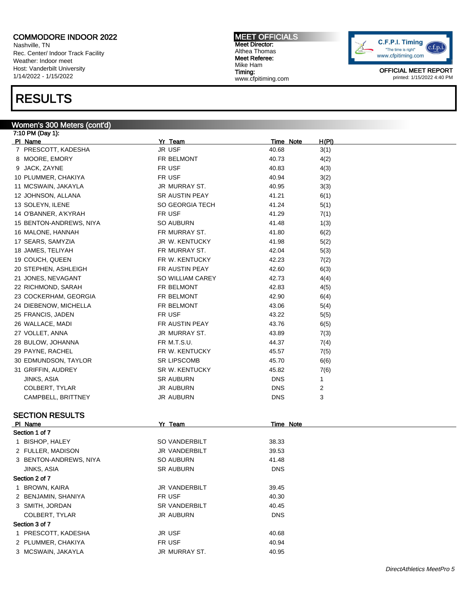Nashville, TN Rec. Center/ Indoor Track Facility Weather: Indoor meet Host: Vanderbilt University 1/14/2022 - 1/15/2022

### RESULTS

#### Women's 300 Meters (cont'd)

7:10 PM (Day 1): Pl Name Yr Team Time Note H(Pl) 7 PRESCOTT, KADESHA JR USF 1999 CONTROLLER AND THE MESSENGER OF THE MESSENGER AND HE WAS ARRESTED FOR A 40.68 8 MOORE, EMORY **EXAMPLE 10** FR BELMONT 40.73 40.73 4(2) 9 JACK, ZAYNE FR USF 40.83 4(3) 10 PLUMMER, CHAKIYA FR USF FR USF 40.94 3(2) 11 MCSWAIN, JAKAYLA JR MURRAY ST. 40.95 3(3) 12 JOHNSON, ALLANA 6(1) SR AUSTIN PEAY 41.21 6(1) 13 SOLEYN, ILENE 6(1) SO GEORGIA TECH 41.24 5(1) 14 O'BANNER, A'KYRAH FR USF FR USF 41.29 41.29 7(1) 15 BENTON-ANDREWS, NIYA SO AUBURN 41.48 41.48 1(3) 16 MALONE, HANNAH FR MURRAY ST. 41.80 6(2) 17 SEARS, SAMYZIA 1998 1999 JR W. KENTUCKY 1999 11.98 5(2) 18 JAMES, TELIYAH FR MURRAY ST. 42.04 5(3) 19 COUCH, QUEEN FR W. KENTUCKY 42.23 7(2) 20 STEPHEN, ASHLEIGH FR AUSTIN PEAY 42.60 6(3) 21 JONES, NEVAGANT SO WILLIAM CAREY 42.73 4(4) 22 RICHMOND, SARAH FR BELMONT 42.83 4(5) 23 COCKERHAM, GEORGIA FR BELMONT 42.90 6(4) 24 DIEBENOW, MICHELLA FR BELMONT 43.06 5(4) 25 FRANCIS, JADEN FR USF 43.22 5(5) 26 WALLACE, MADI FR AUSTIN PEAY 43.76 6(5) 27 VOLLET, ANNA 1999 1999 10: JR MURRAY ST. 43.89 43.89 1/3 28 BULOW, JOHANNA FR M.T.S.U. 44.37 7(4) 29 PAYNE, RACHEL THE RESERVIEW FR W. KENTUCKY THE 45.57 THE 7(5) 30 EDMUNDSON, TAYLOR SR LIPSCOMB 45.70 6(6) 31 GRIFFIN, AUDREY SR W. KENTUCKY 45.82 7(6) JINKS, ASIA SR AUBURN DNS 1 COLBERT, TYLAR GEREEN SAND URAUBURN DIS DISTURBATION DISTURBATION OF A LIMIT OF DISTURBATION OF A LIMIT OF DIS CAMPBELL, BRITTNEY GAMPBELL, BRITTNEY CAMPBELL, BRITTNEY SECTION RESULTS

#### PI Name **Time Note PI Name PI Name PI Name PI Name PI Name PI Name PI Name PI Name PI Name PI Name PI Name PI Name PI Name PI Name PI Name PI NAME PI NAME PI NAME PI NAME PI NAME P** Section 1 of 7 1 BISHOP, HALEY SO VANDERBILT 38.33 2 FULLER, MADISON JR VANDERBILT 39.53 3 BENTON-ANDREWS, NIYA SO AUBURN 41.48 JINKS, ASIA DISCOVER SR AUBURN DISCOVER AND DISCOVER AND DISCOVER AND DISCOVER AND DISCOVER AND DISCOVER AND D Section 2 of 7 1 BROWN, KAIRA 39.45 2 BENJAMIN, SHANIYA FR USF FR USF 40.30 3 SMITH, JORDAN SR VANDERBILT 40.45 COLBERT, TYLAR DISCOLD DISCOLD BE A URAUBURN DISCOLD DISCOLD DISCOLD BE A USUAL DISCOLD DISCOLD DISCOLD DISCOLD A U Section 3 of 7 1 PRESCOTT, KADESHA JR USF JR USF 40.68 2 PLUMMER, CHAKIYA **FR USF 1999** 40.94 3 MCSWAIN, JAKAYLA JR MURRAY ST. 40.95

MEET OFFICIALS Meet Director: Althea Thomas Meet Referee: Mike Ham Timing: www.cfpitiming.com

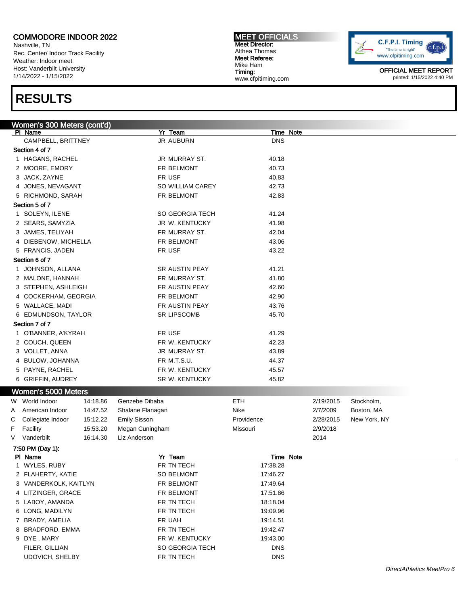Nashville, TN Rec. Center/ Indoor Track Facility Weather: Indoor meet Host: Vanderbilt University 1/14/2022 - 1/15/2022

### RESULTS

Women's 300 Meters (cont'd) PI Name **Yr Team** Yr Team Time Note CAMPBELL, BRITTNEY JR AUBURN DNS Section 4 of 7 1 HAGANS, RACHEL 1 1 1 JR MURRAY ST. 40.18 2 MOORE, EMORY 60.73 3 JACK, ZAYNE FR USF 40.83 4 JONES, NEVAGANT 42.73 5 RICHMOND, SARAH FR BELMONT 42.83 Section 5 of 7 1 SOLEYN, ILENE **SO GEORGIA TECH** 41.24 2 SEARS, SAMYZIA 1988 JR W. KENTUCKY 41.98 3 JAMES, TELIYAH FR MURRAY ST. 42.04 4 DIEBENOW, MICHELLA FR BELMONT 43.06 5 FRANCIS, JADEN FR USF FR USF 43.22 Section 6 of 7 1 JOHNSON, ALLANA SR AUSTIN PEAY 41.21 2 MALONE, HANNAH FR MURRAY ST. 41.80 3 STEPHEN, ASHLEIGH FR AUSTIN PEAY 42.60 4 COCKERHAM, GEORGIA FR BELMONT 42.90 5 WALLACE, MADI **FR AUSTIN PEAY** 43.76 6 EDMUNDSON, TAYLOR SR LIPSCOMB 45.70 Section 7 of 7 1 O'BANNER, A'KYRAH FR USF FR USF 41.29 2 COUCH, QUEEN FR W. KENTUCKY 42.23 3 VOLLET, ANNA JR MURRAY ST. 43.89 4 BULOW, JOHANNA 64 CHANNA FR M.T.S.U. 44.37 5 PAYNE, RACHEL FR W. KENTUCKY 45.57 6 GRIFFIN, AUDREY SR W. KENTUCKY 45.82 Women's 5000 Meters W World Indoor 14:18.86 Genzebe Dibaba ETH 2/19/2015 Stockholm, A American Indoor 14:47.52 Shalane Flanagan Nike Nike 2/7/2009 Boston, MA C Collegiate Indoor 15:12.22 Emily Sisson Providence 2/28/2015 New York, NY F Facility 15:53.20 Megan Cuningham Missouri 2/9/2018 V Vanderbilt 16:14.30 Liz Anderson 2014 7:50 PM (Day 1): Pl Name **Time Note Pl Name** Note **Pl Name** Note **Pl Name** Note **Pl Name** Note 1 WYLES, RUBY **FR TN TECH** 17:38.28 2 FLAHERTY, KATIE SO BELMONT 17:46.27 3 VANDERKOLK, KAITLYN FR BELMONT 17:49.64 4 LITZINGER, GRACE **FR BELMONT** 17:51.86 5 LABOY, AMANDA FR TN TECH 18:18.04 6 LONG, MADILYN FR TN TECH 19:09.96 7 BRADY, AMELIA **FR UAH 19:14.51** 8 BRADFORD, EMMA FR TN TECH 19:42.47 9 DYE, MARY **FR W. KENTUCKY** 19:43.00 FILER, GILLIAN DISCONSITED A SO GEORGIA TECH DISCONSITED A DISCONSITED A LOST ON SOLUTIONS

MEET OFFICIALS Meet Director: Althea Thomas Meet Referee: Mike Ham Timing:

www.cfpitiming.com

UDOVICH, SHELBY **ER TN TECH** DNS

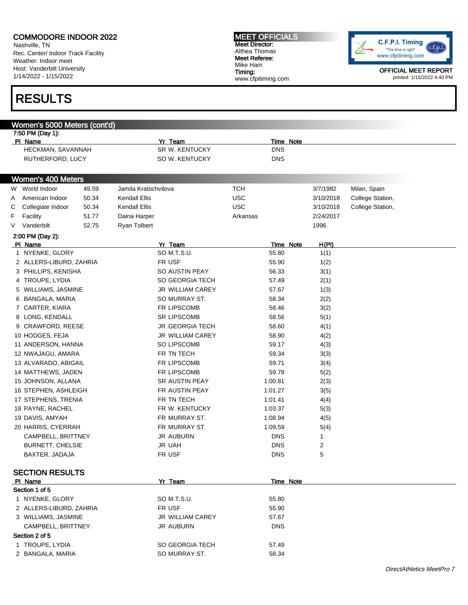Nashville, TN Rec. Center/ Indoor Track Facility Weather: Indoor meet Host: Vanderbilt University 1/14/2022 - 1/15/2022

### RESULTS

#### Women's 5000 Meters (cont'd) 7:50 PM (Day 1): PI Name Time Note HECKMAN, SAVANNAH SR W. KENTUCKY DNS RUTHERFORD, LUCY SO W. KENTUCKY DNS Women's 400 Meters W World Indoor **49.59** Jamila Kratochvilova **TCH 3/7/1982** Milan, Spain A American Indoor 50.34 Kendall Ellis College Station, USC 3/10/2018 College Station, C Collegiate Indoor 50.34 Kendall Ellis USC USC 3/10/2018 College Station, F Facility 51.77 Daina Harper Arkansas 2/24/2017 V Vanderbilt 52.75 Ryan Tolbert 1996 2:00 PM (Day 2): Pl Name Yr Team Time Note H(Pl) 1 NYENKE, GLORY SO M.T.S.U. 55.80 1(1) 2 ALLERS-LIBURD, ZAHRIA FR USF 55.90 1(2) 3 PHILLIPS, KENISHA SO AUSTIN PEAY 56.33 3(1) 4 TROUPE, LYDIA SO GEORGIA TECH 57.49 2(1) 5 WILLIAMS, JASMINE **SAULLIAM CAREY** 57.67 1(3) 6 BANGALA, MARIA SO MURRAY ST. 58.34 2(2) 7 CARTER, KIARA 68.20 (2) TR LIPSCOMB 58.46 58.46 (3/2) 8 LONG, KENDALL SR LIPSCOMB 58.56 5(1) 9 CRAWFORD, REESE THE SECORGIA TECH 58.60 4(1) 10 HODGES, FEJA JR WILLIAM CAREY 58.90 4(2) 11 ANDERSON, HANNA SO LIPSCOMB 59.17 4(3) 12 NWAJAGU, AMARA 63(3) 61 NM CHECH 59.34 59.34 59.34 59.34 59.34 59.34 59.34 59.34 59.34 59.34 59.34 59.34 59 13 ALVARADO, ABIGAIL FR LIPSCOMB 59.71 3(4) 14 MATTHEWS, JADEN **FR LIPSCOMB** 59.78 5(2) 15 JOHNSON, ALLANA SR AUSTIN PEAY 1:00.81 2(3) 16 STEPHEN, ASHLEIGH FR AUSTIN PEAY 1:01.27 3(5) 17 STEPHENS, TRENIA FR TN TECH 1:01.41 4(4) 18 PAYNE, RACHEL THE RESERVIEW FR W. KENTUCKY THE RESERVE 1:03.37 5(3) 19 DAVIS, AMYAH 1:08.94 1:08.94 1:08.94 1:08.94 1:08.94 1:08.94 1:08.94 1:08.94 1:05 20 HARRIS, CYERRAH FR MURRAY ST. 1:09.59 5(4) CAMPBELL, BRITTNEY **STATE SERVICE SERVICE SERVICE SERVICE SERVICE SERVICE SERVICE SERVICE SERVICE SERVICE SERVICE SERVICE SERVICE SERVICE SERVICE SERVICE SERVICE SERVICE SERVICE SERVICE SERVICE SERVICE SERVICE SERVICE SERV** BURNETT, CHELSIE JR UAH DNS 2 BAXTER, JADAJA FR USF DNS 5 SECTION RESULTS PI Name Time Note Section 1 of 5 1 NYENKE, GLORY SO M.T.S.U. 55.80 2 ALLERS-LIBURD, ZAHRIA FR USF FR USF 55.90 3 WILLIAMS, JASMINE **12 ST.67 ST.67** JR WILLIAM CAREY 57.67 CAMPBELL, BRITTNEY GAMPBELL, BRITTNEY SALL BRITTING AND URLY AND UNITS AND LOTS Section 2 of 5



MEET OFFICIALS Meet Director: Althea Thomas Meet Referee: Mike Ham Timing: www.cfpitiming.com

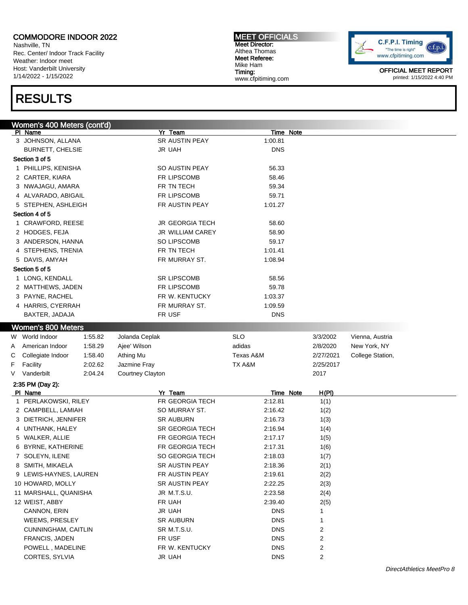Nashville, TN Rec. Center/ Indoor Track Facility Weather: Indoor meet Host: Vanderbilt University 1/14/2022 - 1/15/2022

### RESULTS

Women's 400 Meters (cont'd) Pr Team Time Note 3 JOHNSON, ALLANA SR AUSTIN PEAY 1:00.81 BURNETT, CHELSIE **DRAG DISCRIPTION CHARGE OF A CHARGE OF A CHARGE OF A CHARGE OF A CHARGE OF A CHARGE OF A CHARGE** Section 3 of 5 1 PHILLIPS, KENISHA SO AUSTIN PEAY 56.33 2 CARTER, KIARA 68.46 3 NWAJAGU, AMARA **FR TN TECH 59.34** 4 ALVARADO, ABIGAIL **FR LIPSCOMB** 59.71 5 STEPHEN, ASHLEIGH FR AUSTIN PEAY 1:01.27 Section 4 of 5 1 CRAWFORD, REESE **JR GEORGIA TECH** 58.60 2 HODGES, FEJA JR WILLIAM CAREY 58.90 3 ANDERSON, HANNA SO LIPSCOMB 59.17 4 STEPHENS, TRENIA FR TN TECH 1:01.41 5 DAVIS, AMYAH **FR MURRAY ST.** 1:08.94 Section 5 of 5 1 LONG, KENDALL SR LIPSCOMB 58.56 2 MATTHEWS, JADEN **FR LIPSCOMB** 59.78 3 PAYNE, RACHEL **FR W. KENTUCKY** 1:03.37 4 HARRIS, CYERRAH FR MURRAY ST. 1:09.59 BAXTER, JADAJA FR USF DNS Women's 800 Meters W World Indoor at 1:55.82 Jolanda Ceplak SLO SLO 3/3/2002 Vienna, Austria A American Indoor 1:58.29 Ajee' Wilson and adidas adidas 2/8/2020 New York, NY C Collegiate Indoor 1:58.40 Athing Mu Texas A&M 2/27/2021 College Station, F Facility 2:02.62 Jazmine Fray TX A&M 2/25/2017 V Vanderbilt 2:04.24 Courtney Clayton 2017 2:35 PM (Day 2): PI Name **H(PI)** Name H(PI) Name Time Note H(PI) 1 PERLAKOWSKI, RILEY FR GEORGIA TECH 2:12.81 1(1) 2 CAMPBELL, LAMIAH SO MURRAY ST. 2:16.42 1(2) 3 DIETRICH, JENNIFER SR AUBURN 2:16.73 1(3) 4 UNTHANK, HALEY SR GEORGIA TECH 2:16.94 1(4) 5 WALKER, ALLIE **FR GEORGIA TECH** 2:17.17 1(5) 6 BYRNE, KATHERINE FR GEORGIA TECH 2:17.31 1(6) 7 SOLEYN, ILENE SO GEORGIA TECH 2:18.03 1(7) 8 SMITH, MIKAELA SR AUSTIN PEAY 2:18.36 2(1) 9 LEWIS-HAYNES, LAUREN FR AUSTIN PEAY 2:19.61 2(2) 10 HOWARD, MOLLY SR AUSTIN PEAY 2:22.25 2(3) 11 MARSHALL, QUANISHA JR M.T.S.U. 2:23.58 2(4) 12 WEIST, ABBY FR UAH 2:39.40 2(5) CANNON, ERIN JR UAH DNS 1 WEEMS, PRESLEY **SR AUBURN SR AUBURN** DNS 1 CUNNINGHAM, CAITLIN SR M.T.S.U. DNS 2 FRANCIS, JADEN FR USF DNS 2 POWELL , MADELINE THE R W. KENTUCKY THE R W. THE R W. ASSEMBLE 2 CORTES, SYLVIA JR UAH DNS 2

MEET OFFICIALS Meet Director: Althea Thomas Meet Referee: Mike Ham Timing:

www.cfpitiming.com

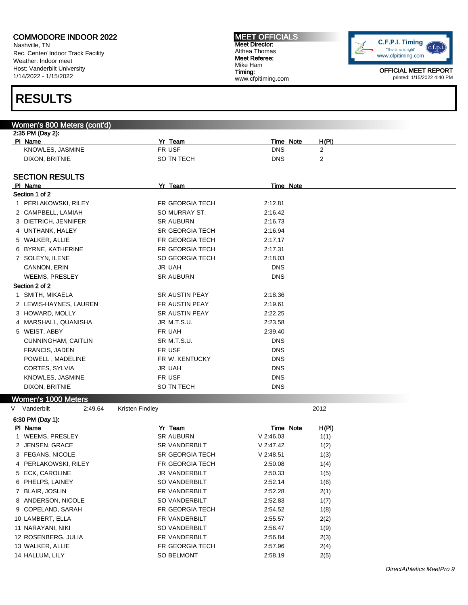Nashville, TN Rec. Center/ Indoor Track Facility Weather: Indoor meet Host: Vanderbilt University 1/14/2022 - 1/15/2022

Women's 800 Meters (cont'd)

### RESULTS

| 2:35 PM (Day 2):       |                        |            |                |  |
|------------------------|------------------------|------------|----------------|--|
| PI Name                | Yr Team                | Time Note  | H(PI)          |  |
| KNOWLES, JASMINE       | FR USF                 | <b>DNS</b> | $\overline{2}$ |  |
| DIXON, BRITNIE         | SO TN TECH             | <b>DNS</b> | 2              |  |
| <b>SECTION RESULTS</b> |                        |            |                |  |
| PI Name                | Yr Team                | Time Note  |                |  |
| Section 1 of 2         |                        |            |                |  |
| 1 PERLAKOWSKI, RILEY   | FR GEORGIA TECH        | 2:12.81    |                |  |
| 2 CAMPBELL, LAMIAH     | SO MURRAY ST.          | 2:16.42    |                |  |
| 3 DIETRICH, JENNIFER   | <b>SR AUBURN</b>       | 2:16.73    |                |  |
| 4 UNTHANK, HALEY       | <b>SR GEORGIA TECH</b> | 2:16.94    |                |  |
| 5 WALKER, ALLIE        | FR GEORGIA TECH        | 2:17.17    |                |  |
| 6 BYRNE, KATHERINE     | FR GEORGIA TECH        | 2:17.31    |                |  |
| 7 SOLEYN, ILENE        | SO GEORGIA TECH        | 2:18.03    |                |  |
| CANNON, ERIN           | <b>JR UAH</b>          | <b>DNS</b> |                |  |
| WEEMS, PRESLEY         | <b>SR AUBURN</b>       | <b>DNS</b> |                |  |
| Section 2 of 2         |                        |            |                |  |
| 1 SMITH, MIKAELA       | SR AUSTIN PEAY         | 2:18.36    |                |  |
| 2 LEWIS-HAYNES, LAUREN | FR AUSTIN PEAY         | 2:19.61    |                |  |
| 3 HOWARD, MOLLY        | <b>SR AUSTIN PEAY</b>  | 2:22.25    |                |  |
| 4 MARSHALL, QUANISHA   | JR M.T.S.U.            | 2:23.58    |                |  |
| 5 WEIST, ABBY          | FR UAH                 | 2:39.40    |                |  |
| CUNNINGHAM, CAITLIN    | SR M.T.S.U.            | <b>DNS</b> |                |  |
| <b>FRANCIS, JADEN</b>  | FR USF                 | <b>DNS</b> |                |  |
| POWELL, MADELINE       | FR W. KENTUCKY         | <b>DNS</b> |                |  |
| CORTES, SYLVIA         | <b>JR UAH</b>          | <b>DNS</b> |                |  |
| KNOWLES, JASMINE       | FR USF                 | <b>DNS</b> |                |  |
| DIXON, BRITNIE         | <b>SO TN TECH</b>      | <b>DNS</b> |                |  |

#### Women's 1000 Meters

V Vanderbilt 2:49.64 Kristen Findley 2012

#### 6:30 PM (Day 1): PI Name **Time Note** H(PI) **PI Name Yr Team Yr Team Time Note** H(PI) 1 WEEMS, PRESLEY SR AUBURN V 2:46.03 1(1) 2 JENSEN, GRACE SR VANDERBILT V 2:47.42 1(2) 3 FEGANS, NICOLE SR GEORGIA TECH V 2:48.51 1(3) 4 PERLAKOWSKI, RILEY FR GEORGIA TECH 2:50.08 1(4) 5 ECK, CAROLINE JR VANDERBILT 2:50.33 1(5) 6 PHELPS, LAINEY SO VANDERBILT 2:52.14 1(6) 7 BLAIR, JOSLIN FR VANDERBILT 2:52.28 2(1) 8 ANDERSON, NICOLE SO VANDERBILT 2:52.83 1(7) 9 COPELAND, SARAH FR GEORGIA TECH 2:54.52 1(8) 10 LAMBERT, ELLA FR VANDERBILT 2:55.57 2(2) 11 NARAYANI, NIKI SO VANDERBILT 2:56.47 1(9) 12 ROSENBERG, JULIA FR VANDERBILT 2:56.84 2(3) 13 WALKER, ALLIE **FR GEORGIA TECH** 2:57.96 2(4) 14 HALLUM, LILY SO BELMONT 2:58.19 2(5)

MEET OFFICIALS Meet Director: Althea Thomas Meet Referee: Mike Ham Timing: www.cfpitiming.com

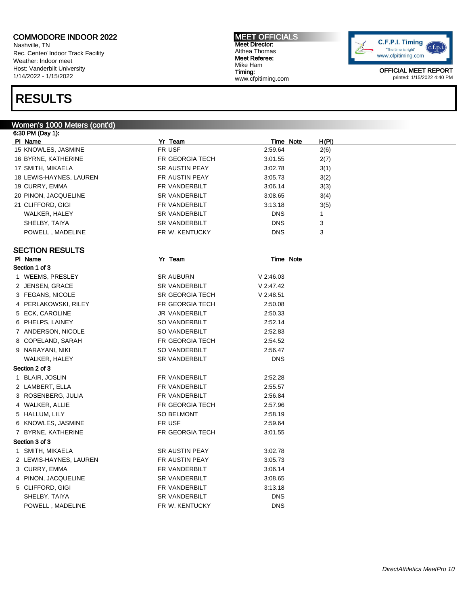Nashville, TN Rec. Center/ Indoor Track Facility Weather: Indoor meet Host: Vanderbilt University 1/14/2022 - 1/15/2022

### RESULTS

#### Women's 1000 Meters (cont'd)

6:30 PM (Day 1): Pl Name Yr Team Time Note H(Pl) 15 KNOWLES, JASMINE FR USF 2:59.64 2(6) 16 BYRNE, KATHERINE FR GEORGIA TECH 3:01.55 2(7) 17 SMITH, MIKAELA SR AUSTIN PEAY 3:02.78 3(1) 18 LEWIS-HAYNES, LAUREN FR AUSTIN PEAY 3:05.73 3(2) 19 CURRY, EMMA 63(3) **FR VANDERBILT** 3:06.14 3(3) 20 PINON, JACQUELINE SR VANDERBILT 3:08.65 3(4) 21 CLIFFORD, GIGI FR VANDERBILT 3:13.18 3(5) WALKER, HALEY **SR VANDERBILT SALES ASSESSED** SR VANDERBILT SHELBY, TAIYA SR VANDERBILT DNS 3 POWELL , MADELINE THE R W. KENTUCKY THE R W. HENRY THE R ONS STATE AND RESERVE THE R W. HENRY AND THE R ONE OF SECTION RESULTS PI Name Time Note Section 1 of 3 1 WEEMS, PRESLEY SR AUBURN V 2:46.03 2 JENSEN, GRACE SR VANDERBILT V 2:47.42 3 FEGANS, NICOLE SR GEORGIA TECH V 2:48.51 4 PERLAKOWSKI, RILEY FR GEORGIA TECH 2:50.08 5 ECK, CAROLINE JR VANDERBILT 2:50.33 6 PHELPS, LAINEY SO VANDERBILT 2:52.14 7 ANDERSON, NICOLE SO VANDERBILT 2:52.83 8 COPELAND, SARAH FR GEORGIA TECH 2:54.52 9 NARAYANI, NIKI SO VANDERBILT 2:56.47 WALKER, HALEY **SR VANDERBILT** DNS Section 2 of 3 1 BLAIR, JOSLIN **FR VANDERBILT** 2:52.28 2 LAMBERT, ELLA FR VANDERBILT 2:55.57 3 ROSENBERG, JULIA FR VANDERBILT 2:56.84 4 WALKER, ALLIE **FR GEORGIA TECH** 2:57.96 5 HALLUM, LILY SO BELMONT 2:58.19 6 KNOWLES, JASMINE **FRIUSH FRIUSH 12:59.64** PHONES 7 BYRNE, KATHERINE FR GEORGIA TECH 3:01.55 Section 3 of 3 1 SMITH, MIKAELA SR AUSTIN PEAY 3:02.78 2 LEWIS-HAYNES, LAUREN FR AUSTIN PEAY 3:05.73 3 CURRY, EMMA 61 CURRY, EMMA FR VANDERBILT 3:06.14 4 PINON, JACQUELINE SR VANDERBILT 3:08.65 5 CLIFFORD, GIGI **FR VANDERBILT** 3:13.18 SHELBY, TAIYA DISCRIPTION SR VANDERBILT THE DISCRIPTION ON SAFE POWELL , MADELINE THE RESERVE FR W. KENTUCKY THE ROOMS ONS

MEET OFFICIALS Meet Director: Althea Thomas Meet Referee: Mike Ham Timing:

www.cfpitiming.com

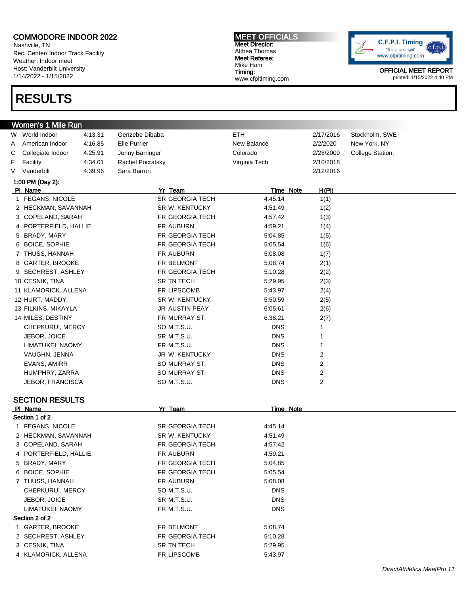Nashville, TN Rec. Center/ Indoor Track Facility Weather: Indoor meet Host: Vanderbilt University 1/14/2022 - 1/15/2022

## RESULTS

MEET OFFICIALS Meet Director: Althea Thomas Meet Referee: Mike Ham Timing: www.cfpitiming.com



|   | Women's 1 Mile Run     |         |                       |               |              |                  |
|---|------------------------|---------|-----------------------|---------------|--------------|------------------|
|   | W World Indoor         | 4:13.31 | Genzebe Dibaba        | ETH           | 2/17/2016    | Stockholm, SWE   |
| A | American Indoor        | 4:16.85 | <b>Elle Purrier</b>   | New Balance   | 2/2/2020     | New York, NY     |
| С | Collegiate Indoor      | 4:25.91 | Jenny Barringer       | Colorado      | 2/28/2009    | College Station, |
| F | Facility               | 4:34.01 | Rachel Pocratsky      | Virginia Tech | 2/10/2018    |                  |
| V | Vanderbilt             | 4:39.96 | Sara Barron           |               | 2/12/2016    |                  |
|   | 1:00 PM (Day 2):       |         |                       |               |              |                  |
|   | PI Name                |         | Yr Team               | Time Note     | <u>H(PI)</u> |                  |
|   | 1 FEGANS, NICOLE       |         | SR GEORGIA TECH       | 4:45.14       | 1(1)         |                  |
|   | 2 HECKMAN, SAVANNAH    |         | SR W. KENTUCKY        | 4:51.49       | 1(2)         |                  |
|   | 3 COPELAND, SARAH      |         | FR GEORGIA TECH       | 4:57.42       | 1(3)         |                  |
|   | 4 PORTERFIELD, HALLIE  |         | FR AUBURN             | 4:59.21       | 1(4)         |                  |
|   | 5 BRADY, MARY          |         | FR GEORGIA TECH       | 5:04.85       | 1(5)         |                  |
|   | 6 BOICE, SOPHIE        |         | FR GEORGIA TECH       | 5:05.54       | 1(6)         |                  |
|   | 7 THUSS, HANNAH        |         | FR AUBURN             | 5:08.08       | 1(7)         |                  |
|   | 8 GARTER, BROOKE       |         | FR BELMONT            | 5:08.74       | 2(1)         |                  |
|   | 9 SECHREST, ASHLEY     |         | FR GEORGIA TECH       | 5:10.28       | 2(2)         |                  |
|   | 10 CESNIK, TINA        |         | SR TN TECH            | 5:29.95       | 2(3)         |                  |
|   | 11 KLAMORICK, ALLENA   |         | FR LIPSCOMB           | 5:43.97       | 2(4)         |                  |
|   | 12 HURT, MADDY         |         | SR W. KENTUCKY        | 5:50.59       | 2(5)         |                  |
|   | 13 FILKINS, MIKAYLA    |         | <b>JR AUSTIN PEAY</b> | 6:05.61       | 2(6)         |                  |
|   | 14 MILES, DESTINY      |         | FR MURRAY ST.         | 6:38.21       | 2(7)         |                  |
|   | CHEPKURUI, MERCY       |         | SO M.T.S.U.           | <b>DNS</b>    | 1            |                  |
|   | JEBOR, JOICE           |         | SR M.T.S.U.           | <b>DNS</b>    | 1            |                  |
|   | LIMATUKEI, NAOMY       |         | FR M.T.S.U.           | <b>DNS</b>    | 1            |                  |
|   | VAUGHN, JENNA          |         | JR W. KENTUCKY        | <b>DNS</b>    | 2            |                  |
|   | EVANS, AMIRR           |         | SO MURRAY ST.         | <b>DNS</b>    | 2            |                  |
|   | HUMPHRY, ZARRA         |         | SO MURRAY ST.         | <b>DNS</b>    | 2            |                  |
|   | JEBOR, FRANCISCA       |         | SO M.T.S.U.           | <b>DNS</b>    | 2            |                  |
|   |                        |         |                       |               |              |                  |
|   | <b>SECTION RESULTS</b> |         |                       |               |              |                  |
|   | PI Name                |         | Yr Team               | Time Note     |              |                  |
|   | Section 1 of 2         |         |                       |               |              |                  |
|   | 1 FEGANS, NICOLE       |         | SR GEORGIA TECH       | 4:45.14       |              |                  |
|   | 2 HECKMAN, SAVANNAH    |         | SR W. KENTUCKY        | 4:51.49       |              |                  |
|   | 3 COPELAND, SARAH      |         | FR GEORGIA TECH       | 4:57.42       |              |                  |
|   | 4 PORTERFIELD, HALLIE  |         | <b>FR AUBURN</b>      | 4:59.21       |              |                  |
|   | 5 BRADY, MARY          |         | FR GEORGIA TECH       | 5:04.85       |              |                  |
|   | 6 BOICE, SOPHIE        |         | FR GEORGIA TECH       | 5:05.54       |              |                  |
|   | 7 THUSS, HANNAH        |         | FR AUBURN             | 5:08.08       |              |                  |
|   | CHEPKURUI, MERCY       |         | SO M.T.S.U.           | <b>DNS</b>    |              |                  |
|   | JEBOR, JOICE           |         | SR M.T.S.U.           | <b>DNS</b>    |              |                  |
|   | LIMATUKEI, NAOMY       |         | FR M.T.S.U.           | <b>DNS</b>    |              |                  |
|   | Section 2 of 2         |         |                       |               |              |                  |
|   | 1 GARTER, BROOKE       |         | FR BELMONT            | 5:08.74       |              |                  |
|   | 2 SECHREST, ASHLEY     |         | FR GEORGIA TECH       | 5:10.28       |              |                  |
|   | 3 CESNIK, TINA         |         | SR TN TECH            | 5:29.95       |              |                  |
|   | 4 KLAMORICK, ALLENA    |         | FR LIPSCOMB           | 5.43.97       |              |                  |
|   |                        |         |                       |               |              |                  |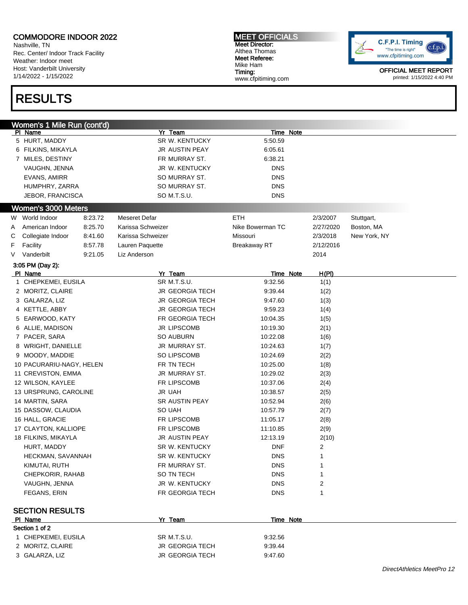Nashville, TN Rec. Center/ Indoor Track Facility Weather: Indoor meet Host: Vanderbilt University 1/14/2022 - 1/15/2022

### RESULTS

MEET OFFICIALS Meet Director: Althea Thomas Meet Referee: Mike Ham Timing: www.cfpitiming.com



| Women's 1 Mile Run (cont'd)           |         |                        |                     |           |           |              |
|---------------------------------------|---------|------------------------|---------------------|-----------|-----------|--------------|
| PI Name                               |         | Yr Team                |                     | Time Note |           |              |
| 5 HURT, MADDY                         |         | SR W. KENTUCKY         | 5:50.59             |           |           |              |
| 6 FILKINS, MIKAYLA                    |         | JR AUSTIN PEAY         | 6:05.61             |           |           |              |
| 7 MILES, DESTINY                      |         | FR MURRAY ST.          | 6:38.21             |           |           |              |
| VAUGHN, JENNA                         |         | JR W. KENTUCKY         | <b>DNS</b>          |           |           |              |
| EVANS, AMIRR                          |         | SO MURRAY ST.          | <b>DNS</b>          |           |           |              |
| HUMPHRY, ZARRA                        |         | SO MURRAY ST.          | <b>DNS</b>          |           |           |              |
| JEBOR, FRANCISCA                      |         | SO M.T.S.U.            | <b>DNS</b>          |           |           |              |
|                                       |         |                        |                     |           |           |              |
| Women's 3000 Meters<br>W World Indoor | 8:23.72 | Meseret Defar          | ETH                 |           |           |              |
|                                       |         |                        |                     |           | 2/3/2007  | Stuttgart,   |
| American Indoor<br>Α                  | 8:25.70 | Karissa Schweizer      | Nike Bowerman TC    |           | 2/27/2020 | Boston, MA   |
| С<br>Collegiate Indoor                | 8:41.60 | Karissa Schweizer      | Missouri            |           | 2/3/2018  | New York, NY |
| F<br>Facility                         | 8:57.78 | Lauren Paquette        | <b>Breakaway RT</b> |           | 2/12/2016 |              |
| Vanderbilt<br>V                       | 9:21.05 | Liz Anderson           |                     |           | 2014      |              |
| 3:05 PM (Day 2):                      |         |                        |                     |           |           |              |
| PI Name                               |         | Yr Team<br>SR M.T.S.U. |                     | Time Note | H(PI)     |              |
| 1 CHEPKEMEI, EUSILA                   |         |                        | 9:32.56             |           | 1(1)      |              |
| 2 MORITZ, CLAIRE                      |         | <b>JR GEORGIA TECH</b> | 9:39.44             |           | 1(2)      |              |
| 3 GALARZA, LIZ                        |         | <b>JR GEORGIA TECH</b> | 9:47.60             |           | 1(3)      |              |
| 4 KETTLE, ABBY                        |         | <b>JR GEORGIA TECH</b> | 9:59.23             |           | 1(4)      |              |
| 5 EARWOOD, KATY                       |         | FR GEORGIA TECH        | 10:04.35            |           | 1(5)      |              |
| 6 ALLIE, MADISON                      |         | <b>JR LIPSCOMB</b>     | 10:19.30            |           | 2(1)      |              |
| 7 PACER, SARA                         |         | <b>SO AUBURN</b>       | 10:22.08            |           | 1(6)      |              |
| 8 WRIGHT, DANIELLE                    |         | JR MURRAY ST.          | 10:24.63            |           | 1(7)      |              |
| 9 MOODY, MADDIE                       |         | SO LIPSCOMB            | 10:24.69            |           | 2(2)      |              |
| 10 PACURARIU-NAGY, HELEN              |         | FR TN TECH             | 10:25.00            |           | 1(8)      |              |
| 11 CREVISTON, EMMA                    |         | JR MURRAY ST.          | 10:29.02            |           | 2(3)      |              |
| 12 WILSON, KAYLEE                     |         | FR LIPSCOMB            | 10:37.06            |           | 2(4)      |              |
| 13 URSPRUNG, CAROLINE                 |         | <b>JR UAH</b>          | 10:38.57            |           | 2(5)      |              |
| 14 MARTIN, SARA                       |         | SR AUSTIN PEAY         | 10:52.94            |           | 2(6)      |              |
| 15 DASSOW, CLAUDIA                    |         | SO UAH                 | 10:57.79            |           | 2(7)      |              |
| 16 HALL, GRACIE                       |         | FR LIPSCOMB            | 11:05.17            |           | 2(8)      |              |
| 17 CLAYTON, KALLIOPE                  |         | FR LIPSCOMB            | 11:10.85            |           | 2(9)      |              |
| 18 FILKINS, MIKAYLA                   |         | JR AUSTIN PEAY         | 12:13.19            |           |           |              |
| HURT, MADDY                           |         | SR W. KENTUCKY         | DNF                 |           | 2(10)     |              |
|                                       |         |                        |                     |           | 2         |              |
| HECKMAN, SAVANNAH                     |         | SR W. KENTUCKY         | DNS                 |           | 1         |              |
| KIMUTAI, RUTH                         |         | FR MURRAY ST.          | <b>DNS</b>          |           | 1         |              |
| CHEPKORIR, RAHAB                      |         | SO TN TECH             | <b>DNS</b>          |           | 1         |              |
| VAUGHN, JENNA                         |         | JR W. KENTUCKY         | <b>DNS</b>          |           | 2         |              |
| FEGANS, ERIN                          |         | FR GEORGIA TECH        | <b>DNS</b>          |           | 1         |              |
|                                       |         |                        |                     |           |           |              |
| <b>SECTION RESULTS</b>                |         |                        |                     |           |           |              |
| PI Name<br>Section 1 of 2             |         | Yr Team                |                     | Time Note |           |              |
|                                       |         |                        |                     |           |           |              |
| 1 CHEPKEMEI, EUSILA                   |         | SR M.T.S.U.            | 9:32.56             |           |           |              |
| 2 MORITZ, CLAIRE                      |         | <b>JR GEORGIA TECH</b> | 9:39.44             |           |           |              |
| 3 GALARZA, LIZ                        |         | JR GEORGIA TECH        | 9:47.60             |           |           |              |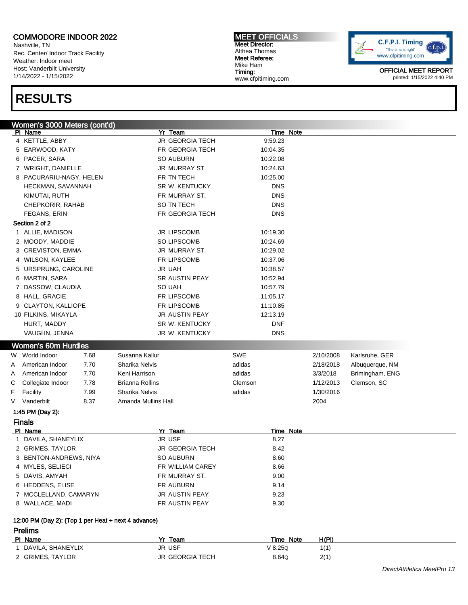Nashville, TN Rec. Center/ Indoor Track Facility Weather: Indoor meet Host: Vanderbilt University 1/14/2022 - 1/15/2022

### RESULTS

### Women's 3000 Meters (cont'd)<br>| Pl\_Name

Puring Time Note 4 KETTLE, ABBY JR GEORGIA TECH 9:59.23 5 EARWOOD, KATY FR GEORGIA TECH 10:04.35 6 PACER, SARA SO AUBURN 10:22.08 7 WRIGHT, DANIELLE **GEET CONTACT ST. THE ST. 10:24.63** 8 PACURARIU-NAGY, HELEN FR TN TECH 10:25.00 HECKMAN, SAVANNAH SR W. KENTUCKY DNS KIMUTAI, RUTH FR MURRAY ST. THE RAND ONS CHEPKORIR, RAHAB SO TN TECH DNS FEGANS, ERIN FR GEORGIA TECH DNS Section 2 of 2 1 ALLIE, MADISON **10:19.30** JR LIPSCOMB 10:19.30 2 MOODY, MADDIE SO LIPSCOMB 10:24.69 3 CREVISTON, EMMA **JR MURRAY ST.** 10:29.02 4 WILSON, KAYLEE FR LIPSCOMB 10:37.06 5 URSPRUNG, CAROLINE JR UAH 10:38.57 6 MARTIN, SARA SR AUSTIN PEAY 10:52.94 7 DASSOW, CLAUDIA SO UAH 10:57.79 8 HALL, GRACIE **FR LIPSCOMB** 11:05.17 9 CLAYTON, KALLIOPE FR LIPSCOMB 11:10.85 10 FILKINS, MIKAYLA **12:13.19** JR AUSTIN PEAY 12:13.19 HURT, MADDY DISCOME SR W. KENTUCKY DISCOME AND DISCOME DUE VAUGHN, JENNA DNS DONS JR W. KENTUCKY DNS DNS Women's 60m Hurdles W World Indoor **7.68** Susanna Kallur SWE SWE 2/10/2008 Karlsruhe, GER A American Indoor 7.70 Sharika Nelvis adidas adidas 2/18/2018 Albuquerque, NM A American Indoor 7.70 Keni Harrison and adidas adidas 3/3/2018 Brimingham, ENG C Collegiate Indoor 7.78 Brianna Rollins Clemson 1/12/2013 Clemson, SC F Facility 7.99 Sharika Nelvis adidas 1/30/2016 V Vanderbilt 8.37 Amanda Mullins Hall 2004 1:45 PM (Day 2): Finals

MEET OFFICIALS Meet Director: Althea Thomas Meet Referee: Mike Ham Timing:

www.cfpitiming.com

Prelims

| PI Name                | Yr Team                | Time Note |
|------------------------|------------------------|-----------|
| 1 DAVILA, SHANEYLIX    | JR USF                 | 8.27      |
| 2 GRIMES, TAYLOR       | <b>JR GEORGIA TECH</b> | 8.42      |
| 3 BENTON-ANDREWS, NIYA | SO AUBURN              | 8.60      |
| 4 MYLES, SELIECI       | FR WILLIAM CAREY       | 8.66      |
| 5 DAVIS, AMYAH         | FR MURRAY ST.          | 9.00      |
| 6 HEDDENS, ELISE       | FR AUBURN              | 9.14      |
| 7 MCCLELLAND, CAMARYN  | <b>JR AUSTIN PEAY</b>  | 9.23      |
| 8 WALLACE, MADI        | FR AUSTIN PEAY         | 9.30      |

#### 12:00 PM (Day 2): (Top 1 per Heat + next 4 advance)

| PI Name                  | Team<br>v.      | Note<br>Time | H(PI) |  |
|--------------------------|-----------------|--------------|-------|--|
| <b>DAVILA, SHANEYLIX</b> | JR USF          | / 8.250      | 1(1)  |  |
| 2 GRIMES, TAYLOR         | JR GEORGIA TECH | 8.64Q        | 2(1)  |  |



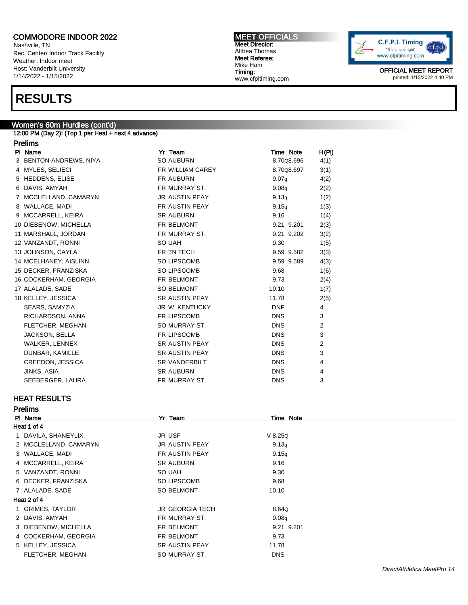Nashville, TN Rec. Center/ Indoor Track Facility Weather: Indoor meet Host: Vanderbilt University 1/14/2022 - 1/15/2022

### RESULTS

#### Women's 60m Hurdles (cont'd)

12:00 PM (Day 2): (Top 1 per Heat + next 4 advance)

#### Prelims

Pl Name Yr Team Time Note H(Pl) 3 BENTON-ANDREWS, NIYA SO AUBURN 8.70Q8.696 4(1) 4 MYLES, SELIECI FR WILLIAM CAREY 8.70Q8.697 3(1) 5 HEDDENS, ELISE 61 FR AUBURN 9.07q 4(2) 6 DAVIS, AMYAH FR MURRAY ST. 9.08q 2(2) 7 MCCLELLAND, CAMARYN JR AUSTIN PEAY 9.13q 1(2) 8 WALLACE, MADI FR AUSTIN PEAY 9.15q 1(3) 9 MCCARRELL, KEIRA SR AUBURN 9.16 1(4) 10 DIEBENOW, MICHELLA FR BELMONT 9.21 9.201 2(3) 11 MARSHALL, JORDAN FR MURRAY ST. 9.21 9.202 3(2) 12 VANZANDT, RONNI SO UAH 9.30 1(5) 13 JOHNSON, CAYLA **FR TN TECH** 9.59 9.582 3(3) 14 MCELHANEY, AISLINN SO LIPSCOMB 9.59 9.589 4(3) 15 DECKER, FRANZISKA SO LIPSCOMB 9.68 1(6) 16 COCKERHAM, GEORGIA FR BELMONT 9.73 2(4) 17 ALALADE, SADE SO BELMONT 10.10 1(7) 18 KELLEY, JESSICA SR AUSTIN PEAY 11.78 2(5) SEARS, SAMYZIA JR W. KENTUCKY DNF 4 RICHARDSON, ANNA FR LIPSCOMB DNS 3 FLETCHER, MEGHAN SO MURRAY ST. DNS 2 JACKSON, BELLA FR LIPSCOMB FR LIPSCOMB DNS 3 WALKER, LENNEX SR AUSTIN PEAY DNS 2 DUNBAR, KAMILLE SR AUSTIN PEAY DIS DONS 3 CREEDON, JESSICA SR VANDERBILT DNS 4 JINKS, ASIA SR AUBURN DNS 4 SEEBERGER, LAURA FR MURRAY ST. SEEBERGER, LAURA

#### HEAT RESULTS

#### Prelims

| PI Name               | Yr Team                | Time Note  |  |
|-----------------------|------------------------|------------|--|
| Heat 1 of 4           |                        |            |  |
| 1 DAVILA, SHANEYLIX   | JR USF                 | V 8.25Q    |  |
| 2 MCCLELLAND, CAMARYN | <b>JR AUSTIN PEAY</b>  | 9.13q      |  |
| 3 WALLACE, MADI       | FR AUSTIN PEAY         | 9.15q      |  |
| 4 MCCARRELL, KEIRA    | <b>SR AUBURN</b>       | 9.16       |  |
| 5 VANZANDT, RONNI     | SO UAH                 | 9.30       |  |
| 6 DECKER, FRANZISKA   | <b>SO LIPSCOMB</b>     | 9.68       |  |
| 7 ALALADE, SADE       | <b>SO BELMONT</b>      | 10.10      |  |
| Heat 2 of 4           |                        |            |  |
| 1 GRIMES, TAYLOR      | <b>JR GEORGIA TECH</b> | 8.64Q      |  |
| 2 DAVIS, AMYAH        | FR MURRAY ST.          | 9.08q      |  |
| 3 DIEBENOW, MICHELLA  | FR BELMONT             | 9.21 9.201 |  |
| 4 COCKERHAM, GEORGIA  | FR BELMONT             | 9.73       |  |
| 5 KELLEY, JESSICA     | <b>SR AUSTIN PEAY</b>  | 11.78      |  |
| FLETCHER, MEGHAN      | SO MURRAY ST.          | <b>DNS</b> |  |
|                       |                        |            |  |

MEET OFFICIALS Meet Director: Althea Thomas Meet Referee: Mike Ham Timing: www.cfpitiming.com

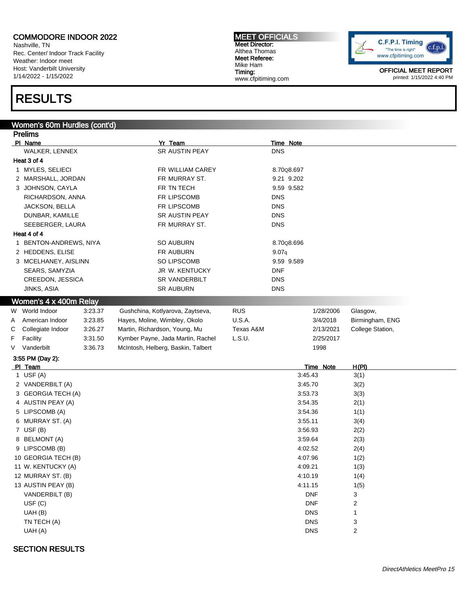Nashville, TN Rec. Center/ Indoor Track Facility Weather: Indoor meet Host: Vanderbilt University 1/14/2022 - 1/15/2022

### RESULTS

#### Women's 60m Hurdles (cont'd) Prelims

|   | LIAIIII                |         |                                    |               |            |                  |                  |  |
|---|------------------------|---------|------------------------------------|---------------|------------|------------------|------------------|--|
|   | PI Name                |         | Yr Team                            |               | Time Note  |                  |                  |  |
|   | WALKER, LENNEX         |         | <b>SR AUSTIN PEAY</b>              |               | <b>DNS</b> |                  |                  |  |
|   | Heat 3 of 4            |         |                                    |               |            |                  |                  |  |
|   | 1 MYLES, SELIECI       |         | FR WILLIAM CAREY                   |               | 8.70Q8.697 |                  |                  |  |
|   | 2 MARSHALL, JORDAN     |         | FR MURRAY ST.                      |               | 9.21 9.202 |                  |                  |  |
|   | 3 JOHNSON, CAYLA       |         | FR TN TECH                         |               | 9.59 9.582 |                  |                  |  |
|   | RICHARDSON, ANNA       |         | FR LIPSCOMB                        |               | <b>DNS</b> |                  |                  |  |
|   | JACKSON, BELLA         |         | FR LIPSCOMB                        |               | <b>DNS</b> |                  |                  |  |
|   | DUNBAR, KAMILLE        |         | SR AUSTIN PEAY                     |               | <b>DNS</b> |                  |                  |  |
|   | SEEBERGER, LAURA       |         | FR MURRAY ST.                      |               | <b>DNS</b> |                  |                  |  |
|   | Heat 4 of 4            |         |                                    |               |            |                  |                  |  |
|   | 1 BENTON-ANDREWS, NIYA |         | <b>SO AUBURN</b>                   |               | 8.70Q8.696 |                  |                  |  |
|   | 2 HEDDENS, ELISE       |         | FR AUBURN                          |               | 9.07q      |                  |                  |  |
|   | 3 MCELHANEY, AISLINN   |         | SO LIPSCOMB                        |               | 9.59 9.589 |                  |                  |  |
|   | SEARS, SAMYZIA         |         | <b>JR W. KENTUCKY</b>              |               | <b>DNF</b> |                  |                  |  |
|   | CREEDON, JESSICA       |         | SR VANDERBILT                      |               | <b>DNS</b> |                  |                  |  |
|   | JINKS, ASIA            |         | <b>SR AUBURN</b>                   |               | <b>DNS</b> |                  |                  |  |
|   | Women's 4 x 400m Relay |         |                                    |               |            |                  |                  |  |
|   | W World Indoor         | 3:23.37 | Gushchina, Kotlyarova, Zaytseva,   | <b>RUS</b>    |            | 1/28/2006        | Glasgow,         |  |
| Α | American Indoor        | 3:23.85 | Hayes, Moline, Wimbley, Okolo      | <b>U.S.A.</b> |            | 3/4/2018         | Birmingham, ENG  |  |
| С | Collegiate Indoor      | 3:26.27 | Martin, Richardson, Young, Mu      | Texas A&M     |            | 2/13/2021        | College Station, |  |
| F | Facility               | 3:31.50 | Kymber Payne, Jada Martin, Rachel  | L.S.U.        |            | 2/25/2017        |                  |  |
| V | Vanderbilt             | 3:36.73 | McIntosh, Helberg, Baskin, Talbert |               |            | 1998             |                  |  |
|   | 3:55 PM (Day 2):       |         |                                    |               |            |                  |                  |  |
|   | PI Team                |         |                                    |               |            | <b>Time Note</b> | <b>H(PI)</b>     |  |
|   | 1 USF $(A)$            |         |                                    |               | 3:45.43    |                  | 3(1)             |  |
|   | 2 VANDERBILT (A)       |         |                                    |               | 3:45.70    |                  | 3(2)             |  |
|   | 3 GEORGIA TECH (A)     |         |                                    |               | 3:53.73    |                  | 3(3)             |  |
|   | 4 AUSTIN PEAY (A)      |         |                                    |               | 3:54.35    |                  | 2(1)             |  |
|   | 5 LIPSCOMB (A)         |         |                                    |               | 3:54.36    |                  | 1(1)             |  |
|   | 6 MURRAY ST. (A)       |         |                                    |               | 3:55.11    |                  | 3(4)             |  |
|   | $7$ USF (B)            |         |                                    |               | 3:56.93    |                  | 2(2)             |  |
|   | 8 BELMONT (A)          |         |                                    |               | 3:59.64    |                  | 2(3)             |  |
|   | 9 LIPSCOMB (B)         |         |                                    |               | 4:02.52    |                  | 2(4)             |  |
|   | 10 GEORGIA TECH (B)    |         |                                    |               | 4:07.96    |                  | 1(2)             |  |
|   | 11 W. KENTUCKY (A)     |         |                                    |               | 4:09.21    |                  | 1(3)             |  |
|   | 12 MURRAY ST. (B)      |         |                                    |               | 4:10.19    |                  | 1(4)             |  |
|   | 13 AUSTIN PEAY (B)     |         |                                    |               | 4:11.15    |                  | 1(5)             |  |
|   | VANDERBILT (B)         |         |                                    |               |            | <b>DNF</b>       | 3                |  |
|   | USE (C)                |         |                                    |               |            | <b>DNF</b>       | 2                |  |

UAH (B) DNS 1 TN TECH (A) DNS 3 UAH (A) DNS 2

#### SECTION RESULTS

MEET OFFICIALS Meet Director: Althea Thomas Meet Referee: Mike Ham Timing: www.cfpitiming.com

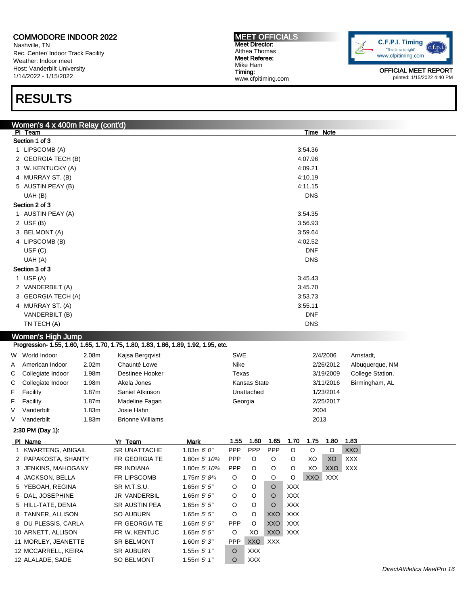Nashville, TN Rec. Center/ Indoor Track Facility Weather: Indoor meet Host: Vanderbilt University 1/14/2022 - 1/15/2022

### RESULTS

#### Women's 4 x 400m Relay (cont'd) PI Team Time Note Section 1 of 3 1 LIPSCOMB (A) 3:54.36 2 GEORGIA TECH (B) 4:07.96 3 W. KENTUCKY (A) 4:09.21 4 MURRAY ST. (B) 4:10.19 5 AUSTIN PEAY (B) 4:11.15 UAH (B) DNS Section 2 of 3 1 AUSTIN PEAY (A) 3:54.35 2 USF (B) 3:56.93 3 BELMONT (A) 3:59.64 4 LIPSCOMB (B) 4:02.52 USF (C) DNF (C) DNF (C) DNF (C) DNF (C) DNF (C) DNF (C) DNF (C) DNF (C) DNF (C) DNF (C) DNF (C) DNF (C) DNF (C) DNF (C) DNF (C) DNF (C) DNF (C) DNF (C) DNF (C) DNF (C) DNF (C) DNF (C) DNF (C) DNF (C) DNF (C) DNF (C) DNF (C UAH (A) DNS Section 3 of 3 1 USF (A) 3:45.43 2 VANDERBILT (A) 3:45.70 3 GEORGIA TECH (A) 3:53.73 4 MURRAY ST. (A) 3:55.11 VANDERBILT (B) DNF TN TECH (A) DNS Women's High Jump Progression- 1.55, 1.60, 1.65, 1.70, 1.75, 1.80, 1.83, 1.86, 1.89, 1.92, 1.95, etc. W World Indoor 2.08m Kajsa Bergqvist SWE SWE 2/4/2006 Arnstadt, A American Indoor 2.02m Chaunté Lowe Nike Nike 2/26/2012 Albuquerque, NM C Collegiate Indoor 1.98m Destinee Hooker Texas Texas 3/19/2009 College Station, C Collegiate Indoor 1.98m Akela Jones Kansas State 3/11/2016 Birmingham, AL F Facility 1.87m Saniel Atkinson Unattached 1/23/2014 F Facility 1.87m Madeline Fagan Georgia 2/25/2017 V Vanderbilt 1.83m Josie Hahn 2004 V Vanderbilt 1.83m Brionne Williams 2013 2:30 PM (Day 1): Pl Name Yr Team Mark 1.55 1.60 1.65 1.70 1.75 1.80 1.83 1 KWARTENG, ABIGAIL SR UNATTACHE 1.83m 6' 0" PPP PPP PPP O O O XXO 2 PAPAKOSTA, SHANTY FR GEORGIA TE 1.80m 5' 103/<sup>4</sup> PPP O O O XO XO XXX 3 JENKINS, MAHOGANY FR INDIANA 1.80m 5' 10<sup>3</sup>/4 PPP O O O XO XXO XXX 4 JACKSON, BELLA FR LIPSCOMB 1.75m 5'834 O O O O XXO XXX 5 YEBOAH, REGINA SR M.T.S.U. 1.65m 5' 5" O O O XXX 5 DAL, JOSEPHINE JR VANDERBIL 1.65m 5' 5" O O O XXX 5 HILL-TATE, DENIA SR AUSTIN PEA 1.65m 5' 5" O O O XXX 8 TANNER, ALLISON SO AUBURN 1.65m 5' 5" O O XXO XXX 8 DU PLESSIS, CARLA FR GEORGIA TE 1.65m 5' 5" PPP O XXO XXX 10 ARNETT, ALLISON FR W. KENTUC 1.65m 5' 5" O XO XXO XXX 11 MORLEY, JEANETTE SR BELMONT 1.60m 5' 3" PPP XXO XXX

12 MCCARRELL, KEIRA SR AUBURN 1.55m 5' 1" O XXX 12 ALALADE, SADE SO BELMONT 1.55m 5' 1" O XXX

MEET OFFICIALS Meet Director: Althea Thomas Meet Referee: Mike Ham Timing: www.cfpitiming.com

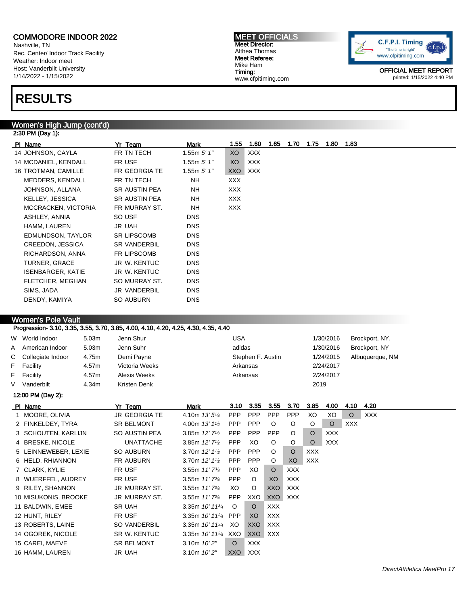Nashville, TN Rec. Center/ Indoor Track Facility Weather: Indoor meet Host: Vanderbilt University 1/14/2022 - 1/15/2022

### RESULTS

### Women's High Jump (cont'd)

2:30 PM (Day 1):

| PI Name                  | Yr Team              | <b>Mark</b>     | 1.55       | 1.60 | 1.65 | 1.70 | 1.75 | 1.80 | 1.83 |  |
|--------------------------|----------------------|-----------------|------------|------|------|------|------|------|------|--|
| 14 JOHNSON, CAYLA        | FR TN TECH           | 1.55m $5'$ 1"   | XO         | XXX  |      |      |      |      |      |  |
| 14 MCDANIEL, KENDALL     | FR USF               | 1.55 $m 5' 1''$ | XO         | XXX  |      |      |      |      |      |  |
| 16 TROTMAN, CAMILLE      | FR GEORGIA TE        | 1.55m $5'$ 1"   | XXO        | XXX  |      |      |      |      |      |  |
| MEDDERS, KENDALL         | FR TN TECH           | NΗ              | XXX.       |      |      |      |      |      |      |  |
| JOHNSON, ALLANA          | <b>SR AUSTIN PEA</b> | NΗ              | <b>XXX</b> |      |      |      |      |      |      |  |
| KELLEY, JESSICA          | <b>SR AUSTIN PEA</b> | <b>NH</b>       | <b>XXX</b> |      |      |      |      |      |      |  |
| MCCRACKEN, VICTORIA      | FR MURRAY ST.        | NH.             | <b>XXX</b> |      |      |      |      |      |      |  |
| ASHLEY, ANNIA            | SO USF               | <b>DNS</b>      |            |      |      |      |      |      |      |  |
| HAMM, LAUREN             | <b>JR UAH</b>        | <b>DNS</b>      |            |      |      |      |      |      |      |  |
| EDMUNDSON, TAYLOR        | <b>SR LIPSCOMB</b>   | <b>DNS</b>      |            |      |      |      |      |      |      |  |
| CREEDON, JESSICA         | <b>SR VANDERBIL</b>  | <b>DNS</b>      |            |      |      |      |      |      |      |  |
| RICHARDSON, ANNA         | FR LIPSCOMB          | <b>DNS</b>      |            |      |      |      |      |      |      |  |
| TURNER, GRACE            | JR W. KENTUC         | <b>DNS</b>      |            |      |      |      |      |      |      |  |
| <b>ISENBARGER, KATIE</b> | JR W. KENTUC         | <b>DNS</b>      |            |      |      |      |      |      |      |  |
| FLETCHER, MEGHAN         | SO MURRAY ST.        | <b>DNS</b>      |            |      |      |      |      |      |      |  |
| SIMS, JADA               | <b>JR VANDERBIL</b>  | <b>DNS</b>      |            |      |      |      |      |      |      |  |
| DENDY, KAMIYA            | <b>SO AUBURN</b>     | <b>DNS</b>      |            |      |      |      |      |      |      |  |

#### Women's Pole Vault

Progression- 3.10, 3.35, 3.55, 3.70, 3.85, 4.00, 4.10, 4.20, 4.25, 4.30, 4.35, 4.40

|    | W World Indoor      | 5.03 <sub>m</sub> | Jenn Shur      | USA               | 1/30/2016 | Brockport, NY,  |  |  |  |  |  |  |
|----|---------------------|-------------------|----------------|-------------------|-----------|-----------------|--|--|--|--|--|--|
| A  | American Indoor     | 5.03m             | Jenn Suhr      | adidas            | 1/30/2016 | Brockport, NY   |  |  |  |  |  |  |
|    | C Collegiate Indoor | 4.75m             | Demi Payne     | Stephen F. Austin | 1/24/2015 | Albuquerque, NM |  |  |  |  |  |  |
|    | F Facility          | 4.57m             | Victoria Weeks | Arkansas          | 2/24/2017 |                 |  |  |  |  |  |  |
| F. | Facility            | 4.57m             | Alexis Weeks   | Arkansas          | 2/24/2017 |                 |  |  |  |  |  |  |
|    | Vanderbilt          | 4.34m             | Kristen Denk   |                   | 2019      |                 |  |  |  |  |  |  |
|    | 12:00 PM (Day 2):   |                   |                |                   |           |                 |  |  |  |  |  |  |

Pl Name Yr Team Mark 3.10 3.35 3.55 3.70 3.85 4.00 4.10 4.20 1 MOORE, OLIVIA JR GEORGIA TE 4.10m 13' 51/4 PPP PPP PPP PPP PPP XO XO O XXX 2 FINKELDEY, TYRA SR BELMONT 4.00m 13' 1<sup>1</sup>/2 PPP PPP 0 0 0 0 XXX 3 SCHOUTEN, KARLIJN SO AUSTIN PEA 3.85m 12' 7<sup>1</sup>/2 PPP PPP PPP O O XXX 4 BRESKE, NICOLE UNATTACHE 3.85m 12' 71/2 PPP XO O O XXX 5 LEINNEWEBER, LEXIE SO AUBURN 3.70m 12' 11/2 PPP PPP O O XXX 6 HELD, RHIANNON FR AUBURN 3.70m 12' 11/2 PPP PPP O XO XXX 7 CLARK, KYLIE FR USF 3.55m 11' 73/<sup>4</sup> PPP XO O XXX 8 WUERFFEL, AUDREY FR USF 3.55m 11' 734 PPP O XO XXX 9 RILEY, SHANNON JR MURRAY ST. 3.55m 11' 734 XO O XXO XXX 10 MISUKONIS, BROOKE JR MURRAY ST. 3.55m 11' 73/<sup>4</sup> PPP XXO XXO XXX 11 BALDWIN, EMEE SR UAH 3.35m 10' 11<sup>34</sup> O O XXX 12 HUNT, RILEY FR USF 3.35m 10' 113/<sup>4</sup> PPP XO XXX 13 ROBERTS, LAINE SO VANDERBIL 3.35m 10' 1134 XO XXO XXX 14 OGOREK, NICOLE SR W. KENTUC 3.35m 10' 1134 XXO XXX 15 CAREI, MAEVE SR BELMONT 3.10m 10' 2" O XXX 16 HAMM, LAUREN JR UAH 3.10m 10' 2" XXO | XXX

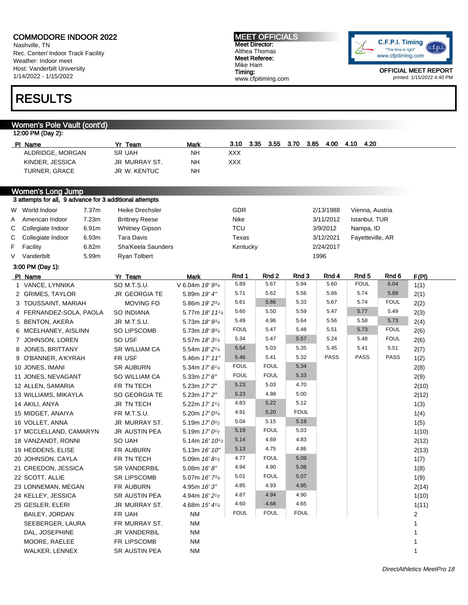Nashville, TN Rec. Center/ Indoor Track Facility Weather: Indoor meet Host: Vanderbilt University 1/14/2022 - 1/15/2022

### RESULTS

#### Women's Pole Vault (cont'd)

12:00 PM (Day 2):

| PI Name          | Team          | Mark      | 3.10 | 3.35 | 3.55 | 3.70 | 3.85 | 4.00 | 4.10 | 4.20 |
|------------------|---------------|-----------|------|------|------|------|------|------|------|------|
| ALDRIDGE, MORGAN | <b>SR UAH</b> | <b>NH</b> | XXX  |      |      |      |      |      |      |      |
| KINDER, JESSICA  | JR MURRAY ST. | NH        | XXX  |      |      |      |      |      |      |      |
| TURNER. GRACE    | JR W. KENTUC  | NΗ        |      |      |      |      |      |      |      |      |

| Women's Long Jump                                       |                     |                   |                       |            |           |                  |  |  |  |  |  |
|---------------------------------------------------------|---------------------|-------------------|-----------------------|------------|-----------|------------------|--|--|--|--|--|
| 3 attempts for all, 9 advance for 3 additional attempts |                     |                   |                       |            |           |                  |  |  |  |  |  |
|                                                         | W World Indoor      | 7.37 <sub>m</sub> | Heike Drechsler       | <b>GDR</b> | 2/13/1988 | Vienna, Austria  |  |  |  |  |  |
|                                                         | A American Indoor   | 7.23m             | <b>Brittney Reese</b> | Nike       | 3/11/2012 | Istanbul, TUR    |  |  |  |  |  |
|                                                         | C Collegiate Indoor | 6.91m             | <b>Whitney Gipson</b> | TCU        | 3/9/2012  | Nampa, ID        |  |  |  |  |  |
|                                                         | C Collegiate Indoor | 6.93m             | Tara Davis            | Texas      | 3/12/2021 | Fayetteville, AR |  |  |  |  |  |
|                                                         | F Facility          | 6.82m             | Sha'Keela Saunders    | Kentucky   | 2/24/2017 |                  |  |  |  |  |  |
| V                                                       | Vanderbilt          | 5.99m             | Ryan Tolbert          |            | 1996      |                  |  |  |  |  |  |
| 3:00 PM (Day 1):                                        |                     |                   |                       |            |           |                  |  |  |  |  |  |

| PI Name                 | Yr Team              | <b>Mark</b>                              | Rnd 1       | Rnd 2       | Rnd 3       | Rnd 4       | Rnd <sub>5</sub> | Rnd 6       | F(PI) |
|-------------------------|----------------------|------------------------------------------|-------------|-------------|-------------|-------------|------------------|-------------|-------|
| 1 VANCE, LYNNIKA        | SO M.T.S.U.          | V 6.04m 19' 93/4                         | 5.89        | 5.67        | 5.94        | 5.60        | <b>FOUL</b>      | 6.04        | 1(1)  |
| 2 GRIMES, TAYLOR        | <b>JR GEORGIA TE</b> | 5.89m 19' 4"                             | 5.71        | 5.62        | 5.56        | 5.66        | 5.74             | 5.89        | 2(1)  |
| 3 TOUSSAINT, MARIAH     | <b>MOVING FO</b>     | 5.86m 19' 23/4                           | 5.61        | 5.86        | 5.33        | 5.67        | 5.74             | <b>FOUL</b> | 2(2)  |
| 4 FERNANDEZ-SOLA, PAOLA | SO INDIANA           | 5.77m 18' 111/4                          | 5.60        | 5.50        | 5.59        | 5.47        | 5.77             | 5.49        | 2(3)  |
| 5 BENTON, AKERA         | JR M.T.S.U.          | 5.73m 18' 93/4                           | 5.49        | 4.96        | 5.64        | 5.56        | 5.58             | 5.73        | 2(4)  |
| 6 MCELHANEY, AISLINN    | SO LIPSCOMB          | 5.73m 18' 93/4                           | <b>FOUL</b> | 5.47        | 5.48        | 5.51        | 5.73             | <b>FOUL</b> | 2(6)  |
| 7 JOHNSON, LOREN        | SO USF               | 5.57m 18' 3 <sup>1/4</sup>               | 5.34        | 5.47        | 5.57        | 5.24        | 5.48             | <b>FOUL</b> | 2(6)  |
| 8 JONES, BRITTANY       | <b>SR WILLIAM CA</b> | 5.54m 18' 2 <sup>1/4</sup>               | 5.54        | 5.03        | 5.35        | 5.45        | 5.41             | 5.51        | 2(7)  |
| 9 O'BANNER, A'KYRAH     | FR USF               | 5.46m 17' 11"                            | 5.46        | 5.41        | 5.32        | <b>PASS</b> | <b>PASS</b>      | <b>PASS</b> | 1(2)  |
| 10 JONES, IMANI         | <b>SR AUBURN</b>     | 5.34m 17' 6 <sup>1/4</sup>               | <b>FOUL</b> | <b>FOUL</b> | 5.34        |             |                  |             | 2(8)  |
| 11 JONES, NEVAGANT      | SO WILLIAM CA        | 5.33m $17'6''$                           | <b>FOUL</b> | <b>FOUL</b> | 5.33        |             |                  |             | 2(9)  |
| 12 ALLEN, SAMARIA       | FR TN TECH           | 5.23m 17' 2"                             | 5.23        | 5.03        | 4.70        |             |                  |             | 2(10) |
| 13 WILLIAMS, MIKAYLA    | SO GEORGIA TE        | 5.23m 17' 2"                             | 5.23        | 4.98        | 5.00        |             |                  |             | 2(12) |
| 14 AKILI, ANYA          | <b>JR TN TECH</b>    | 5.22m 17' 11/2                           | 4.83        | 5.22        | 5.12        |             |                  |             | 1(3)  |
| 15 MIDGET, ANAIYA       | FR M.T.S.U.          | 5.20m 17' 0 <sup>3/4</sup>               | 4.91        | 5.20        | <b>FOUL</b> |             |                  |             | 1(4)  |
| 16 VOLLET, ANNA         | JR MURRAY ST.        | 5.19m $17'0\frac{1}{2}$                  | 5.04        | 5.15        | 5.19        |             |                  |             | 1(5)  |
| 17 MCCLELLAND, CAMARYN  | JR AUSTIN PEA        | 5.19m 17' 0 <sup>1</sup> / <sub>2</sub>  | 5.19        | <b>FOUL</b> | 5.03        |             |                  |             | 1(10) |
| 18 VANZANDT, RONNI      | SO UAH               | 5.14m 16' 10 <sup>1</sup> / <sub>2</sub> | 5.14        | 4.69        | 4.83        |             |                  |             | 2(12) |
| 19 HEDDENS, ELISE       | FR AUBURN            | 5.13m 16' 10"                            | 5.13        | 4.75        | 4.86        |             |                  |             | 2(13) |
| 20 JOHNSON, CAYLA       | FR TN TECH           | 5.09m $16'8'$                            | 4.77        | <b>FOUL</b> | 5.09        |             |                  |             | 1(7)  |
| 21 CREEDON, JESSICA     | SR VANDERBIL         | 5.08m 16'8"                              | 4.94        | 4.90        | 5.08        |             |                  |             | 1(8)  |
| 22 SCOTT, ALLIE         | <b>SR LIPSCOMB</b>   | 5.07m 16' 7 <sup>3/4</sup>               | 5.01        | <b>FOUL</b> | 5.07        |             |                  |             | 1(9)  |
| 23 LONNEMAN, MEGAN      | FR AUBURN            | 4.95m 16'3"                              | 4.85        | 4.93        | 4.95        |             |                  |             | 2(14) |
| 24 KELLEY, JESSICA      | SR AUSTIN PEA        | 4.94m 16' 2 <sup>1</sup> / <sub>2</sub>  | 4.87        | 4.94        | 4.90        |             |                  |             | 1(10) |
| 25 GESLER, ELERI        | JR MURRAY ST.        | 4.68m 15' 41/4                           | 4.60        | 4.68        | 4.65        |             |                  |             | 1(11) |
| BAILEY, JORDAN          | FR UAH               | <b>NM</b>                                | <b>FOUL</b> | <b>FOUL</b> | <b>FOUL</b> |             |                  |             | 2     |
| SEEBERGER, LAURA        | FR MURRAY ST.        | <b>NM</b>                                |             |             |             |             |                  |             | 1     |
| DAL, JOSEPHINE          | JR VANDERBIL         | <b>NM</b>                                |             |             |             |             |                  |             | 1     |
| MOORE, RAELEE           | FR LIPSCOMB          | <b>NM</b>                                |             |             |             |             |                  |             | 1     |
| WALKER, LENNEX          | <b>SR AUSTIN PEA</b> | <b>NM</b>                                |             |             |             |             |                  |             | 1     |
|                         |                      |                                          |             |             |             |             |                  |             |       |

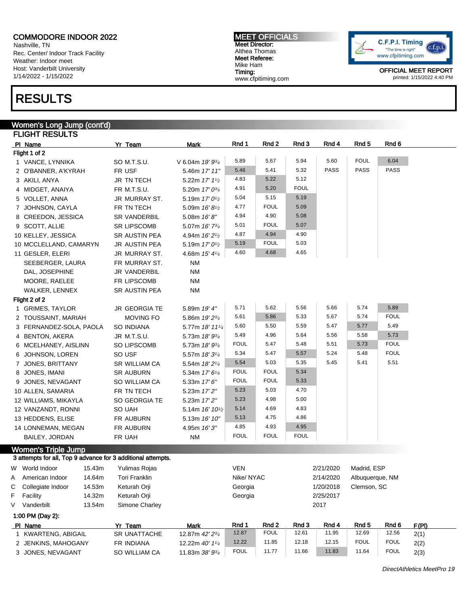Nashville, TN Rec. Center/ Indoor Track Facility Weather: Indoor meet Host: Vanderbilt University 1/14/2022 - 1/15/2022

### RESULTS

# Women's Long Jump (cont'd)

| Rnd 1<br>Rnd 2<br>Rnd 3<br>Rnd 4<br>Rnd 6<br>Rnd <sub>5</sub><br>PI_Name<br>Yr Team<br><b>Mark</b><br>Flight 1 of 2<br><b>FOUL</b><br>6.04<br>5.67<br>5.94<br>5.60<br>5.89<br>1 VANCE, LYNNIKA<br>SO M.T.S.U.<br>V 6.04m 19' 93/4<br><b>PASS</b><br><b>PASS</b><br><b>PASS</b><br>5.46<br>5.41<br>5.32<br>FR USF<br>2 O'BANNER, A'KYRAH<br>5.46m 17' 11"<br>5.12<br>4.83<br>5.22<br>3 AKILI, ANYA<br><b>JR TN TECH</b><br>5.22m $17'1\frac{1}{2}$<br><b>FOUL</b><br>4.91<br>5.20<br>4 MIDGET, ANAIYA<br>FR M.T.S.U.<br>5.20m $17'0^{3/4}$<br>5.15<br>5.19<br>5.04<br>5 VOLLET, ANNA<br>JR MURRAY ST.<br>5.19m $17'0\frac{1}{2}$<br><b>FOUL</b><br>5.09<br>4.77<br>7 JOHNSON, CAYLA<br>FR TN TECH<br>5.09m $16'8\frac{1}{2}$<br>4.90<br>5.08<br>4.94<br>8 CREEDON, JESSICA<br><b>SR VANDERBIL</b><br>5.08m $16'8''$<br><b>FOUL</b><br>5.01<br>5.07<br>9 SCOTT, ALLIE<br><b>SR LIPSCOMB</b><br>5.07m $16'$ 7 $\frac{3}{4}$<br>4.94<br>4.90<br>4.87<br>10 KELLEY, JESSICA<br>SR AUSTIN PEA<br>4.94m $16'2\frac{1}{2}$<br><b>FOUL</b><br>5.03<br>5.19<br>10 MCCLELLAND, CAMARYN<br>JR AUSTIN PEA<br>5.19m $17'0\frac{1}{2}$<br>4.68<br>4.65<br>4.60<br>11 GESLER, ELERI<br>JR MURRAY ST.<br>4.68m $15'$ 4 $\frac{1}{4}$<br>SEEBERGER, LAURA<br>FR MURRAY ST.<br>ΝM<br><b>NM</b><br>DAL, JOSEPHINE<br>JR VANDERBIL<br><b>NM</b><br>MOORE, RAELEE<br>FR LIPSCOMB<br>WALKER, LENNEX<br>SR AUSTIN PEA<br>ΝM<br>Flight 2 of 2<br>5.71<br>5.62<br>5.74<br>5.89<br>5.56<br>5.66<br>JR GEORGIA TE<br>1 GRIMES, TAYLOR<br>5.89m 19' 4"<br><b>FOUL</b><br>5.67<br>5.74<br>5.61<br>5.86<br>5.33<br><b>MOVING FO</b><br>2 TOUSSAINT, MARIAH<br>5.86m 19' 23/4<br>5.47<br>5.77<br>5.49<br>5.60<br>5.50<br>5.59<br><b>SO INDIANA</b><br>3 FERNANDEZ-SOLA, PAOLA<br>5.77m 18' 111/4<br>5.73<br>5.49<br>5.64<br>5.56<br>5.58<br>4.96<br>4 BENTON, AKERA<br>JR M.T.S.U.<br>5.73m $18'$ $9\frac{3}{4}$<br><b>FOUL</b><br><b>FOUL</b><br>5.51<br>5.73<br>5.47<br>5.48<br>6 MCELHANEY, AISLINN<br>SO LIPSCOMB<br>5.73m $18'$ $9\frac{3}{4}$<br><b>FOUL</b><br>5.24<br>5.48<br>5.34<br>5.47<br>5.57<br>6 JOHNSON, LOREN<br>SO USF<br>5.57m $18'3\frac{1}{4}$<br>5.54<br>5.03<br>5.41<br>5.51<br>5.35<br>5.45<br>7 JONES, BRITTANY<br><b>SR WILLIAM CA</b><br>5.54m $18'2\frac{1}{4}$<br><b>FOUL</b><br><b>FOUL</b><br>5.34<br>8 JONES, IMANI<br><b>SR AUBURN</b><br>5.34m $17'$ 6 <sup>1/4</sup><br><b>FOUL</b><br><b>FOUL</b><br>5.33<br>9 JONES, NEVAGANT<br>SO WILLIAM CA<br>5.33m $17'6''$<br>5.23<br>5.03<br>4.70<br>FR TN TECH<br>10 ALLEN, SAMARIA<br>5.23m 17' 2"<br>5.23<br>4.98<br>5.00<br>12 WILLIAMS, MIKAYLA<br>SO GEORGIA TE<br>5.23m $17'2''$<br>4.83<br>5.14<br>4.69<br>12 VANZANDT, RONNI<br>SO UAH<br>5.14m 16' 10 <sup>1</sup> / <sub>2</sub><br>5.13<br>4.75<br>4.86<br>13 HEDDENS, ELISE<br>FR AUBURN<br>5.13m 16' 10"<br>4.85<br>4.93<br>4.95<br>14 LONNEMAN, MEGAN<br>FR AUBURN<br>4.95m $16'3''$<br><b>FOUL</b><br><b>FOUL</b><br><b>FOUL</b><br>BAILEY, JORDAN<br>FR UAH<br>ΝM<br><b>Women's Triple Jump</b><br>3 attempts for all, Top 9 advance for 3 additional attempts.<br><b>VEN</b><br>W World Indoor<br>15.43m<br>Yulimas Rojas<br>2/21/2020<br>Madrid, ESP<br>Nike/NYAC<br>American Indoor<br>14.64m<br>Tori Franklin<br>2/14/2020<br>Albuquerque, NM<br>Collegiate Indoor<br>14.53m<br>Keturah Orji<br>Georgia<br>1/20/2018<br>Clemson, SC<br>14.32m<br>Facility<br>Keturah Orji<br>Georgia<br>2/25/2017<br>Simone Charley<br>2017<br>Vanderbilt<br>13.54m<br>1:00 PM (Day 2):<br>Rnd 2<br>Rnd 1<br>Rnd 3<br>Rnd 4<br>Rnd 5<br>Rnd 6<br>PI Name<br>Yr Team<br><b>Mark</b><br><b>FOUL</b><br>12.87<br>12.61<br>11.95<br>12.69<br>12.56<br>1 KWARTENG, ABIGAIL<br>SR UNATTACHE<br>12.87m 42' 23/4<br><b>FOUL</b><br><b>FOUL</b><br>12.22<br>11.85<br>12.18<br>12.15<br>2 JENKINS, MAHOGANY<br>FR INDIANA<br>12.22m 40' 11/4<br><b>FOUL</b><br><b>FOUL</b><br>11.77<br>11.66<br>11.83<br>11.64<br>3 JONES, NEVAGANT | <b>FLIGHT RESULTS</b> |  |               |                 |  |  |  |  |  |  |       |
|----------------------------------------------------------------------------------------------------------------------------------------------------------------------------------------------------------------------------------------------------------------------------------------------------------------------------------------------------------------------------------------------------------------------------------------------------------------------------------------------------------------------------------------------------------------------------------------------------------------------------------------------------------------------------------------------------------------------------------------------------------------------------------------------------------------------------------------------------------------------------------------------------------------------------------------------------------------------------------------------------------------------------------------------------------------------------------------------------------------------------------------------------------------------------------------------------------------------------------------------------------------------------------------------------------------------------------------------------------------------------------------------------------------------------------------------------------------------------------------------------------------------------------------------------------------------------------------------------------------------------------------------------------------------------------------------------------------------------------------------------------------------------------------------------------------------------------------------------------------------------------------------------------------------------------------------------------------------------------------------------------------------------------------------------------------------------------------------------------------------------------------------------------------------------------------------------------------------------------------------------------------------------------------------------------------------------------------------------------------------------------------------------------------------------------------------------------------------------------------------------------------------------------------------------------------------------------------------------------------------------------------------------------------------------------------------------------------------------------------------------------------------------------------------------------------------------------------------------------------------------------------------------------------------------------------------------------------------------------------------------------------------------------------------------------------------------------------------------------------------------------------------------------------------------------------------------------------------------------------------------------------------------------------------------------------------------------------------------------------------------------------------------------------------------------------------------------------------------------------------------------------------------------------------------------------------------------------------------------------------------------------------------------------------------------------------------------------------------------------------------------------------------------------------------------------------------------------------------------------------------------------------------------------------------|-----------------------|--|---------------|-----------------|--|--|--|--|--|--|-------|
|                                                                                                                                                                                                                                                                                                                                                                                                                                                                                                                                                                                                                                                                                                                                                                                                                                                                                                                                                                                                                                                                                                                                                                                                                                                                                                                                                                                                                                                                                                                                                                                                                                                                                                                                                                                                                                                                                                                                                                                                                                                                                                                                                                                                                                                                                                                                                                                                                                                                                                                                                                                                                                                                                                                                                                                                                                                                                                                                                                                                                                                                                                                                                                                                                                                                                                                                                                                                                                                                                                                                                                                                                                                                                                                                                                                                                                                                                                                            |                       |  |               |                 |  |  |  |  |  |  |       |
|                                                                                                                                                                                                                                                                                                                                                                                                                                                                                                                                                                                                                                                                                                                                                                                                                                                                                                                                                                                                                                                                                                                                                                                                                                                                                                                                                                                                                                                                                                                                                                                                                                                                                                                                                                                                                                                                                                                                                                                                                                                                                                                                                                                                                                                                                                                                                                                                                                                                                                                                                                                                                                                                                                                                                                                                                                                                                                                                                                                                                                                                                                                                                                                                                                                                                                                                                                                                                                                                                                                                                                                                                                                                                                                                                                                                                                                                                                                            |                       |  |               |                 |  |  |  |  |  |  |       |
|                                                                                                                                                                                                                                                                                                                                                                                                                                                                                                                                                                                                                                                                                                                                                                                                                                                                                                                                                                                                                                                                                                                                                                                                                                                                                                                                                                                                                                                                                                                                                                                                                                                                                                                                                                                                                                                                                                                                                                                                                                                                                                                                                                                                                                                                                                                                                                                                                                                                                                                                                                                                                                                                                                                                                                                                                                                                                                                                                                                                                                                                                                                                                                                                                                                                                                                                                                                                                                                                                                                                                                                                                                                                                                                                                                                                                                                                                                                            |                       |  |               |                 |  |  |  |  |  |  |       |
|                                                                                                                                                                                                                                                                                                                                                                                                                                                                                                                                                                                                                                                                                                                                                                                                                                                                                                                                                                                                                                                                                                                                                                                                                                                                                                                                                                                                                                                                                                                                                                                                                                                                                                                                                                                                                                                                                                                                                                                                                                                                                                                                                                                                                                                                                                                                                                                                                                                                                                                                                                                                                                                                                                                                                                                                                                                                                                                                                                                                                                                                                                                                                                                                                                                                                                                                                                                                                                                                                                                                                                                                                                                                                                                                                                                                                                                                                                                            |                       |  |               |                 |  |  |  |  |  |  |       |
|                                                                                                                                                                                                                                                                                                                                                                                                                                                                                                                                                                                                                                                                                                                                                                                                                                                                                                                                                                                                                                                                                                                                                                                                                                                                                                                                                                                                                                                                                                                                                                                                                                                                                                                                                                                                                                                                                                                                                                                                                                                                                                                                                                                                                                                                                                                                                                                                                                                                                                                                                                                                                                                                                                                                                                                                                                                                                                                                                                                                                                                                                                                                                                                                                                                                                                                                                                                                                                                                                                                                                                                                                                                                                                                                                                                                                                                                                                                            |                       |  |               |                 |  |  |  |  |  |  |       |
|                                                                                                                                                                                                                                                                                                                                                                                                                                                                                                                                                                                                                                                                                                                                                                                                                                                                                                                                                                                                                                                                                                                                                                                                                                                                                                                                                                                                                                                                                                                                                                                                                                                                                                                                                                                                                                                                                                                                                                                                                                                                                                                                                                                                                                                                                                                                                                                                                                                                                                                                                                                                                                                                                                                                                                                                                                                                                                                                                                                                                                                                                                                                                                                                                                                                                                                                                                                                                                                                                                                                                                                                                                                                                                                                                                                                                                                                                                                            |                       |  |               |                 |  |  |  |  |  |  |       |
|                                                                                                                                                                                                                                                                                                                                                                                                                                                                                                                                                                                                                                                                                                                                                                                                                                                                                                                                                                                                                                                                                                                                                                                                                                                                                                                                                                                                                                                                                                                                                                                                                                                                                                                                                                                                                                                                                                                                                                                                                                                                                                                                                                                                                                                                                                                                                                                                                                                                                                                                                                                                                                                                                                                                                                                                                                                                                                                                                                                                                                                                                                                                                                                                                                                                                                                                                                                                                                                                                                                                                                                                                                                                                                                                                                                                                                                                                                                            |                       |  |               |                 |  |  |  |  |  |  |       |
|                                                                                                                                                                                                                                                                                                                                                                                                                                                                                                                                                                                                                                                                                                                                                                                                                                                                                                                                                                                                                                                                                                                                                                                                                                                                                                                                                                                                                                                                                                                                                                                                                                                                                                                                                                                                                                                                                                                                                                                                                                                                                                                                                                                                                                                                                                                                                                                                                                                                                                                                                                                                                                                                                                                                                                                                                                                                                                                                                                                                                                                                                                                                                                                                                                                                                                                                                                                                                                                                                                                                                                                                                                                                                                                                                                                                                                                                                                                            |                       |  |               |                 |  |  |  |  |  |  |       |
|                                                                                                                                                                                                                                                                                                                                                                                                                                                                                                                                                                                                                                                                                                                                                                                                                                                                                                                                                                                                                                                                                                                                                                                                                                                                                                                                                                                                                                                                                                                                                                                                                                                                                                                                                                                                                                                                                                                                                                                                                                                                                                                                                                                                                                                                                                                                                                                                                                                                                                                                                                                                                                                                                                                                                                                                                                                                                                                                                                                                                                                                                                                                                                                                                                                                                                                                                                                                                                                                                                                                                                                                                                                                                                                                                                                                                                                                                                                            |                       |  |               |                 |  |  |  |  |  |  |       |
|                                                                                                                                                                                                                                                                                                                                                                                                                                                                                                                                                                                                                                                                                                                                                                                                                                                                                                                                                                                                                                                                                                                                                                                                                                                                                                                                                                                                                                                                                                                                                                                                                                                                                                                                                                                                                                                                                                                                                                                                                                                                                                                                                                                                                                                                                                                                                                                                                                                                                                                                                                                                                                                                                                                                                                                                                                                                                                                                                                                                                                                                                                                                                                                                                                                                                                                                                                                                                                                                                                                                                                                                                                                                                                                                                                                                                                                                                                                            |                       |  |               |                 |  |  |  |  |  |  |       |
|                                                                                                                                                                                                                                                                                                                                                                                                                                                                                                                                                                                                                                                                                                                                                                                                                                                                                                                                                                                                                                                                                                                                                                                                                                                                                                                                                                                                                                                                                                                                                                                                                                                                                                                                                                                                                                                                                                                                                                                                                                                                                                                                                                                                                                                                                                                                                                                                                                                                                                                                                                                                                                                                                                                                                                                                                                                                                                                                                                                                                                                                                                                                                                                                                                                                                                                                                                                                                                                                                                                                                                                                                                                                                                                                                                                                                                                                                                                            |                       |  |               |                 |  |  |  |  |  |  |       |
|                                                                                                                                                                                                                                                                                                                                                                                                                                                                                                                                                                                                                                                                                                                                                                                                                                                                                                                                                                                                                                                                                                                                                                                                                                                                                                                                                                                                                                                                                                                                                                                                                                                                                                                                                                                                                                                                                                                                                                                                                                                                                                                                                                                                                                                                                                                                                                                                                                                                                                                                                                                                                                                                                                                                                                                                                                                                                                                                                                                                                                                                                                                                                                                                                                                                                                                                                                                                                                                                                                                                                                                                                                                                                                                                                                                                                                                                                                                            |                       |  |               |                 |  |  |  |  |  |  |       |
|                                                                                                                                                                                                                                                                                                                                                                                                                                                                                                                                                                                                                                                                                                                                                                                                                                                                                                                                                                                                                                                                                                                                                                                                                                                                                                                                                                                                                                                                                                                                                                                                                                                                                                                                                                                                                                                                                                                                                                                                                                                                                                                                                                                                                                                                                                                                                                                                                                                                                                                                                                                                                                                                                                                                                                                                                                                                                                                                                                                                                                                                                                                                                                                                                                                                                                                                                                                                                                                                                                                                                                                                                                                                                                                                                                                                                                                                                                                            |                       |  |               |                 |  |  |  |  |  |  |       |
|                                                                                                                                                                                                                                                                                                                                                                                                                                                                                                                                                                                                                                                                                                                                                                                                                                                                                                                                                                                                                                                                                                                                                                                                                                                                                                                                                                                                                                                                                                                                                                                                                                                                                                                                                                                                                                                                                                                                                                                                                                                                                                                                                                                                                                                                                                                                                                                                                                                                                                                                                                                                                                                                                                                                                                                                                                                                                                                                                                                                                                                                                                                                                                                                                                                                                                                                                                                                                                                                                                                                                                                                                                                                                                                                                                                                                                                                                                                            |                       |  |               |                 |  |  |  |  |  |  |       |
|                                                                                                                                                                                                                                                                                                                                                                                                                                                                                                                                                                                                                                                                                                                                                                                                                                                                                                                                                                                                                                                                                                                                                                                                                                                                                                                                                                                                                                                                                                                                                                                                                                                                                                                                                                                                                                                                                                                                                                                                                                                                                                                                                                                                                                                                                                                                                                                                                                                                                                                                                                                                                                                                                                                                                                                                                                                                                                                                                                                                                                                                                                                                                                                                                                                                                                                                                                                                                                                                                                                                                                                                                                                                                                                                                                                                                                                                                                                            |                       |  |               |                 |  |  |  |  |  |  |       |
|                                                                                                                                                                                                                                                                                                                                                                                                                                                                                                                                                                                                                                                                                                                                                                                                                                                                                                                                                                                                                                                                                                                                                                                                                                                                                                                                                                                                                                                                                                                                                                                                                                                                                                                                                                                                                                                                                                                                                                                                                                                                                                                                                                                                                                                                                                                                                                                                                                                                                                                                                                                                                                                                                                                                                                                                                                                                                                                                                                                                                                                                                                                                                                                                                                                                                                                                                                                                                                                                                                                                                                                                                                                                                                                                                                                                                                                                                                                            |                       |  |               |                 |  |  |  |  |  |  |       |
|                                                                                                                                                                                                                                                                                                                                                                                                                                                                                                                                                                                                                                                                                                                                                                                                                                                                                                                                                                                                                                                                                                                                                                                                                                                                                                                                                                                                                                                                                                                                                                                                                                                                                                                                                                                                                                                                                                                                                                                                                                                                                                                                                                                                                                                                                                                                                                                                                                                                                                                                                                                                                                                                                                                                                                                                                                                                                                                                                                                                                                                                                                                                                                                                                                                                                                                                                                                                                                                                                                                                                                                                                                                                                                                                                                                                                                                                                                                            |                       |  |               |                 |  |  |  |  |  |  |       |
|                                                                                                                                                                                                                                                                                                                                                                                                                                                                                                                                                                                                                                                                                                                                                                                                                                                                                                                                                                                                                                                                                                                                                                                                                                                                                                                                                                                                                                                                                                                                                                                                                                                                                                                                                                                                                                                                                                                                                                                                                                                                                                                                                                                                                                                                                                                                                                                                                                                                                                                                                                                                                                                                                                                                                                                                                                                                                                                                                                                                                                                                                                                                                                                                                                                                                                                                                                                                                                                                                                                                                                                                                                                                                                                                                                                                                                                                                                                            |                       |  |               |                 |  |  |  |  |  |  |       |
|                                                                                                                                                                                                                                                                                                                                                                                                                                                                                                                                                                                                                                                                                                                                                                                                                                                                                                                                                                                                                                                                                                                                                                                                                                                                                                                                                                                                                                                                                                                                                                                                                                                                                                                                                                                                                                                                                                                                                                                                                                                                                                                                                                                                                                                                                                                                                                                                                                                                                                                                                                                                                                                                                                                                                                                                                                                                                                                                                                                                                                                                                                                                                                                                                                                                                                                                                                                                                                                                                                                                                                                                                                                                                                                                                                                                                                                                                                                            |                       |  |               |                 |  |  |  |  |  |  |       |
|                                                                                                                                                                                                                                                                                                                                                                                                                                                                                                                                                                                                                                                                                                                                                                                                                                                                                                                                                                                                                                                                                                                                                                                                                                                                                                                                                                                                                                                                                                                                                                                                                                                                                                                                                                                                                                                                                                                                                                                                                                                                                                                                                                                                                                                                                                                                                                                                                                                                                                                                                                                                                                                                                                                                                                                                                                                                                                                                                                                                                                                                                                                                                                                                                                                                                                                                                                                                                                                                                                                                                                                                                                                                                                                                                                                                                                                                                                                            |                       |  |               |                 |  |  |  |  |  |  |       |
|                                                                                                                                                                                                                                                                                                                                                                                                                                                                                                                                                                                                                                                                                                                                                                                                                                                                                                                                                                                                                                                                                                                                                                                                                                                                                                                                                                                                                                                                                                                                                                                                                                                                                                                                                                                                                                                                                                                                                                                                                                                                                                                                                                                                                                                                                                                                                                                                                                                                                                                                                                                                                                                                                                                                                                                                                                                                                                                                                                                                                                                                                                                                                                                                                                                                                                                                                                                                                                                                                                                                                                                                                                                                                                                                                                                                                                                                                                                            |                       |  |               |                 |  |  |  |  |  |  |       |
|                                                                                                                                                                                                                                                                                                                                                                                                                                                                                                                                                                                                                                                                                                                                                                                                                                                                                                                                                                                                                                                                                                                                                                                                                                                                                                                                                                                                                                                                                                                                                                                                                                                                                                                                                                                                                                                                                                                                                                                                                                                                                                                                                                                                                                                                                                                                                                                                                                                                                                                                                                                                                                                                                                                                                                                                                                                                                                                                                                                                                                                                                                                                                                                                                                                                                                                                                                                                                                                                                                                                                                                                                                                                                                                                                                                                                                                                                                                            |                       |  |               |                 |  |  |  |  |  |  |       |
|                                                                                                                                                                                                                                                                                                                                                                                                                                                                                                                                                                                                                                                                                                                                                                                                                                                                                                                                                                                                                                                                                                                                                                                                                                                                                                                                                                                                                                                                                                                                                                                                                                                                                                                                                                                                                                                                                                                                                                                                                                                                                                                                                                                                                                                                                                                                                                                                                                                                                                                                                                                                                                                                                                                                                                                                                                                                                                                                                                                                                                                                                                                                                                                                                                                                                                                                                                                                                                                                                                                                                                                                                                                                                                                                                                                                                                                                                                                            |                       |  |               |                 |  |  |  |  |  |  |       |
|                                                                                                                                                                                                                                                                                                                                                                                                                                                                                                                                                                                                                                                                                                                                                                                                                                                                                                                                                                                                                                                                                                                                                                                                                                                                                                                                                                                                                                                                                                                                                                                                                                                                                                                                                                                                                                                                                                                                                                                                                                                                                                                                                                                                                                                                                                                                                                                                                                                                                                                                                                                                                                                                                                                                                                                                                                                                                                                                                                                                                                                                                                                                                                                                                                                                                                                                                                                                                                                                                                                                                                                                                                                                                                                                                                                                                                                                                                                            |                       |  |               |                 |  |  |  |  |  |  |       |
|                                                                                                                                                                                                                                                                                                                                                                                                                                                                                                                                                                                                                                                                                                                                                                                                                                                                                                                                                                                                                                                                                                                                                                                                                                                                                                                                                                                                                                                                                                                                                                                                                                                                                                                                                                                                                                                                                                                                                                                                                                                                                                                                                                                                                                                                                                                                                                                                                                                                                                                                                                                                                                                                                                                                                                                                                                                                                                                                                                                                                                                                                                                                                                                                                                                                                                                                                                                                                                                                                                                                                                                                                                                                                                                                                                                                                                                                                                                            |                       |  |               |                 |  |  |  |  |  |  |       |
|                                                                                                                                                                                                                                                                                                                                                                                                                                                                                                                                                                                                                                                                                                                                                                                                                                                                                                                                                                                                                                                                                                                                                                                                                                                                                                                                                                                                                                                                                                                                                                                                                                                                                                                                                                                                                                                                                                                                                                                                                                                                                                                                                                                                                                                                                                                                                                                                                                                                                                                                                                                                                                                                                                                                                                                                                                                                                                                                                                                                                                                                                                                                                                                                                                                                                                                                                                                                                                                                                                                                                                                                                                                                                                                                                                                                                                                                                                                            |                       |  |               |                 |  |  |  |  |  |  |       |
|                                                                                                                                                                                                                                                                                                                                                                                                                                                                                                                                                                                                                                                                                                                                                                                                                                                                                                                                                                                                                                                                                                                                                                                                                                                                                                                                                                                                                                                                                                                                                                                                                                                                                                                                                                                                                                                                                                                                                                                                                                                                                                                                                                                                                                                                                                                                                                                                                                                                                                                                                                                                                                                                                                                                                                                                                                                                                                                                                                                                                                                                                                                                                                                                                                                                                                                                                                                                                                                                                                                                                                                                                                                                                                                                                                                                                                                                                                                            |                       |  |               |                 |  |  |  |  |  |  |       |
|                                                                                                                                                                                                                                                                                                                                                                                                                                                                                                                                                                                                                                                                                                                                                                                                                                                                                                                                                                                                                                                                                                                                                                                                                                                                                                                                                                                                                                                                                                                                                                                                                                                                                                                                                                                                                                                                                                                                                                                                                                                                                                                                                                                                                                                                                                                                                                                                                                                                                                                                                                                                                                                                                                                                                                                                                                                                                                                                                                                                                                                                                                                                                                                                                                                                                                                                                                                                                                                                                                                                                                                                                                                                                                                                                                                                                                                                                                                            |                       |  |               |                 |  |  |  |  |  |  |       |
|                                                                                                                                                                                                                                                                                                                                                                                                                                                                                                                                                                                                                                                                                                                                                                                                                                                                                                                                                                                                                                                                                                                                                                                                                                                                                                                                                                                                                                                                                                                                                                                                                                                                                                                                                                                                                                                                                                                                                                                                                                                                                                                                                                                                                                                                                                                                                                                                                                                                                                                                                                                                                                                                                                                                                                                                                                                                                                                                                                                                                                                                                                                                                                                                                                                                                                                                                                                                                                                                                                                                                                                                                                                                                                                                                                                                                                                                                                                            |                       |  |               |                 |  |  |  |  |  |  |       |
|                                                                                                                                                                                                                                                                                                                                                                                                                                                                                                                                                                                                                                                                                                                                                                                                                                                                                                                                                                                                                                                                                                                                                                                                                                                                                                                                                                                                                                                                                                                                                                                                                                                                                                                                                                                                                                                                                                                                                                                                                                                                                                                                                                                                                                                                                                                                                                                                                                                                                                                                                                                                                                                                                                                                                                                                                                                                                                                                                                                                                                                                                                                                                                                                                                                                                                                                                                                                                                                                                                                                                                                                                                                                                                                                                                                                                                                                                                                            |                       |  |               |                 |  |  |  |  |  |  |       |
|                                                                                                                                                                                                                                                                                                                                                                                                                                                                                                                                                                                                                                                                                                                                                                                                                                                                                                                                                                                                                                                                                                                                                                                                                                                                                                                                                                                                                                                                                                                                                                                                                                                                                                                                                                                                                                                                                                                                                                                                                                                                                                                                                                                                                                                                                                                                                                                                                                                                                                                                                                                                                                                                                                                                                                                                                                                                                                                                                                                                                                                                                                                                                                                                                                                                                                                                                                                                                                                                                                                                                                                                                                                                                                                                                                                                                                                                                                                            |                       |  |               |                 |  |  |  |  |  |  |       |
|                                                                                                                                                                                                                                                                                                                                                                                                                                                                                                                                                                                                                                                                                                                                                                                                                                                                                                                                                                                                                                                                                                                                                                                                                                                                                                                                                                                                                                                                                                                                                                                                                                                                                                                                                                                                                                                                                                                                                                                                                                                                                                                                                                                                                                                                                                                                                                                                                                                                                                                                                                                                                                                                                                                                                                                                                                                                                                                                                                                                                                                                                                                                                                                                                                                                                                                                                                                                                                                                                                                                                                                                                                                                                                                                                                                                                                                                                                                            |                       |  |               |                 |  |  |  |  |  |  |       |
|                                                                                                                                                                                                                                                                                                                                                                                                                                                                                                                                                                                                                                                                                                                                                                                                                                                                                                                                                                                                                                                                                                                                                                                                                                                                                                                                                                                                                                                                                                                                                                                                                                                                                                                                                                                                                                                                                                                                                                                                                                                                                                                                                                                                                                                                                                                                                                                                                                                                                                                                                                                                                                                                                                                                                                                                                                                                                                                                                                                                                                                                                                                                                                                                                                                                                                                                                                                                                                                                                                                                                                                                                                                                                                                                                                                                                                                                                                                            |                       |  |               |                 |  |  |  |  |  |  |       |
|                                                                                                                                                                                                                                                                                                                                                                                                                                                                                                                                                                                                                                                                                                                                                                                                                                                                                                                                                                                                                                                                                                                                                                                                                                                                                                                                                                                                                                                                                                                                                                                                                                                                                                                                                                                                                                                                                                                                                                                                                                                                                                                                                                                                                                                                                                                                                                                                                                                                                                                                                                                                                                                                                                                                                                                                                                                                                                                                                                                                                                                                                                                                                                                                                                                                                                                                                                                                                                                                                                                                                                                                                                                                                                                                                                                                                                                                                                                            |                       |  |               |                 |  |  |  |  |  |  |       |
|                                                                                                                                                                                                                                                                                                                                                                                                                                                                                                                                                                                                                                                                                                                                                                                                                                                                                                                                                                                                                                                                                                                                                                                                                                                                                                                                                                                                                                                                                                                                                                                                                                                                                                                                                                                                                                                                                                                                                                                                                                                                                                                                                                                                                                                                                                                                                                                                                                                                                                                                                                                                                                                                                                                                                                                                                                                                                                                                                                                                                                                                                                                                                                                                                                                                                                                                                                                                                                                                                                                                                                                                                                                                                                                                                                                                                                                                                                                            |                       |  |               |                 |  |  |  |  |  |  |       |
|                                                                                                                                                                                                                                                                                                                                                                                                                                                                                                                                                                                                                                                                                                                                                                                                                                                                                                                                                                                                                                                                                                                                                                                                                                                                                                                                                                                                                                                                                                                                                                                                                                                                                                                                                                                                                                                                                                                                                                                                                                                                                                                                                                                                                                                                                                                                                                                                                                                                                                                                                                                                                                                                                                                                                                                                                                                                                                                                                                                                                                                                                                                                                                                                                                                                                                                                                                                                                                                                                                                                                                                                                                                                                                                                                                                                                                                                                                                            |                       |  |               |                 |  |  |  |  |  |  |       |
|                                                                                                                                                                                                                                                                                                                                                                                                                                                                                                                                                                                                                                                                                                                                                                                                                                                                                                                                                                                                                                                                                                                                                                                                                                                                                                                                                                                                                                                                                                                                                                                                                                                                                                                                                                                                                                                                                                                                                                                                                                                                                                                                                                                                                                                                                                                                                                                                                                                                                                                                                                                                                                                                                                                                                                                                                                                                                                                                                                                                                                                                                                                                                                                                                                                                                                                                                                                                                                                                                                                                                                                                                                                                                                                                                                                                                                                                                                                            | A                     |  |               |                 |  |  |  |  |  |  |       |
|                                                                                                                                                                                                                                                                                                                                                                                                                                                                                                                                                                                                                                                                                                                                                                                                                                                                                                                                                                                                                                                                                                                                                                                                                                                                                                                                                                                                                                                                                                                                                                                                                                                                                                                                                                                                                                                                                                                                                                                                                                                                                                                                                                                                                                                                                                                                                                                                                                                                                                                                                                                                                                                                                                                                                                                                                                                                                                                                                                                                                                                                                                                                                                                                                                                                                                                                                                                                                                                                                                                                                                                                                                                                                                                                                                                                                                                                                                                            | С                     |  |               |                 |  |  |  |  |  |  |       |
|                                                                                                                                                                                                                                                                                                                                                                                                                                                                                                                                                                                                                                                                                                                                                                                                                                                                                                                                                                                                                                                                                                                                                                                                                                                                                                                                                                                                                                                                                                                                                                                                                                                                                                                                                                                                                                                                                                                                                                                                                                                                                                                                                                                                                                                                                                                                                                                                                                                                                                                                                                                                                                                                                                                                                                                                                                                                                                                                                                                                                                                                                                                                                                                                                                                                                                                                                                                                                                                                                                                                                                                                                                                                                                                                                                                                                                                                                                                            | F                     |  |               |                 |  |  |  |  |  |  |       |
|                                                                                                                                                                                                                                                                                                                                                                                                                                                                                                                                                                                                                                                                                                                                                                                                                                                                                                                                                                                                                                                                                                                                                                                                                                                                                                                                                                                                                                                                                                                                                                                                                                                                                                                                                                                                                                                                                                                                                                                                                                                                                                                                                                                                                                                                                                                                                                                                                                                                                                                                                                                                                                                                                                                                                                                                                                                                                                                                                                                                                                                                                                                                                                                                                                                                                                                                                                                                                                                                                                                                                                                                                                                                                                                                                                                                                                                                                                                            | V                     |  |               |                 |  |  |  |  |  |  |       |
|                                                                                                                                                                                                                                                                                                                                                                                                                                                                                                                                                                                                                                                                                                                                                                                                                                                                                                                                                                                                                                                                                                                                                                                                                                                                                                                                                                                                                                                                                                                                                                                                                                                                                                                                                                                                                                                                                                                                                                                                                                                                                                                                                                                                                                                                                                                                                                                                                                                                                                                                                                                                                                                                                                                                                                                                                                                                                                                                                                                                                                                                                                                                                                                                                                                                                                                                                                                                                                                                                                                                                                                                                                                                                                                                                                                                                                                                                                                            |                       |  |               |                 |  |  |  |  |  |  |       |
|                                                                                                                                                                                                                                                                                                                                                                                                                                                                                                                                                                                                                                                                                                                                                                                                                                                                                                                                                                                                                                                                                                                                                                                                                                                                                                                                                                                                                                                                                                                                                                                                                                                                                                                                                                                                                                                                                                                                                                                                                                                                                                                                                                                                                                                                                                                                                                                                                                                                                                                                                                                                                                                                                                                                                                                                                                                                                                                                                                                                                                                                                                                                                                                                                                                                                                                                                                                                                                                                                                                                                                                                                                                                                                                                                                                                                                                                                                                            |                       |  |               |                 |  |  |  |  |  |  | F(PI) |
|                                                                                                                                                                                                                                                                                                                                                                                                                                                                                                                                                                                                                                                                                                                                                                                                                                                                                                                                                                                                                                                                                                                                                                                                                                                                                                                                                                                                                                                                                                                                                                                                                                                                                                                                                                                                                                                                                                                                                                                                                                                                                                                                                                                                                                                                                                                                                                                                                                                                                                                                                                                                                                                                                                                                                                                                                                                                                                                                                                                                                                                                                                                                                                                                                                                                                                                                                                                                                                                                                                                                                                                                                                                                                                                                                                                                                                                                                                                            |                       |  |               |                 |  |  |  |  |  |  | 2(1)  |
|                                                                                                                                                                                                                                                                                                                                                                                                                                                                                                                                                                                                                                                                                                                                                                                                                                                                                                                                                                                                                                                                                                                                                                                                                                                                                                                                                                                                                                                                                                                                                                                                                                                                                                                                                                                                                                                                                                                                                                                                                                                                                                                                                                                                                                                                                                                                                                                                                                                                                                                                                                                                                                                                                                                                                                                                                                                                                                                                                                                                                                                                                                                                                                                                                                                                                                                                                                                                                                                                                                                                                                                                                                                                                                                                                                                                                                                                                                                            |                       |  |               |                 |  |  |  |  |  |  | 2(2)  |
|                                                                                                                                                                                                                                                                                                                                                                                                                                                                                                                                                                                                                                                                                                                                                                                                                                                                                                                                                                                                                                                                                                                                                                                                                                                                                                                                                                                                                                                                                                                                                                                                                                                                                                                                                                                                                                                                                                                                                                                                                                                                                                                                                                                                                                                                                                                                                                                                                                                                                                                                                                                                                                                                                                                                                                                                                                                                                                                                                                                                                                                                                                                                                                                                                                                                                                                                                                                                                                                                                                                                                                                                                                                                                                                                                                                                                                                                                                                            |                       |  | SO WILLIAM CA | 11.83m 38' 93/4 |  |  |  |  |  |  | 2(3)  |

MEET OFFICIALS Meet Director: Althea Thomas Meet Referee: Mike Ham Timing: www.cfpitiming.com

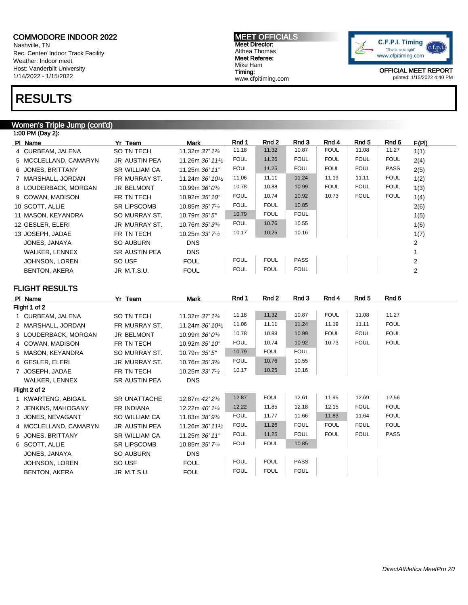Nashville, TN Rec. Center/ Indoor Track Facility Weather: Indoor meet Host: Vanderbilt University 1/14/2022 - 1/15/2022

### RESULTS

#### Women's Triple Jump (cont'd)

| 1:00 PM (Day 2):      |                      |                                             |             |             |             |             |             |             |       |  |
|-----------------------|----------------------|---------------------------------------------|-------------|-------------|-------------|-------------|-------------|-------------|-------|--|
| PI Name               | Yr Team              | Mark                                        | Rnd 1       | Rnd 2       | Rnd 3       | Rnd 4       | Rnd 5       | Rnd 6       | F(PI) |  |
| 4 CURBEAM, JALENA     | SO TN TECH           | 11.32m 37' 13/4                             | 11.18       | 11.32       | 10.87       | <b>FOUL</b> | 11.08       | 11.27       | 1(1)  |  |
| 5 MCCLELLAND, CAMARYN | JR AUSTIN PEA        | 11.26m $36'$ 11 <sup>1</sup> / <sub>2</sub> | <b>FOUL</b> | 11.26       | <b>FOUL</b> | <b>FOUL</b> | <b>FOUL</b> | <b>FOUL</b> | 2(4)  |  |
| 6 JONES, BRITTANY     | <b>SR WILLIAM CA</b> | 11.25m 36' 11"                              | <b>FOUL</b> | 11.25       | <b>FOUL</b> | <b>FOUL</b> | <b>FOUL</b> | <b>PASS</b> | 2(5)  |  |
| 7 MARSHALL, JORDAN    | FR MURRAY ST.        | 11.24m $36'$ 10 <sup>1</sup> / <sub>2</sub> | 11.06       | 11.11       | 11.24       | 11.19       | 11.11       | <b>FOUL</b> | 1(2)  |  |
| 8 LOUDERBACK, MORGAN  | <b>JR BELMONT</b>    | 10.99m 36' 0 <sup>3/4</sup>                 | 10.78       | 10.88       | 10.99       | <b>FOUL</b> | <b>FOUL</b> | <b>FOUL</b> | 1(3)  |  |
| 9 COWAN, MADISON      | FR TN TECH           | 10.92m 35' 10"                              | <b>FOUL</b> | 10.74       | 10.92       | 10.73       | <b>FOUL</b> | <b>FOUL</b> | 1(4)  |  |
| 10 SCOTT, ALLIE       | <b>SR LIPSCOMB</b>   | 10.85m 35' 71/4                             | <b>FOUL</b> | <b>FOUL</b> | 10.85       |             |             |             | 2(6)  |  |
| 11 MASON, KEYANDRA    | SO MURRAY ST.        | 10.79m 35' 5"                               | 10.79       | <b>FOUL</b> | <b>FOUL</b> |             |             |             | 1(5)  |  |
| 12 GESLER, ELERI      | JR MURRAY ST.        | 10.76m 35' 334                              | <b>FOUL</b> | 10.76       | 10.55       |             |             |             | 1(6)  |  |
| 13 JOSEPH, JADAE      | FR TN TECH           | 10.25m $33'$ 7 <sup>1/2</sup>               | 10.17       | 10.25       | 10.16       |             |             |             | 1(7)  |  |
| JONES, JANAYA         | <b>SO AUBURN</b>     | <b>DNS</b>                                  |             |             |             |             |             |             | 2     |  |
| WALKER, LENNEX        | <b>SR AUSTIN PEA</b> | <b>DNS</b>                                  |             |             |             |             |             |             |       |  |
| JOHNSON, LOREN        | SO USF               | <b>FOUL</b>                                 | <b>FOUL</b> | <b>FOUL</b> | <b>PASS</b> |             |             |             | 2     |  |
| <b>BENTON, AKERA</b>  | JR M.T.S.U.          | <b>FOUL</b>                                 | <b>FOUL</b> | <b>FOUL</b> | <b>FOUL</b> |             |             |             | 2     |  |

#### FLIGHT RESULTS

| PI Name               | Yr Team              | Mark                                        | Rnd 1       | Rnd 2       | Rnd 3       | Rnd 4       | Rnd 5       | Rnd 6       |
|-----------------------|----------------------|---------------------------------------------|-------------|-------------|-------------|-------------|-------------|-------------|
| Flight 1 of 2         |                      |                                             |             |             |             |             |             |             |
| 1 CURBEAM, JALENA     | SO TN TECH           | 11.32m 37' 13/4                             | 11.18       | 11.32       | 10.87       | <b>FOUL</b> | 11.08       | 11.27       |
| 2 MARSHALL, JORDAN    | FR MURRAY ST.        | 11.24m 36' 10 <sup>1</sup> / <sub>2</sub>   | 11.06       | 11.11       | 11.24       | 11.19       | 11.11       | <b>FOUL</b> |
| 3 LOUDERBACK, MORGAN  | <b>JR BELMONT</b>    | 10.99m 36' 0 <sup>3/4</sup>                 | 10.78       | 10.88       | 10.99       | <b>FOUL</b> | <b>FOUL</b> | <b>FOUL</b> |
| 4 COWAN, MADISON      | FR TN TECH           | 10.92m 35' 10"                              | <b>FOUL</b> | 10.74       | 10.92       | 10.73       | <b>FOUL</b> | <b>FOUL</b> |
| 5 MASON, KEYANDRA     | SO MURRAY ST.        | 10.79m 35' 5"                               | 10.79       | <b>FOUL</b> | <b>FOUL</b> |             |             |             |
| 6 GESLER, ELERI       | <b>JR MURRAY ST.</b> | 10.76m 35' 33/4                             | <b>FOUL</b> | 10.76       | 10.55       |             |             |             |
| 7 JOSEPH, JADAE       | FR TN TECH           | 10.25m 33' 7 <sup>1</sup> / <sub>2</sub>    | 10.17       | 10.25       | 10.16       |             |             |             |
| WALKER, LENNEX        | SR AUSTIN PEA        | <b>DNS</b>                                  |             |             |             |             |             |             |
| Flight 2 of 2         |                      |                                             |             |             |             |             |             |             |
| 1 KWARTENG, ABIGAIL   | <b>SR UNATTACHE</b>  | 12.87m 42' 23/4                             | 12.87       | <b>FOUL</b> | 12.61       | 11.95       | 12.69       | 12.56       |
| 2 JENKINS, MAHOGANY   | FR INDIANA           | 12.22m 40' 11/4                             | 12.22       | 11.85       | 12.18       | 12.15       | <b>FOUL</b> | <b>FOUL</b> |
| 3 JONES, NEVAGANT     | SO WILLIAM CA        | 11.83m $38'$ $9\frac{3}{4}$                 | <b>FOUL</b> | 11.77       | 11.66       | 11.83       | 11.64       | <b>FOUL</b> |
| 4 MCCLELLAND, CAMARYN | <b>JR AUSTIN PEA</b> | 11.26m $36'$ 11 <sup>1</sup> / <sub>2</sub> | <b>FOUL</b> | 11.26       | <b>FOUL</b> | <b>FOUL</b> | <b>FOUL</b> | <b>FOUL</b> |
| 5 JONES, BRITTANY     | <b>SR WILLIAM CA</b> | 11.25m 36' 11"                              | <b>FOUL</b> | 11.25       | <b>FOUL</b> | <b>FOUL</b> | <b>FOUL</b> | <b>PASS</b> |
| 6 SCOTT, ALLIE        | <b>SR LIPSCOMB</b>   | 10.85m 35' 71/4                             | <b>FOUL</b> | <b>FOUL</b> | 10.85       |             |             |             |
| JONES, JANAYA         | <b>SO AUBURN</b>     | <b>DNS</b>                                  |             |             |             |             |             |             |
| JOHNSON, LOREN        | SO USF               | <b>FOUL</b>                                 | <b>FOUL</b> | <b>FOUL</b> | <b>PASS</b> |             |             |             |
| <b>BENTON, AKERA</b>  | JR M.T.S.U.          | <b>FOUL</b>                                 | <b>FOUL</b> | <b>FOUL</b> | <b>FOUL</b> |             |             |             |

MEET OFFICIALS Meet Director: Althea Thomas Meet Referee: Mike Ham Timing: www.cfpitiming.com

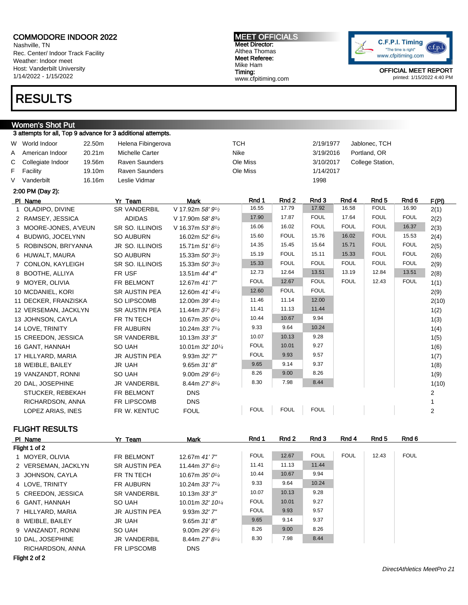Nashville, TN Rec. Center/ Indoor Track Facility Weather: Indoor meet Host: Vanderbilt University 1/14/2022 - 1/15/2022

### RESULTS

#### Women's Shot Put 3 attempts for all, Top 9 advance for 3 additional attempts.

| W | World Indoor          | 22.50m | Helena Fibingerova     |                                          | <b>TCH</b>  |             | 2/19/1977   |             | Jablonec, TCH    |                  |                |
|---|-----------------------|--------|------------------------|------------------------------------------|-------------|-------------|-------------|-------------|------------------|------------------|----------------|
| A | American Indoor       | 20.21m | <b>Michelle Carter</b> |                                          | Nike        |             | 3/19/2016   |             | Portland, OR     |                  |                |
| С | Collegiate Indoor     | 19.56m | Raven Saunders         |                                          | Ole Miss    |             | 3/10/2017   |             | College Station, |                  |                |
| F | Facility              | 19.10m | Raven Saunders         |                                          | Ole Miss    |             | 1/14/2017   |             |                  |                  |                |
|   | Vanderbilt            | 16.16m | Leslie Vidmar          |                                          |             |             | 1998        |             |                  |                  |                |
|   | 2:00 PM (Day 2):      |        |                        |                                          |             |             |             |             |                  |                  |                |
|   | PI Name               |        | Yr Team                | <b>Mark</b>                              | Rnd 1       | Rnd 2       | Rnd 3       | Rnd 4       | Rnd <sub>5</sub> | Rnd <sub>6</sub> | <u>F(PI)</u>   |
|   | OLADIPO, DIVINE       |        | <b>SR VANDERBIL</b>    | V 17.92m 58' 91/2                        | 16.55       | 17.79       | 17.92       | 16.58       | <b>FOUL</b>      | 16.90            | 2(1)           |
|   | 2 RAMSEY, JESSICA     |        | <b>ADIDAS</b>          | V 17.90m 58' 83/4                        | 17.90       | 17.87       | <b>FOUL</b> | 17.64       | <b>FOUL</b>      | <b>FOUL</b>      | 2(2)           |
|   | 3 MOORE-JONES, A'VEUN |        | SR SO. ILLINOIS        | V 16.37m $53'8'$                         | 16.06       | 16.02       | <b>FOUL</b> | <b>FOUL</b> | <b>FOUL</b>      | 16.37            | 2(3)           |
|   | 4 BUDWIG, JOCELYNN    |        | <b>SO AUBURN</b>       | 16.02m 52' 63/4                          | 15.60       | <b>FOUL</b> | 15.76       | 16.02       | <b>FOUL</b>      | 15.53            | 2(4)           |
|   | 5 ROBINSON, BRI'YANNA |        | <b>JR SO. ILLINOIS</b> | 15.71m $51'6\frac{1}{2}$                 | 14.35       | 15.45       | 15.64       | 15.71       | <b>FOUL</b>      | <b>FOUL</b>      | 2(5)           |
|   | 6 HUWALT, MAURA       |        | <b>SO AUBURN</b>       | 15.33m 50' 3 <sup>1</sup> / <sub>2</sub> | 15.19       | <b>FOUL</b> | 15.11       | 15.33       | <b>FOUL</b>      | <b>FOUL</b>      | 2(6)           |
|   | 7 CONLON, KAYLEIGH    |        | <b>SR SO. ILLINOIS</b> | 15.33m 50' 3 <sup>1</sup> / <sub>2</sub> | 15.33       | <b>FOUL</b> | <b>FOUL</b> | <b>FOUL</b> | <b>FOUL</b>      | <b>FOUL</b>      | 2(9)           |
|   | 8 BOOTHE, ALLIYA      |        | FR USF                 | 13.51m 44' 4"                            | 12.73       | 12.64       | 13.51       | 13.19       | 12.84            | 13.51            | 2(8)           |
|   | 9 MOYER, OLIVIA       |        | FR BELMONT             | 12.67m 41'7"                             | <b>FOUL</b> | 12.67       | <b>FOUL</b> | <b>FOUL</b> | 12.43            | <b>FOUL</b>      | 1(1)           |
|   | 10 MCDANIEL, KORI     |        | SR AUSTIN PEA          | 12.60m 41' 41/4                          | 12.60       | <b>FOUL</b> | <b>FOUL</b> |             |                  |                  | 2(9)           |
|   | 11 DECKER, FRANZISKA  |        | SO LIPSCOMB            | 12.00m 39' 4 <sup>1</sup> / <sub>2</sub> | 11.46       | 11.14       | 12.00       |             |                  |                  | 2(10)          |
|   | 12 VERSEMAN, JACKLYN  |        | <b>SR AUSTIN PEA</b>   | 11.44m 37' 6 <sup>1</sup> /2             | 11.41       | 11.13       | 11.44       |             |                  |                  | 1(2)           |
|   | 13 JOHNSON, CAYLA     |        | FR TN TECH             | 10.67m 35' 01/4                          | 10.44       | 10.67       | 9.94        |             |                  |                  | 1(3)           |
|   | 14 LOVE, TRINITY      |        | <b>FR AUBURN</b>       | 10.24m 33' 7 <sup>1/4</sup>              | 9.33        | 9.64        | 10.24       |             |                  |                  | 1(4)           |
|   | 15 CREEDON, JESSICA   |        | <b>SR VANDERBIL</b>    | 10.13m 33' 3"                            | 10.07       | 10.13       | 9.28        |             |                  |                  | 1(5)           |
|   | 16 GANT, HANNAH       |        | <b>SO UAH</b>          | 10.01m 32' 101/4                         | <b>FOUL</b> | 10.01       | 9.27        |             |                  |                  | 1(6)           |
|   | 17 HILLYARD, MARIA    |        | <b>JR AUSTIN PEA</b>   | 9.93m 32' 7"                             | <b>FOUL</b> | 9.93        | 9.57        |             |                  |                  | 1(7)           |
|   | 18 WEIBLE, BAILEY     |        | <b>JR UAH</b>          | 9.65m 31'8''                             | 9.65        | 9.14        | 9.37        |             |                  |                  | 1(8)           |
|   | 19 VANZANDT, RONNI    |        | <b>SO UAH</b>          | 9.00m $29'6'$                            | 8.26        | 9.00        | 8.26        |             |                  |                  | 1(9)           |
|   | 20 DAL, JOSEPHINE     |        | JR VANDERBIL           | 8.44m 27' 81/4                           | 8.30        | 7.98        | 8.44        |             |                  |                  | 1(10)          |
|   | STUCKER, REBEKAH      |        | FR BELMONT             | <b>DNS</b>                               |             |             |             |             |                  |                  | 2              |
|   | RICHARDSON, ANNA      |        | FR LIPSCOMB            | <b>DNS</b>                               |             |             |             |             |                  |                  | 1              |
|   | LOPEZ ARIAS, INES     |        | FR W. KENTUC           | <b>FOUL</b>                              | <b>FOUL</b> | <b>FOUL</b> | <b>FOUL</b> |             |                  |                  | $\overline{2}$ |

MEET OFFICIALS Meet Director: Althea Thomas Meet Referee: Mike Ham Timing:

www.cfpitiming.com

#### FLIGHT RESULTS

| PI Name             | Yr Team              | Mark                                       | Rnd 1       | Rnd 2 | Rnd 3       | Rnd 4       | Rnd 5 | Rnd 6       |
|---------------------|----------------------|--------------------------------------------|-------------|-------|-------------|-------------|-------|-------------|
| Flight 1 of 2       |                      |                                            |             |       |             |             |       |             |
| 1 MOYER, OLIVIA     | FR BELMONT           | 12.67m 41' 7"                              | <b>FOUL</b> | 12.67 | <b>FOUL</b> | <b>FOUL</b> | 12.43 | <b>FOUL</b> |
| 2 VERSEMAN, JACKLYN | <b>SR AUSTIN PEA</b> | 11.44m $37'6\%$                            | 11.41       | 11.13 | 11.44       |             |       |             |
| 3 JOHNSON, CAYLA    | FR TN TECH           | 10.67m $35'0\frac{1}{4}$                   | 10.44       | 10.67 | 9.94        |             |       |             |
| 4 LOVE, TRINITY     | FR AUBURN            | 10.24m $33'$ 7 <sup>1</sup> / <sub>4</sub> | 9.33        | 9.64  | 10.24       |             |       |             |
| 5 CREEDON, JESSICA  | <b>SR VANDERBIL</b>  | 10.13m 33'3''                              | 10.07       | 10.13 | 9.28        |             |       |             |
| 6 GANT, HANNAH      | SO UAH               | 10.01m $32'$ 10 <sup>1/4</sup>             | <b>FOUL</b> | 10.01 | 9.27        |             |       |             |
| 7 HILLYARD, MARIA   | <b>JR AUSTIN PEA</b> | $9.93m$ $32'$ $7''$                        | <b>FOUL</b> | 9.93  | 9.57        |             |       |             |
| 8 WEIBLE, BAILEY    | JR UAH               | 9.65m31'8''                                | 9.65        | 9.14  | 9.37        |             |       |             |
| 9 VANZANDT, RONNI   | SO UAH               | 9.00m $29'6\frac{1}{2}$                    | 8.26        | 9.00  | 8.26        |             |       |             |
| 10 DAL. JOSEPHINE   | <b>JR VANDERBIL</b>  | $8.44$ m 27' $8\frac{1}{4}$                | 8.30        | 7.98  | 8.44        |             |       |             |
| RICHARDSON, ANNA    | FR LIPSCOMB          | <b>DNS</b>                                 |             |       |             |             |       |             |

Flight 2 of 2

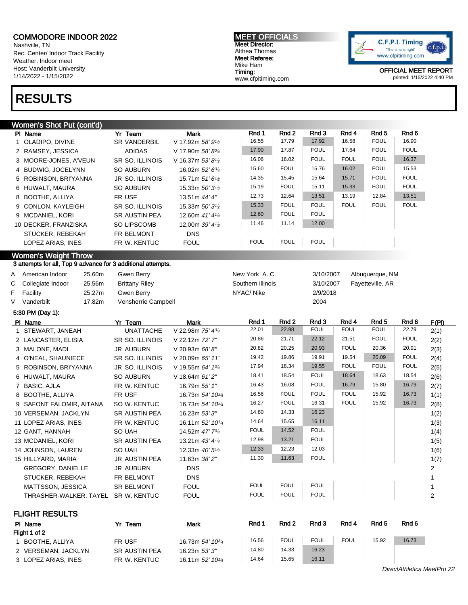Nashville, TN Rec. Center/ Indoor Track Facility Weather: Indoor meet Host: Vanderbilt University 1/14/2022 - 1/15/2022

### RESULTS

#### Women's Shot Put (cont'd)

PIName 7r Team Mark Rnd 1 Rnd 2 Rnd 3 Rnd 4 Rnd 5 Rnd 6 Rnd 6 Rnd 5 Rnd 6 Rnd 5 Rnd 6 Rnd 6 Rnd 6 Rnd 6 Rnd 6 Rnd 6 Rnd 6 Rnd 6 Rnd 6 Rnd 6 Rnd 6 Rnd 6 Rnd 6 Rnd 6 Rnd 6 Rnd 6 Rnd 6 Rnd 6 Rnd 6 Rnd 6 Rnd 6 Rnd 6 Rnd 6 Rnd 1 OLADIPO, DIVINE SR VANDERBIL V 17.92m 58' 91/2 16.55 17.79 17.92 16.58 FOUL 16.90 2 RAMSEY, JESSICA ADIDAS V 17.90m 58' 83/4 17.90 17.87 FOUL 17.64 FOUL FOUL 3 MOORE-JONES, A'VEUN SR SO. ILLINOIS V 16.37m 53' 81/2 16.06 16.02 FOUL FOUL FOUL 16.37 4 BUDWIG, JOCELYNN SO AUBURN 16.02m 52' 63/4 15.60 FOUL 15.76 16.02 FOUL 15.53 5 ROBINSON, BRI'YANNA JR SO. ILLINOIS 15.71m 51' 6<sup>1/</sup>2 14.35 15.45 15.64 15.71 FOUL FOUL 6 HUWALT, MAURA SO AUBURN 15.33m  $50'3^{1/2}$ 15.19 FOUL 15.11 15.33 FOUL FOUL 8 BOOTHE, ALLIYA FR USF 13.51m 44' 4" 12.73 12.64 13.51 13.19 12.84 13.51 9 CONLON, KAYLEIGH SR SO, ILLINOIS 15.33m 50' 3<sup>1/2</sup> 15.33 FOUL FOUL FOUL FOUL FOUL 9 MCDANIEL, KORI SR AUSTIN PEA 12.60m 41' 41/4 12.60 FOUL FOUL 10 DECKER, FRANZISKA SO LIPSCOMB 12.00m 39' 41/2 11.46 11.14 12.00 STUCKER, REBEKAH FR BELMONT DNS LOPEZ ARIAS, INES FR W. KENTUC FOUL FOUL FOUL FOUL FOUL FOUL Women's Weight Throw 3 attempts for all, Top 9 advance for 3 additional attempts. A American Indoor 25.60m Gwen Berry New York A.C. 3/10/2007 Albuquerque, NM C Collegiate Indoor 25.56m Brittany Riley Southern Illinois 3/10/2007 Fayetteville, AR F Facility 25.27m Gwen Berry NYAC/ Nike 2/9/2018 V Vanderbilt 17.82m Vensherrie Campbell 2004 5:30 PM (Day 1): Pl Name **Yr Team Mark Rnd 1 Rnd 2 Rnd 3 Rnd 4 Rnd 5** Rnd 6 F(PI) 1 STEWART, JANEAH UNATTACHE V 22.98m 75' 43/<sup>4</sup> 22.01 22.98 FOUL FOUL FOUL 22.79 2(1) 2 LANCASTER, ELISIA SR SO. ILLINOIS V 22.12m 72' 7" 20.86 21.71 22.12 21.51 FOUL FOUL 2(2) 3 MALONE, MADI JR AUBURN V 20.93m 68' 8" 20.82 20.25 20.93 FOUL 20.36 20.91 2(3) 4 O'NEAL, SHAUNIECE SR SO. ILLINOIS V 20.09m 65' 11" 19.42 19.86 19.91 19.54 20.09 FOUL 2(4) 5 ROBINSON, BRI'YANNA JR SO. ILLINOIS V 19.55m 64' 13/<sup>4</sup> 17.94 18.34 19.55 FOUL FOUL FOUL 2(5) 6 HUWALT, MAURA SO AUBURN V 18.64m 61' 2" 18.41 18.54 FOUL 18.64 18.63 18.54 2(6) 7 BASIC, AJLA FR W. KENTUC 16.79m 55' 1" 16.43 16.08 FOUL 16.79 15.80 16.79 2(7) 8 BOOTHE, ALLIYA FR USF 16.73m 54' 103/4 16.56 FOUL FOUL FOUL 15.92 16.73 1(1) 9 SAFONT FALOMIR, AITANA SO W. KENTUC 16.73m 54' 10<sup>3/4</sup> 16.27 FOUL 16.31 FOUL 15.92 16.73 2(8) 10 VERSEMAN, JACKLYN SR AUSTIN PEA 16.23m 53' 3" 14.80 14.33 16.23 1(2) 11 LOPEZ ARIAS, INES FR W. KENTUC 16.11m 52' 10<sup>1/4</sup> 14.64 15.65 16.11 16.11 1(3) 12 GANT, HANNAH SO UAH 14.52m 47' 734 FOUL 14.52 FOUL 11.52 HOUL 11.4) 13 MCDANIEL, KORI SR AUSTIN PEA 13.21m 43' 41/4 12.98 13.21 FOUL | 1(5) 14 JOHNSON, LAUREN SO UAH 12.33m 40' 5<sup>1</sup>/2 12.33 12.23 12.03 1(6) 15 HILLYARD, MARIA JR AUSTIN PEA 11.63m 38' 2" 11.30 11.63 FOUL 1(7) GREGORY, DANIELLE JR AUBURN DNS 2 STUCKER, REBEKAH FR BELMONT DNS DISTUCKER, REBEKAH 1 MATTSSON, JESSICA SR BELMONT FOUL FOUL FOUL FOUL FOUL FOUL 1 THRASHER-WALKER, TAYEL SR W. KENTUC FOUL FOUL FOUL FOUL 2

FLIGHT RESULTS

| PI Name             | Team                 | <b>Mark</b>                    | Rnd 1 | Rnd 2       | Rnd 3       | Rnd 4 | Rnd 5 | Rnd 6                      |
|---------------------|----------------------|--------------------------------|-------|-------------|-------------|-------|-------|----------------------------|
| Flight 1 of 2       |                      |                                |       |             |             |       |       |                            |
| BOOTHE, ALLIYA      | FR USF               | 16.73m 54' 10 <sup>3/4</sup>   | 16.56 | <b>FOUL</b> | <b>FOUL</b> | FOUL  | 15.92 | 16.73                      |
| 2 VERSEMAN, JACKLYN | <b>SR AUSTIN PEA</b> | 16.23m 53' 3"                  | 14.80 | 14.33       | 16.23       |       |       |                            |
| 3 LOPEZ ARIAS, INES | FR W. KENTUC         | 16.11m $52'$ 10 <sup>1/4</sup> | 14.64 | 15.65       | 16.11       |       |       |                            |
|                     |                      |                                |       |             |             |       |       | DirectAthletics MeetPro 22 |

MEET OFFICIALS Meet Director: Althea Thomas Meet Referee: Mike Ham Timing: www.cfpitiming.com

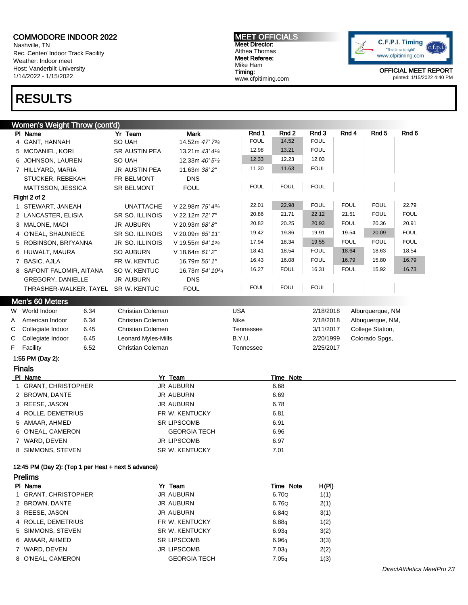Nashville, TN Rec. Center/ Indoor Track Facility Weather: Indoor meet Host: Vanderbilt University 1/14/2022 - 1/15/2022

### RESULTS

#### Women's Weight Throw (cont'd)

PIName 7r Team Mark Rnd 1 Rnd 2 Rnd 3 Rnd 4 Rnd 5 Rnd 6 Rnd 6 Rnd 5 Rnd 6 Rnd 5 Rnd 6 Rnd 6 Rnd 6 Rnd 6 Rnd 6 Rnd 6 Rnd 6 Rnd 6 Rnd 6 Rnd 6 Rnd 6 Rnd 6 Rnd 6 Rnd 6 Rnd 6 Rnd 6 Rnd 6 Rnd 6 Rnd 6 Rnd 6 Rnd 6 Rnd 6 Rnd 6 Rnd 4 GANT, HANNAH SO UAH 14.52m 47' 734 FOUL 14.52 FOUL 5 MCDANIEL, KORI SR AUSTIN PEA 13.21m 43' 41/4 12.98 13.21 FOUL 6 JOHNSON, LAUREN SO UAH 12.33m 40' 51/2 12.33 12.23 12.03 7 HILLYARD, MARIA JR AUSTIN PEA 11.63m 38' 2" 11.30 11.63 FOUL STUCKER, REBEKAH FR BELMONT DNS MATTSSON, JESSICA SR BELMONT FOUL FOUL FOUL FOUL FOUL FOUL Flight 2 of 2 1 STEWART, JANEAH UNATTACHE V 22.98m 75' 43/<sup>4</sup> 22.01 22.98 FOUL FOUL FOUL 22.79 2 LANCASTER, ELISIA SR SO. ILLINOIS V 22.12m 72' 7" 20.86 21.71 22.12 21.51 FOUL FOUL 3 MALONE, MADI JR AUBURN V 20.93m 68' 8" 20.82 20.25 20.93 FOUL 20.36 20.91 4 O'NEAL, SHAUNIECE SR SO. ILLINOIS V 20.09m 65' 11" 19.42 19.86 19.91 19.54 20.09 FOUL 5 ROBINSON, BRI'YANNA JR SO. ILLINOIS V 19.55m 64' 13/<sup>4</sup> 17.94 18.34 19.55 FOUL FOUL FOUL 6 HUWALT, MAURA SO AUBURN V 18.64m 61' 2" 18.41 18.54 FOUL 18.64 18.63 18.54 7 BASIC, AJLA FR W. KENTUC 16.79m 55' 1" 16.43 16.08 FOUL 16.79 15.80 16.79 8 SAFONT FALOMIR, AITANA SO W. KENTUC 16.73m 54' 1034 16.27 FOUL 16.31 FOUL 15.92 16.73 GREGORY, DANIELLE JR AUBURN DNS THRASHER-WALKER, TAYEL SR W. KENTUC FOUL FOUL FOUL FOUL Men's 60 Meters W World Indoor a both is the Christian Coleman Coleman COLE USA CHRIST 2/18/2018 Alburquerque, NM A American Indoor 6.34 Christian Coleman Nike Nike 2/18/2018 Albuquerque, NM, C Collegiate Indoor 6.45 Christian Colemen Tennessee 3/11/2017 College Station, C Collegiate Indoor 6.45 Leonard Myles-Mills B.Y.U. 2/20/1999 Colorado Spgs, F Facility 6.52 Christian Coleman Tennessee 2/25/2017 1:55 PM (Day 2): Finals Pl Name **Yr Team You Time Note** 1 GRANT, CHRISTOPHER JR AUBURN 6.68 2 BROWN, DANTE 6.69 3 REESE, JASON JR AUBURN 6.78 4 ROLLE, DEMETRIUS 6.81 FR W. KENTUCKY 6.81 5 AMAAR, AHMED SR LIPSCOMB 6.91 6 O'NEAL, CAMERON GEORGIA TECH 6.96 7 WARD, DEVEN JR LIPSCOMB 6.97

### 12:45 PM (Day 2): (Top 1 per Heat + next 5 advance)

8 SIMMONS, STEVEN SR W. KENTUCKY 7.01

Prelims Pl Name Yr Team Time Note H(Pl) 1 GRANT, CHRISTOPHER JR AUBURN 6.70Q 1(1) 2 BROWN, DANTE JR AUBURN 6.76Q 2(1) 3 REESE, JASON JR AUBURN 6.84Q 3(1) 4 ROLLE, DEMETRIUS FR W. KENTUCKY 6.88q 1(2) 5 SIMMONS, STEVEN SR W. KENTUCKY 6.93q 3(2) 6 AMAAR, AHMED SR LIPSCOMB 6.96q 3(3) 7 WARD, DEVEN JR LIPSCOMB 7.03q 2(2) 8 O'NEAL, CAMERON GEORGIA TECH 7.05q 1(3)

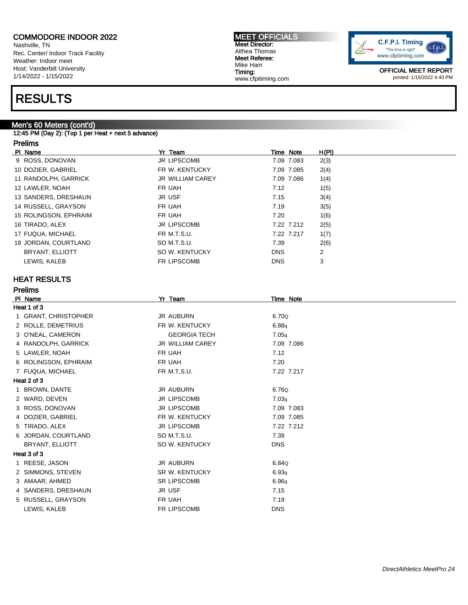Nashville, TN Rec. Center/ Indoor Track Facility Weather: Indoor meet Host: Vanderbilt University 1/14/2022 - 1/15/2022

### RESULTS

#### Men's 60 Meters (cont'd)

12:45 PM (Day 2): (Top 1 per Heat + next 5 advance)

#### Prelims

PI Name **Time Note** H(PI) **PI Name PI Name H(PI) PI Name H(PI) PI Name H(PI) PI**  $\mathbf{F}$  **H(PI) PI**  $\mathbf{F}$  **H(PI) PI**  $\mathbf{F}$  **H(PI) PI**  $\mathbf{F}$  **H(PI) PI**  $\mathbf{F}$  **H(PI) PI**  $\mathbf{F}$  **H(PI)** 9 ROSS, DONOVAN JR LIPSCOMB 7.09 7.083 2(3) 10 DOZIER, GABRIEL FR W. KENTUCKY 7.09 7.085 2(4) 11 RANDOLPH, GARRICK JR WILLIAM CAREY 7.09 7.086 1(4) 12 LAWLER, NOAH **FR UAH FR UAH 7.12** 1(5) 13 SANDERS, DRESHAUN JR USF 17.15 3(4) 14 RUSSELL, GRAYSON FR UAH FR UAH 7.19 3(5) 15 ROLINGSON, EPHRAIM FR UAH FR UAH 7.20 1(6) 16 TIRADO, ALEX JR LIPSCOMB 7.22 7.212 2(5) 17 FUQUA, MICHAEL FR M.T.S.U. 7.22 7.217 1(7) 18 JORDAN, COURTLAND SO M.T.S.U. 7.39 2(6) BRYANT, ELLIOTT SO W. KENTUCKY DNS 2 LEWIS, KALEB **FR LIPSCOMB FR LIPSCOMB DNS** 3

#### HEAT RESULTS

Prelims

| PI Name                | Yr Team                 | <b>Time Note</b> |  |
|------------------------|-------------------------|------------------|--|
| Heat 1 of 3            |                         |                  |  |
| 1 GRANT, CHRISTOPHER   | <b>JR AUBURN</b>        | 6.70Q            |  |
| 2 ROLLE, DEMETRIUS     | FR W. KENTUCKY          | 6.88q            |  |
| 3 O'NEAL, CAMERON      | <b>GEORGIA TECH</b>     | 7.05q            |  |
| 4 RANDOLPH, GARRICK    | <b>JR WILLIAM CAREY</b> | 7.09 7.086       |  |
| 5 LAWLER, NOAH         | FR UAH                  | 7.12             |  |
| 6 ROLINGSON, EPHRAIM   | FR UAH                  | 7.20             |  |
| 7 FUQUA, MICHAEL       | FR M.T.S.U.             | 7.22 7.217       |  |
| Heat 2 of 3            |                         |                  |  |
| 1 BROWN, DANTE         | JR AUBURN               | 6.76Q            |  |
| 2 WARD, DEVEN          | <b>JR LIPSCOMB</b>      | 7.03q            |  |
| 3 ROSS, DONOVAN        | <b>JR LIPSCOMB</b>      | 7.09 7.083       |  |
| 4 DOZIER, GABRIEL      | FR W. KENTUCKY          | 7.09 7.085       |  |
| 5 TIRADO, ALEX         | <b>JR LIPSCOMB</b>      | 7.22 7.212       |  |
| 6 JORDAN, COURTLAND    | SO M.T.S.U.             | 7.39             |  |
| <b>BRYANT, ELLIOTT</b> | SO W. KENTUCKY          | <b>DNS</b>       |  |
| Heat 3 of 3            |                         |                  |  |
| 1 REESE, JASON         | <b>JR AUBURN</b>        | 6.84Q            |  |
| 2 SIMMONS, STEVEN      | <b>SR W. KENTUCKY</b>   | 6.93q            |  |
| 3 AMAAR, AHMED         | <b>SR LIPSCOMB</b>      | 6.96q            |  |
| 4 SANDERS, DRESHAUN    | JR USF                  | 7.15             |  |
| 5 RUSSELL, GRAYSON     | FR UAH                  | 7.19             |  |
| LEWIS, KALEB           | <b>FR LIPSCOMB</b>      | <b>DNS</b>       |  |

MEET OFFICIALS Meet Director: Althea Thomas Meet Referee: Mike Ham Timing: www.cfpitiming.com

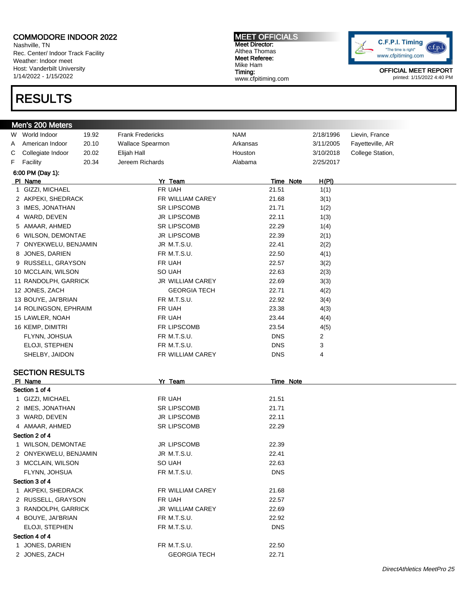Nashville, TN Rec. Center/ Indoor Track Facility Weather: Indoor meet Host: Vanderbilt University 1/14/2022 - 1/15/2022

### RESULTS

#### MEET OFFICIALS Meet Director: Althea Thomas Meet Referee: Mike Ham Timing: www.cfpitiming.com



|   | Men's 200 Meters       |       |                         |            |            |              |                  |
|---|------------------------|-------|-------------------------|------------|------------|--------------|------------------|
| W | World Indoor           | 19.92 | <b>Frank Fredericks</b> | <b>NAM</b> |            | 2/18/1996    | Lievin, France   |
| Α | American Indoor        | 20.10 | Wallace Spearmon        | Arkansas   |            | 3/11/2005    | Fayetteville, AR |
| С | Collegiate Indoor      | 20.02 | Elijah Hall             | Houston    |            | 3/10/2018    | College Station, |
| F | Facility               | 20.34 | Jereem Richards         | Alabama    |            | 2/25/2017    |                  |
|   | 6:00 PM (Day 1):       |       |                         |            |            |              |                  |
|   | PI Name                |       | Yr Team                 |            | Time Note  | <u>H(PI)</u> |                  |
|   | 1 GIZZI, MICHAEL       |       | FR UAH                  |            | 21.51      | 1(1)         |                  |
|   | 2 AKPEKI, SHEDRACK     |       | FR WILLIAM CAREY        |            | 21.68      | 3(1)         |                  |
|   | 3 IMES, JONATHAN       |       | <b>SR LIPSCOMB</b>      |            | 21.71      | 1(2)         |                  |
|   | 4 WARD, DEVEN          |       | <b>JR LIPSCOMB</b>      |            | 22.11      | 1(3)         |                  |
|   | 5 AMAAR, AHMED         |       | <b>SR LIPSCOMB</b>      |            | 22.29      | 1(4)         |                  |
|   | 6 WILSON, DEMONTAE     |       | <b>JR LIPSCOMB</b>      |            | 22.39      | 2(1)         |                  |
|   | 7 ONYEKWELU, BENJAMIN  |       | JR M.T.S.U.             |            | 22.41      | 2(2)         |                  |
|   | 8 JONES, DARIEN        |       | FR M.T.S.U.             |            | 22.50      | 4(1)         |                  |
|   | 9 RUSSELL, GRAYSON     |       | FR UAH                  |            | 22.57      | 3(2)         |                  |
|   | 10 MCCLAIN, WILSON     |       | SO UAH                  |            | 22.63      | 2(3)         |                  |
|   | 11 RANDOLPH, GARRICK   |       | JR WILLIAM CAREY        |            | 22.69      | 3(3)         |                  |
|   | 12 JONES, ZACH         |       | <b>GEORGIA TECH</b>     |            | 22.71      | 4(2)         |                  |
|   | 13 BOUYE, JAI'BRIAN    |       | FR M.T.S.U.             |            | 22.92      | 3(4)         |                  |
|   | 14 ROLINGSON, EPHRAIM  |       | FR UAH                  |            | 23.38      | 4(3)         |                  |
|   | 15 LAWLER, NOAH        |       | FR UAH                  |            | 23.44      | 4(4)         |                  |
|   | 16 KEMP, DIMITRI       |       | FR LIPSCOMB             |            | 23.54      | 4(5)         |                  |
|   | FLYNN, JOHSUA          |       | FR M.T.S.U.             |            | <b>DNS</b> | 2            |                  |
|   | ELOJI, STEPHEN         |       | FR M.T.S.U.             |            | <b>DNS</b> | 3            |                  |
|   | SHELBY, JAIDON         |       | FR WILLIAM CAREY        |            | <b>DNS</b> | 4            |                  |
|   |                        |       |                         |            |            |              |                  |
|   | <b>SECTION RESULTS</b> |       |                         |            |            |              |                  |
|   | PI_Name                |       | Yr Team                 |            | Time Note  |              |                  |
|   | Section 1 of 4         |       |                         |            |            |              |                  |
|   | 1 GIZZI, MICHAEL       |       | FR UAH                  |            | 21.51      |              |                  |
|   | 2 IMES, JONATHAN       |       | <b>SR LIPSCOMB</b>      |            | 21.71      |              |                  |
|   | 3 WARD, DEVEN          |       | <b>JR LIPSCOMB</b>      |            | 22.11      |              |                  |
|   | 4 AMAAR, AHMED         |       | <b>SR LIPSCOMB</b>      |            | 22.29      |              |                  |
|   | Section 2 of 4         |       |                         |            |            |              |                  |
|   | 1 WILSON, DEMONTAE     |       | <b>JR LIPSCOMB</b>      |            | 22.39      |              |                  |
|   | 2 ONYEKWELU, BENJAMIN  |       | JR M.T.S.U.             |            | 22.41      |              |                  |
|   | 3 MCCLAIN, WILSON      |       | SO UAH                  |            | 22.63      |              |                  |
|   | FLYNN, JOHSUA          |       | FR M.T.S.U.             |            | <b>DNS</b> |              |                  |
|   | Section 3 of 4         |       |                         |            |            |              |                  |
|   | 1 AKPEKI, SHEDRACK     |       | FR WILLIAM CAREY        |            | 21.68      |              |                  |
|   | 2 RUSSELL, GRAYSON     |       | FR UAH                  |            | 22.57      |              |                  |
|   | 3 RANDOLPH, GARRICK    |       | JR WILLIAM CAREY        |            | 22.69      |              |                  |
|   | 4 BOUYE, JAI'BRIAN     |       | FR M.T.S.U.             |            | 22.92      |              |                  |
|   | ELOJI, STEPHEN         |       | FR M.T.S.U.             |            | <b>DNS</b> |              |                  |
|   | Section 4 of 4         |       |                         |            |            |              |                  |
|   | 1 JONES, DARIEN        |       | FR M.T.S.U.             |            | 22.50      |              |                  |
|   | 2 JONES, ZACH          |       | <b>GEORGIA TECH</b>     |            | 22.71      |              |                  |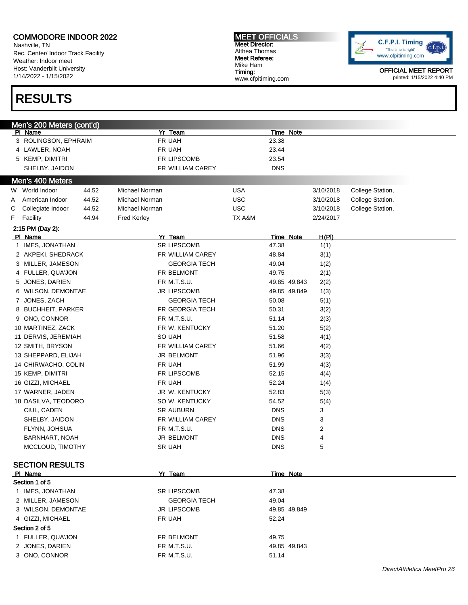Nashville, TN Rec. Center/ Indoor Track Facility Weather: Indoor meet Host: Vanderbilt University 1/14/2022 - 1/15/2022

### RESULTS

MEET OFFICIALS Meet Director: Althea Thomas Meet Referee: Mike Ham Timing: www.cfpitiming.com



|   | Men's 200 Meters (cont'd)         |       |                    |                         |            |            |              |           |                  |
|---|-----------------------------------|-------|--------------------|-------------------------|------------|------------|--------------|-----------|------------------|
|   | PI Name                           |       |                    | Yr Team                 |            |            | Time Note    |           |                  |
|   | 3 ROLINGSON, EPHRAIM              |       |                    | FR UAH                  |            | 23.38      |              |           |                  |
|   | 4 LAWLER, NOAH                    |       |                    | FR UAH                  |            | 23.44      |              |           |                  |
|   | 5 KEMP, DIMITRI                   |       |                    | <b>FR LIPSCOMB</b>      |            | 23.54      |              |           |                  |
|   | SHELBY, JAIDON                    |       |                    | FR WILLIAM CAREY        |            | <b>DNS</b> |              |           |                  |
|   | Men's 400 Meters                  |       |                    |                         |            |            |              |           |                  |
|   | W World Indoor                    | 44.52 | Michael Norman     |                         | <b>USA</b> |            |              | 3/10/2018 | College Station, |
| Α | American Indoor                   | 44.52 | Michael Norman     |                         | <b>USC</b> |            |              | 3/10/2018 | College Station, |
| С | Collegiate Indoor                 | 44.52 | Michael Norman     |                         | <b>USC</b> |            |              | 3/10/2018 | College Station, |
| F | Facility                          | 44.94 | <b>Fred Kerley</b> |                         | TX A&M     |            |              | 2/24/2017 |                  |
|   | 2:15 PM (Day 2):                  |       |                    |                         |            |            |              |           |                  |
|   | PI Name                           |       |                    | Yr Team                 |            |            | Time Note    | H(PI)     |                  |
|   | 1 IMES, JONATHAN                  |       |                    | <b>SR LIPSCOMB</b>      |            | 47.38      |              | 1(1)      |                  |
|   | 2 AKPEKI, SHEDRACK                |       |                    | FR WILLIAM CAREY        |            | 48.84      |              | 3(1)      |                  |
|   | 3 MILLER, JAMESON                 |       |                    | <b>GEORGIA TECH</b>     |            | 49.04      |              | 1(2)      |                  |
|   | 4 FULLER, QUA'JON                 |       |                    | FR BELMONT              |            | 49.75      |              | 2(1)      |                  |
|   | 5 JONES, DARIEN                   |       |                    | FR M.T.S.U.             |            |            | 49.85 49.843 | 2(2)      |                  |
| 6 | <b>WILSON, DEMONTAE</b>           |       |                    | <b>JR LIPSCOMB</b>      |            |            | 49.85 49.849 | 1(3)      |                  |
|   | 7 JONES, ZACH                     |       |                    | <b>GEORGIA TECH</b>     |            | 50.08      |              | 5(1)      |                  |
|   | 8 BUCHHEIT, PARKER                |       |                    | FR GEORGIA TECH         |            | 50.31      |              | 3(2)      |                  |
|   | 9 ONO, CONNOR                     |       |                    | FR M.T.S.U.             |            | 51.14      |              | 2(3)      |                  |
|   | 10 MARTINEZ, ZACK                 |       |                    | FR W. KENTUCKY          |            | 51.20      |              | 5(2)      |                  |
|   | 11 DERVIS, JEREMIAH               |       |                    | SO UAH                  |            | 51.58      |              | 4(1)      |                  |
|   | 12 SMITH, BRYSON                  |       |                    | <b>FR WILLIAM CAREY</b> |            | 51.66      |              | 4(2)      |                  |
|   | 13 SHEPPARD, ELIJAH               |       |                    | <b>JR BELMONT</b>       |            | 51.96      |              | 3(3)      |                  |
|   | 14 CHIRWACHO, COLIN               |       |                    | FR UAH                  |            | 51.99      |              | 4(3)      |                  |
|   | 15 KEMP, DIMITRI                  |       |                    | FR LIPSCOMB             |            | 52.15      |              | 4(4)      |                  |
|   | 16 GIZZI, MICHAEL                 |       |                    | FR UAH                  |            | 52.24      |              | 1(4)      |                  |
|   | 17 WARNER, JADEN                  |       |                    | JR W. KENTUCKY          |            | 52.83      |              | 5(3)      |                  |
|   | 18 DASILVA, TEODORO               |       |                    | SO W. KENTUCKY          |            | 54.52      |              | 5(4)      |                  |
|   | CIUL, CADEN                       |       |                    | <b>SR AUBURN</b>        |            | <b>DNS</b> |              | 3         |                  |
|   | SHELBY, JAIDON                    |       |                    | FR WILLIAM CAREY        |            | <b>DNS</b> |              | 3         |                  |
|   | FLYNN, JOHSUA                     |       |                    | FR M.T.S.U.             |            | <b>DNS</b> |              | 2         |                  |
|   | BARNHART, NOAH                    |       |                    | <b>JR BELMONT</b>       |            | <b>DNS</b> |              | 4         |                  |
|   | MCCLOUD, TIMOTHY                  |       |                    | <b>SR UAH</b>           |            | <b>DNS</b> |              | 5         |                  |
|   |                                   |       |                    |                         |            |            |              |           |                  |
|   | <b>SECTION RESULTS</b><br>PI Name |       |                    | Yr Team                 |            |            | Time Note    |           |                  |
|   | Section 1 of 5                    |       |                    |                         |            |            |              |           |                  |
|   | 1 IMES, JONATHAN                  |       |                    | <b>SR LIPSCOMB</b>      |            | 47.38      |              |           |                  |
|   | 2 MILLER, JAMESON                 |       |                    | <b>GEORGIA TECH</b>     |            | 49.04      |              |           |                  |
|   | 3 WILSON, DEMONTAE                |       |                    | <b>JR LIPSCOMB</b>      |            |            | 49.85 49.849 |           |                  |
|   | 4 GIZZI, MICHAEL                  |       |                    | FR UAH                  |            | 52.24      |              |           |                  |
|   | Section 2 of 5                    |       |                    |                         |            |            |              |           |                  |
|   | 1 FULLER, QUA'JON                 |       |                    | FR BELMONT              |            | 49.75      |              |           |                  |
|   | 2 JONES, DARIEN                   |       |                    | FR M.T.S.U.             |            |            | 49.85 49.843 |           |                  |
|   | 3 ONO, CONNOR                     |       |                    | FR M.T.S.U.             |            | 51.14      |              |           |                  |
|   |                                   |       |                    |                         |            |            |              |           |                  |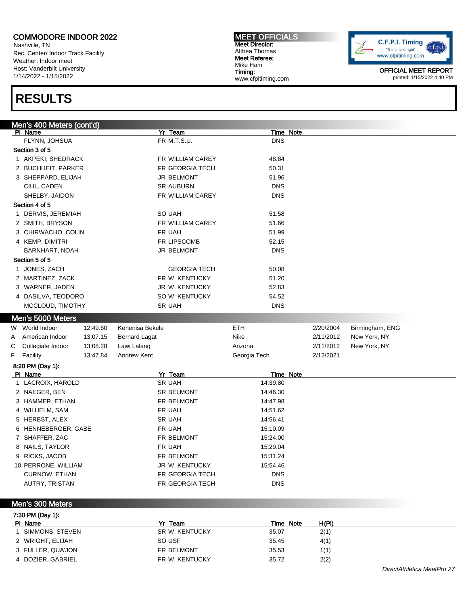Nashville, TN Rec. Center/ Indoor Track Facility Weather: Indoor meet Host: Vanderbilt University 1/14/2022 - 1/15/2022

### RESULTS

Men's 400 Meters (cont'd) Pr Team Time Note FLYNN, JOHSUA FR M.T.S.U. DNS Section 3 of 5 1 AKPEKI, SHEDRACK FR WILLIAM CAREY 48.84 2 BUCHHEIT, PARKER FR GEORGIA TECH 50.31 3 SHEPPARD, ELIJAH JR BELMONT 51.96 CIUL, CADEN SR AUBURN DNS SHELBY, JAIDON **EXAMPLE ASSAULT ASSAULT ASSAULT** FR WILLIAM CAREY **DISSAULT ASSAULT** DNS Section 4 of 5 1 DERVIS, JEREMIAH SO UAH SO UAH 51.58 2 SMITH, BRYSON **FR WILLIAM CAREY** 51.66 3 CHIRWACHO, COLIN FR UAH FR UAH 51.99 4 KEMP, DIMITRI 62.15 BARNHART, NOAH DIS DIS DIS DIS DIS Section 5 of 5 1 JONES, ZACH GEORGIA TECH 50.08 2 MARTINEZ, ZACK FR W. KENTUCKY 51.20 3 WARNER, JADEN **1988 CONTROLLER SEARCH SEARCH SEARCH SEARCH SEARCH SEARCH SEARCH SEARCH SEARCH SEARCH SEARCH SEARCH SEARCH SEARCH SEARCH SEARCH SEARCH SEARCH SEARCH SEARCH SEARCH SEARCH SEARCH SEARCH SEARCH SEARCH SEARCH** 4 DASILVA, TEODORO SO W. KENTUCKY 54.52 MCCLOUD, TIMOTHY GREAT SR UAH SR UAH DNS Men's 5000 Meters W World Indoor 12:49.60 Kenenisa Bekele ETH 2/20/2004 Birmingham, ENG A American Indoor 13:07.15 Bernard Lagat Nike Nike 2/11/2012 New York, NY C Collegiate Indoor 13:08.28 Lawi Lalang **Arizona** Arizona 2/11/2012 New York, NY F Facility 13:47.84 Andrew Kent Chronic Georgia Tech 2/12/2021 8:20 PM (Day 1): PI Name Time Note 1 LACROIX, HAROLD SR UAH 14:39.80 2 NAEGER, BEN SR BELMONT 14:46.30 3 HAMMER, ETHAN FR BELMONT 14:47.98 4 WILHELM, SAM **FR UAH 14:51.62** 5 HERBST, ALEX SR UAH SR UAH 14:56.41 6 HENNEBERGER, GABE FR UAH FR UAH 15:10.09 7 SHAFFER, ZAC **FR BELMONT** 15:24.00 8 NAILS, TAYLOR **FR UAH** 15:29.04 9 RICKS, JACOB FR BELMONT 15:31.24 10 PERRONE, WILLIAM JR W. KENTUCKY 15:54.46 CURNOW, ETHAN **FR GEORGIA TECH** DNS AUTRY, TRISTAN FR GEORGIA TECH DNS Men's 300 Meters

7:30 PM (Day 1): Pl Name Yr Team Time Note H(Pl) 1 SIMMONS, STEVEN SR W. KENTUCKY 35.07 2(1) 2 WRIGHT, ELIJAH 35.45 35.45 4(1) 3 FULLER, QUA'JON FR BELMONT 35.53 1(1) 4 DOZIER, GABRIEL FR W. KENTUCKY 35.72 2(2)



OFFICIAL MEET REPORT printed: 1/15/2022 4:40 PM

MEET OFFICIALS Meet Director: Althea Thomas Meet Referee: Mike Ham Timing: www.cfpitiming.com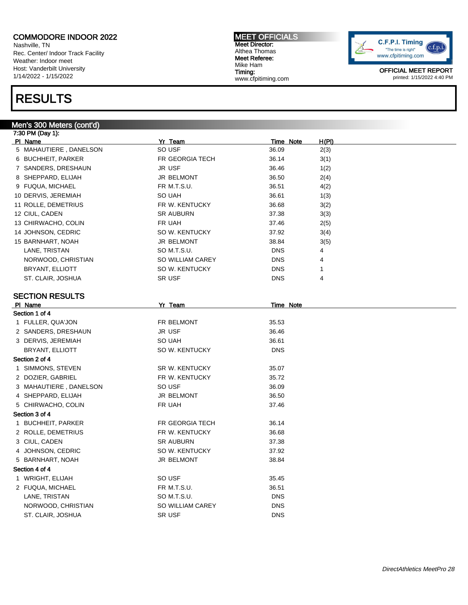Nashville, TN Rec. Center/ Indoor Track Facility Weather: Indoor meet Host: Vanderbilt University 1/14/2022 - 1/15/2022

### RESULTS

#### Men's 300 Meters (cont'd)

MEET OFFICIALS Meet Director: Althea Thomas Meet Referee: Mike Ham Timing: www.cfpitiming.com



| SO USF<br>5 MAHAUTIERE, DANELSON<br>36.09<br>2(3)<br>6 BUCHHEIT, PARKER<br>FR GEORGIA TECH<br>36.14<br>3(1)<br>JR USF<br>7 SANDERS, DRESHAUN<br>36.46<br>1(2)<br>8 SHEPPARD, ELIJAH<br>JR BELMONT<br>36.50<br>2(4)<br>FR M.T.S.U.<br>9 FUQUA, MICHAEL<br>36.51<br>4(2)<br>10 DERVIS, JEREMIAH<br>SO UAH<br>36.61<br>1(3)<br>11 ROLLE, DEMETRIUS<br>FR W. KENTUCKY<br>36.68<br>3(2)<br>12 CIUL, CADEN<br><b>SR AUBURN</b><br>37.38<br>3(3)<br>13 CHIRWACHO, COLIN<br>FR UAH<br>2(5)<br>37.46<br>14 JOHNSON, CEDRIC<br>SO W. KENTUCKY<br>37.92<br>3(4)<br>JR BELMONT<br>15 BARNHART, NOAH<br>38.84<br>3(5)<br>LANE, TRISTAN<br>SO M.T.S.U.<br><b>DNS</b><br>4<br>NORWOOD, CHRISTIAN<br>SO WILLIAM CAREY<br><b>DNS</b><br>4<br><b>BRYANT, ELLIOTT</b><br>SO W. KENTUCKY<br><b>DNS</b><br>1<br>SR USF<br>$\overline{4}$<br>ST. CLAIR, JOSHUA<br><b>DNS</b><br>Yr Team<br>PI Name<br>Time Note<br>1 FULLER, QUA'JON<br>FR BELMONT<br>35.53<br>2 SANDERS, DRESHAUN<br>JR USF<br>36.46<br>SO UAH<br>36.61<br>3 DERVIS, JEREMIAH<br><b>BRYANT, ELLIOTT</b><br>SO W. KENTUCKY<br><b>DNS</b><br>1 SIMMONS, STEVEN<br>SR W. KENTUCKY<br>35.07<br>FR W. KENTUCKY<br>35.72<br>2 DOZIER, GABRIEL<br>SO USF<br>36.09<br>3 MAHAUTIERE, DANELSON<br>4 SHEPPARD, ELIJAH<br>JR BELMONT<br>36.50<br>5 CHIRWACHO, COLIN<br>FR UAH<br>37.46<br>1 BUCHHEIT, PARKER<br>FR GEORGIA TECH<br>36.14<br>FR W. KENTUCKY<br>36.68<br>2 ROLLE, DEMETRIUS<br>3 CIUL, CADEN<br>SR AUBURN<br>37.38<br>4 JOHNSON, CEDRIC<br>SO W. KENTUCKY<br>37.92<br>5 BARNHART, NOAH<br>JR BELMONT<br>38.84<br>Section 4 of 4<br>SO USF<br>1 WRIGHT, ELIJAH<br>35.45<br>2 FUQUA, MICHAEL<br>FR M.T.S.U.<br>36.51<br>LANE, TRISTAN<br>SO M.T.S.U.<br><b>DNS</b><br>NORWOOD, CHRISTIAN<br>SO WILLIAM CAREY<br><b>DNS</b> | 7:30 PM (Day 1):       |         |           |              |
|-----------------------------------------------------------------------------------------------------------------------------------------------------------------------------------------------------------------------------------------------------------------------------------------------------------------------------------------------------------------------------------------------------------------------------------------------------------------------------------------------------------------------------------------------------------------------------------------------------------------------------------------------------------------------------------------------------------------------------------------------------------------------------------------------------------------------------------------------------------------------------------------------------------------------------------------------------------------------------------------------------------------------------------------------------------------------------------------------------------------------------------------------------------------------------------------------------------------------------------------------------------------------------------------------------------------------------------------------------------------------------------------------------------------------------------------------------------------------------------------------------------------------------------------------------------------------------------------------------------------------------------------------------------------------------------------------------------------------------------------------------------------------|------------------------|---------|-----------|--------------|
|                                                                                                                                                                                                                                                                                                                                                                                                                                                                                                                                                                                                                                                                                                                                                                                                                                                                                                                                                                                                                                                                                                                                                                                                                                                                                                                                                                                                                                                                                                                                                                                                                                                                                                                                                                       | <b>PI Name</b>         | Yr Team | Time Note | <u>H(PI)</u> |
|                                                                                                                                                                                                                                                                                                                                                                                                                                                                                                                                                                                                                                                                                                                                                                                                                                                                                                                                                                                                                                                                                                                                                                                                                                                                                                                                                                                                                                                                                                                                                                                                                                                                                                                                                                       |                        |         |           |              |
|                                                                                                                                                                                                                                                                                                                                                                                                                                                                                                                                                                                                                                                                                                                                                                                                                                                                                                                                                                                                                                                                                                                                                                                                                                                                                                                                                                                                                                                                                                                                                                                                                                                                                                                                                                       |                        |         |           |              |
|                                                                                                                                                                                                                                                                                                                                                                                                                                                                                                                                                                                                                                                                                                                                                                                                                                                                                                                                                                                                                                                                                                                                                                                                                                                                                                                                                                                                                                                                                                                                                                                                                                                                                                                                                                       |                        |         |           |              |
|                                                                                                                                                                                                                                                                                                                                                                                                                                                                                                                                                                                                                                                                                                                                                                                                                                                                                                                                                                                                                                                                                                                                                                                                                                                                                                                                                                                                                                                                                                                                                                                                                                                                                                                                                                       |                        |         |           |              |
|                                                                                                                                                                                                                                                                                                                                                                                                                                                                                                                                                                                                                                                                                                                                                                                                                                                                                                                                                                                                                                                                                                                                                                                                                                                                                                                                                                                                                                                                                                                                                                                                                                                                                                                                                                       |                        |         |           |              |
|                                                                                                                                                                                                                                                                                                                                                                                                                                                                                                                                                                                                                                                                                                                                                                                                                                                                                                                                                                                                                                                                                                                                                                                                                                                                                                                                                                                                                                                                                                                                                                                                                                                                                                                                                                       |                        |         |           |              |
|                                                                                                                                                                                                                                                                                                                                                                                                                                                                                                                                                                                                                                                                                                                                                                                                                                                                                                                                                                                                                                                                                                                                                                                                                                                                                                                                                                                                                                                                                                                                                                                                                                                                                                                                                                       |                        |         |           |              |
|                                                                                                                                                                                                                                                                                                                                                                                                                                                                                                                                                                                                                                                                                                                                                                                                                                                                                                                                                                                                                                                                                                                                                                                                                                                                                                                                                                                                                                                                                                                                                                                                                                                                                                                                                                       |                        |         |           |              |
|                                                                                                                                                                                                                                                                                                                                                                                                                                                                                                                                                                                                                                                                                                                                                                                                                                                                                                                                                                                                                                                                                                                                                                                                                                                                                                                                                                                                                                                                                                                                                                                                                                                                                                                                                                       |                        |         |           |              |
|                                                                                                                                                                                                                                                                                                                                                                                                                                                                                                                                                                                                                                                                                                                                                                                                                                                                                                                                                                                                                                                                                                                                                                                                                                                                                                                                                                                                                                                                                                                                                                                                                                                                                                                                                                       |                        |         |           |              |
|                                                                                                                                                                                                                                                                                                                                                                                                                                                                                                                                                                                                                                                                                                                                                                                                                                                                                                                                                                                                                                                                                                                                                                                                                                                                                                                                                                                                                                                                                                                                                                                                                                                                                                                                                                       |                        |         |           |              |
|                                                                                                                                                                                                                                                                                                                                                                                                                                                                                                                                                                                                                                                                                                                                                                                                                                                                                                                                                                                                                                                                                                                                                                                                                                                                                                                                                                                                                                                                                                                                                                                                                                                                                                                                                                       |                        |         |           |              |
|                                                                                                                                                                                                                                                                                                                                                                                                                                                                                                                                                                                                                                                                                                                                                                                                                                                                                                                                                                                                                                                                                                                                                                                                                                                                                                                                                                                                                                                                                                                                                                                                                                                                                                                                                                       |                        |         |           |              |
|                                                                                                                                                                                                                                                                                                                                                                                                                                                                                                                                                                                                                                                                                                                                                                                                                                                                                                                                                                                                                                                                                                                                                                                                                                                                                                                                                                                                                                                                                                                                                                                                                                                                                                                                                                       |                        |         |           |              |
|                                                                                                                                                                                                                                                                                                                                                                                                                                                                                                                                                                                                                                                                                                                                                                                                                                                                                                                                                                                                                                                                                                                                                                                                                                                                                                                                                                                                                                                                                                                                                                                                                                                                                                                                                                       |                        |         |           |              |
|                                                                                                                                                                                                                                                                                                                                                                                                                                                                                                                                                                                                                                                                                                                                                                                                                                                                                                                                                                                                                                                                                                                                                                                                                                                                                                                                                                                                                                                                                                                                                                                                                                                                                                                                                                       | <b>SECTION RESULTS</b> |         |           |              |
|                                                                                                                                                                                                                                                                                                                                                                                                                                                                                                                                                                                                                                                                                                                                                                                                                                                                                                                                                                                                                                                                                                                                                                                                                                                                                                                                                                                                                                                                                                                                                                                                                                                                                                                                                                       |                        |         |           |              |
|                                                                                                                                                                                                                                                                                                                                                                                                                                                                                                                                                                                                                                                                                                                                                                                                                                                                                                                                                                                                                                                                                                                                                                                                                                                                                                                                                                                                                                                                                                                                                                                                                                                                                                                                                                       | Section 1 of 4         |         |           |              |
|                                                                                                                                                                                                                                                                                                                                                                                                                                                                                                                                                                                                                                                                                                                                                                                                                                                                                                                                                                                                                                                                                                                                                                                                                                                                                                                                                                                                                                                                                                                                                                                                                                                                                                                                                                       |                        |         |           |              |
|                                                                                                                                                                                                                                                                                                                                                                                                                                                                                                                                                                                                                                                                                                                                                                                                                                                                                                                                                                                                                                                                                                                                                                                                                                                                                                                                                                                                                                                                                                                                                                                                                                                                                                                                                                       |                        |         |           |              |
|                                                                                                                                                                                                                                                                                                                                                                                                                                                                                                                                                                                                                                                                                                                                                                                                                                                                                                                                                                                                                                                                                                                                                                                                                                                                                                                                                                                                                                                                                                                                                                                                                                                                                                                                                                       |                        |         |           |              |
|                                                                                                                                                                                                                                                                                                                                                                                                                                                                                                                                                                                                                                                                                                                                                                                                                                                                                                                                                                                                                                                                                                                                                                                                                                                                                                                                                                                                                                                                                                                                                                                                                                                                                                                                                                       |                        |         |           |              |
|                                                                                                                                                                                                                                                                                                                                                                                                                                                                                                                                                                                                                                                                                                                                                                                                                                                                                                                                                                                                                                                                                                                                                                                                                                                                                                                                                                                                                                                                                                                                                                                                                                                                                                                                                                       | Section 2 of 4         |         |           |              |
|                                                                                                                                                                                                                                                                                                                                                                                                                                                                                                                                                                                                                                                                                                                                                                                                                                                                                                                                                                                                                                                                                                                                                                                                                                                                                                                                                                                                                                                                                                                                                                                                                                                                                                                                                                       |                        |         |           |              |
|                                                                                                                                                                                                                                                                                                                                                                                                                                                                                                                                                                                                                                                                                                                                                                                                                                                                                                                                                                                                                                                                                                                                                                                                                                                                                                                                                                                                                                                                                                                                                                                                                                                                                                                                                                       |                        |         |           |              |
|                                                                                                                                                                                                                                                                                                                                                                                                                                                                                                                                                                                                                                                                                                                                                                                                                                                                                                                                                                                                                                                                                                                                                                                                                                                                                                                                                                                                                                                                                                                                                                                                                                                                                                                                                                       |                        |         |           |              |
|                                                                                                                                                                                                                                                                                                                                                                                                                                                                                                                                                                                                                                                                                                                                                                                                                                                                                                                                                                                                                                                                                                                                                                                                                                                                                                                                                                                                                                                                                                                                                                                                                                                                                                                                                                       |                        |         |           |              |
|                                                                                                                                                                                                                                                                                                                                                                                                                                                                                                                                                                                                                                                                                                                                                                                                                                                                                                                                                                                                                                                                                                                                                                                                                                                                                                                                                                                                                                                                                                                                                                                                                                                                                                                                                                       |                        |         |           |              |
|                                                                                                                                                                                                                                                                                                                                                                                                                                                                                                                                                                                                                                                                                                                                                                                                                                                                                                                                                                                                                                                                                                                                                                                                                                                                                                                                                                                                                                                                                                                                                                                                                                                                                                                                                                       | Section 3 of 4         |         |           |              |
|                                                                                                                                                                                                                                                                                                                                                                                                                                                                                                                                                                                                                                                                                                                                                                                                                                                                                                                                                                                                                                                                                                                                                                                                                                                                                                                                                                                                                                                                                                                                                                                                                                                                                                                                                                       |                        |         |           |              |
|                                                                                                                                                                                                                                                                                                                                                                                                                                                                                                                                                                                                                                                                                                                                                                                                                                                                                                                                                                                                                                                                                                                                                                                                                                                                                                                                                                                                                                                                                                                                                                                                                                                                                                                                                                       |                        |         |           |              |
|                                                                                                                                                                                                                                                                                                                                                                                                                                                                                                                                                                                                                                                                                                                                                                                                                                                                                                                                                                                                                                                                                                                                                                                                                                                                                                                                                                                                                                                                                                                                                                                                                                                                                                                                                                       |                        |         |           |              |
|                                                                                                                                                                                                                                                                                                                                                                                                                                                                                                                                                                                                                                                                                                                                                                                                                                                                                                                                                                                                                                                                                                                                                                                                                                                                                                                                                                                                                                                                                                                                                                                                                                                                                                                                                                       |                        |         |           |              |
|                                                                                                                                                                                                                                                                                                                                                                                                                                                                                                                                                                                                                                                                                                                                                                                                                                                                                                                                                                                                                                                                                                                                                                                                                                                                                                                                                                                                                                                                                                                                                                                                                                                                                                                                                                       |                        |         |           |              |
|                                                                                                                                                                                                                                                                                                                                                                                                                                                                                                                                                                                                                                                                                                                                                                                                                                                                                                                                                                                                                                                                                                                                                                                                                                                                                                                                                                                                                                                                                                                                                                                                                                                                                                                                                                       |                        |         |           |              |
|                                                                                                                                                                                                                                                                                                                                                                                                                                                                                                                                                                                                                                                                                                                                                                                                                                                                                                                                                                                                                                                                                                                                                                                                                                                                                                                                                                                                                                                                                                                                                                                                                                                                                                                                                                       |                        |         |           |              |
|                                                                                                                                                                                                                                                                                                                                                                                                                                                                                                                                                                                                                                                                                                                                                                                                                                                                                                                                                                                                                                                                                                                                                                                                                                                                                                                                                                                                                                                                                                                                                                                                                                                                                                                                                                       |                        |         |           |              |
|                                                                                                                                                                                                                                                                                                                                                                                                                                                                                                                                                                                                                                                                                                                                                                                                                                                                                                                                                                                                                                                                                                                                                                                                                                                                                                                                                                                                                                                                                                                                                                                                                                                                                                                                                                       |                        |         |           |              |
|                                                                                                                                                                                                                                                                                                                                                                                                                                                                                                                                                                                                                                                                                                                                                                                                                                                                                                                                                                                                                                                                                                                                                                                                                                                                                                                                                                                                                                                                                                                                                                                                                                                                                                                                                                       |                        |         |           |              |
| SR USF<br><b>DNS</b><br>ST. CLAIR, JOSHUA                                                                                                                                                                                                                                                                                                                                                                                                                                                                                                                                                                                                                                                                                                                                                                                                                                                                                                                                                                                                                                                                                                                                                                                                                                                                                                                                                                                                                                                                                                                                                                                                                                                                                                                             |                        |         |           |              |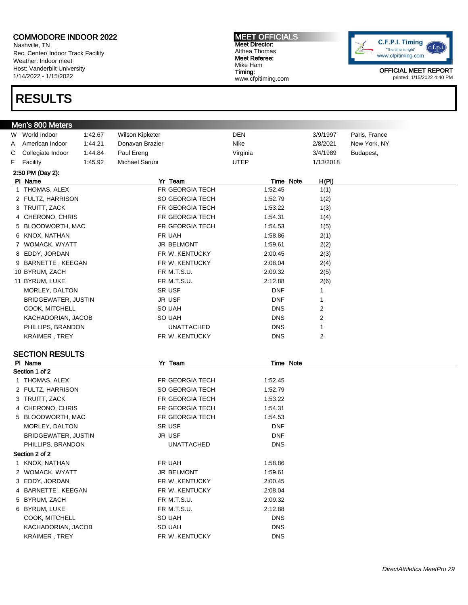Nashville, TN Rec. Center/ Indoor Track Facility Weather: Indoor meet Host: Vanderbilt University 1/14/2022 - 1/15/2022

### RESULTS

MEET OFFICIALS Meet Director: Althea Thomas Meet Referee: Mike Ham Timing: www.cfpitiming.com



| Men's 800 Meters                  |         |                 |                        |            |           |           |               |
|-----------------------------------|---------|-----------------|------------------------|------------|-----------|-----------|---------------|
| W World Indoor                    | 1:42.67 | Wilson Kipketer |                        | DEN        |           | 3/9/1997  | Paris, France |
| American Indoor<br>A              | 1:44.21 | Donavan Brazier |                        | Nike       |           | 2/8/2021  | New York, NY  |
| Collegiate Indoor<br>С            | 1:44.84 | Paul Ereng      |                        | Virginia   |           | 3/4/1989  | Budapest,     |
| F<br>Facility                     | 1:45.92 | Michael Saruni  |                        | UTEP       |           | 1/13/2018 |               |
| 2:50 PM (Day 2):                  |         |                 |                        |            |           |           |               |
| PI Name                           |         |                 | Yr_Team                |            | Time Note | H(PI)     |               |
| 1 THOMAS, ALEX                    |         |                 | FR GEORGIA TECH        | 1:52.45    |           | 1(1)      |               |
| 2 FULTZ, HARRISON                 |         |                 | SO GEORGIA TECH        | 1:52.79    |           | 1(2)      |               |
| 3 TRUITT, ZACK                    |         |                 | FR GEORGIA TECH        | 1:53.22    |           | 1(3)      |               |
| 4 CHERONO, CHRIS                  |         |                 | <b>FR GEORGIA TECH</b> | 1:54.31    |           | 1(4)      |               |
| 5 BLOODWORTH, MAC                 |         |                 | FR GEORGIA TECH        | 1:54.53    |           | 1(5)      |               |
| 6 KNOX, NATHAN                    |         |                 | FR UAH                 | 1:58.86    |           | 2(1)      |               |
| 7 WOMACK, WYATT                   |         |                 | JR BELMONT             | 1:59.61    |           | 2(2)      |               |
| 8 EDDY, JORDAN                    |         |                 | FR W. KENTUCKY         | 2:00.45    |           | 2(3)      |               |
| 9 BARNETTE, KEEGAN                |         |                 | FR W. KENTUCKY         | 2:08.04    |           | 2(4)      |               |
| 10 BYRUM, ZACH                    |         |                 | FR M.T.S.U.            | 2:09.32    |           | 2(5)      |               |
| 11 BYRUM, LUKE                    |         |                 | FR M.T.S.U.            | 2:12.88    |           | 2(6)      |               |
| MORLEY, DALTON                    |         |                 | SR USF                 | <b>DNF</b> |           | 1         |               |
| BRIDGEWATER, JUSTIN               |         |                 | JR USF                 | <b>DNF</b> |           | 1         |               |
| COOK, MITCHELL                    |         |                 | SO UAH                 | <b>DNS</b> |           | 2         |               |
| KACHADORIAN, JACOB                |         |                 | SO UAH                 | <b>DNS</b> |           | 2         |               |
| PHILLIPS, BRANDON                 |         |                 | <b>UNATTACHED</b>      | <b>DNS</b> |           | 1         |               |
| KRAIMER, TREY                     |         |                 | FR W. KENTUCKY         | <b>DNS</b> |           | 2         |               |
|                                   |         |                 |                        |            |           |           |               |
| <b>SECTION RESULTS</b><br>PI Name |         |                 | Yr Team                |            | Time Note |           |               |
| Section 1 of 2                    |         |                 |                        |            |           |           |               |
| 1 THOMAS, ALEX                    |         |                 | FR GEORGIA TECH        | 1:52.45    |           |           |               |
| 2 FULTZ, HARRISON                 |         |                 | SO GEORGIA TECH        | 1:52.79    |           |           |               |
| 3 TRUITT, ZACK                    |         |                 | FR GEORGIA TECH        | 1:53.22    |           |           |               |
| 4 CHERONO, CHRIS                  |         |                 | FR GEORGIA TECH        | 1:54.31    |           |           |               |
| 5 BLOODWORTH, MAC                 |         |                 | FR GEORGIA TECH        | 1:54.53    |           |           |               |
| MORLEY, DALTON                    |         |                 | SR USF                 | <b>DNF</b> |           |           |               |
| BRIDGEWATER, JUSTIN               |         |                 | JR USF                 | <b>DNF</b> |           |           |               |
| PHILLIPS, BRANDON                 |         |                 | <b>UNATTACHED</b>      | <b>DNS</b> |           |           |               |
| Section 2 of 2                    |         |                 |                        |            |           |           |               |
| 1 KNOX, NATHAN                    |         |                 | FR UAH                 | 1:58.86    |           |           |               |
| 2 WOMACK, WYATT                   |         |                 | JR BELMONT             | 1:59.61    |           |           |               |
| 3 EDDY, JORDAN                    |         |                 | FR W. KENTUCKY         | 2:00.45    |           |           |               |
| 4 BARNETTE, KEEGAN                |         |                 | FR W. KENTUCKY         | 2:08.04    |           |           |               |
| 5 BYRUM, ZACH                     |         |                 | FR M.T.S.U.            | 2:09.32    |           |           |               |
| 6 BYRUM, LUKE                     |         |                 | FR M.T.S.U.            | 2:12.88    |           |           |               |
| COOK, MITCHELL                    |         |                 | SO UAH                 | <b>DNS</b> |           |           |               |
| KACHADORIAN, JACOB                |         |                 | SO UAH                 | <b>DNS</b> |           |           |               |
| KRAIMER, TREY                     |         |                 | FR W. KENTUCKY         | <b>DNS</b> |           |           |               |
|                                   |         |                 |                        |            |           |           |               |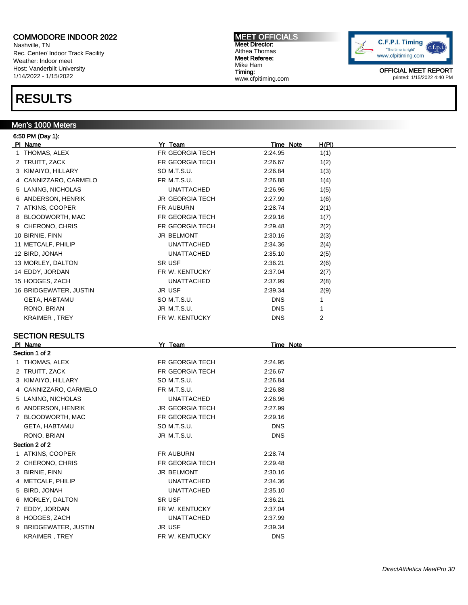Nashville, TN Rec. Center/ Indoor Track Facility Weather: Indoor meet Host: Vanderbilt University 1/14/2022 - 1/15/2022

### RESULTS

#### Men's 1000 Meters

6:50 PM (Day 1):

MEET OFFICIALS Meet Director: Althea Thomas Meet Referee: Mike Ham Timing: www.cfpitiming.com



| PI Name                | Yr Team                | <b>Time Note</b> | <u>H(PI)</u> |
|------------------------|------------------------|------------------|--------------|
| 1 THOMAS, ALEX         | FR GEORGIA TECH        | 2:24.95          | 1(1)         |
| 2 TRUITT, ZACK         | FR GEORGIA TECH        | 2:26.67          | 1(2)         |
| 3 KIMAIYO, HILLARY     | SO M.T.S.U.            | 2:26.84          | 1(3)         |
| 4 CANNIZZARO, CARMELO  | FR M.T.S.U.            | 2:26.88          | 1(4)         |
| 5 LANING, NICHOLAS     | <b>UNATTACHED</b>      | 2:26.96          | 1(5)         |
| 6 ANDERSON, HENRIK     | <b>JR GEORGIA TECH</b> | 2:27.99          | 1(6)         |
| 7 ATKINS, COOPER       | FR AUBURN              | 2:28.74          | 2(1)         |
| BLOODWORTH, MAC<br>8   | FR GEORGIA TECH        | 2:29.16          | 1(7)         |
| 9 CHERONO, CHRIS       | FR GEORGIA TECH        | 2:29.48          | 2(2)         |
| 10 BIRNIE, FINN        | JR BELMONT             | 2:30.16          | 2(3)         |
| 11 METCALF, PHILIP     | UNATTACHED             | 2:34.36          | 2(4)         |
| 12 BIRD, JONAH         | UNATTACHED             | 2:35.10          | 2(5)         |
| 13 MORLEY, DALTON      | SR USF                 | 2:36.21          | 2(6)         |
| 14 EDDY, JORDAN        | FR W. KENTUCKY         | 2:37.04          | 2(7)         |
| 15 HODGES, ZACH        | UNATTACHED             | 2:37.99          | 2(8)         |
| 16 BRIDGEWATER, JUSTIN | JR USF                 | 2:39.34          | 2(9)         |
| <b>GETA, HABTAMU</b>   | SO M.T.S.U.            | <b>DNS</b>       | 1            |
| RONO, BRIAN            | JR M.T.S.U.            | <b>DNS</b>       | 1            |
| KRAIMER, TREY          | FR W. KENTUCKY         | <b>DNS</b>       | 2            |
|                        |                        |                  |              |
| <b>SECTION RESULTS</b> |                        |                  |              |
| PI Name                | Yr Team                | Time Note        |              |
|                        |                        |                  |              |
| Section 1 of 2         |                        |                  |              |
| 1 THOMAS, ALEX         | FR GEORGIA TECH        | 2:24.95          |              |
| 2 TRUITT, ZACK         | FR GEORGIA TECH        | 2:26.67          |              |
| 3 KIMAIYO, HILLARY     | SO M.T.S.U.            | 2:26.84          |              |
| 4 CANNIZZARO, CARMELO  | FR M.T.S.U.            | 2:26.88          |              |
| 5 LANING, NICHOLAS     | <b>UNATTACHED</b>      | 2:26.96          |              |
| 6 ANDERSON, HENRIK     | <b>JR GEORGIA TECH</b> | 2:27.99          |              |
| 7 BLOODWORTH, MAC      | FR GEORGIA TECH        | 2:29.16          |              |
| <b>GETA, HABTAMU</b>   | SO M.T.S.U.            | <b>DNS</b>       |              |
| RONO, BRIAN            | JR M.T.S.U.            | <b>DNS</b>       |              |
| Section 2 of 2         |                        |                  |              |
| 1 ATKINS, COOPER       | FR AUBURN              | 2:28.74          |              |
| 2 CHERONO, CHRIS       | FR GEORGIA TECH        | 2:29.48          |              |
| 3 BIRNIE, FINN         | <b>JR BELMONT</b>      | 2:30.16          |              |
| 4 METCALF, PHILIP      | UNATTACHED             | 2:34.36          |              |
| 5 BIRD, JONAH          | UNATTACHED             | 2:35.10          |              |
| 6 MORLEY, DALTON       | SR USF                 | 2:36.21          |              |
| 7 EDDY, JORDAN         | FR W. KENTUCKY         | 2:37.04          |              |
| 8 HODGES, ZACH         | UNATTACHED             | 2:37.99          |              |
| 9 BRIDGEWATER, JUSTIN  | JR USF                 | 2:39.34          |              |
| KRAIMER, TREY          | FR W. KENTUCKY         | <b>DNS</b>       |              |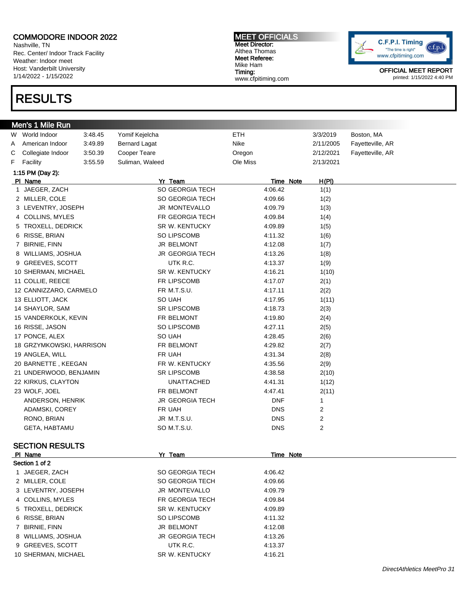Nashville, TN Rec. Center/ Indoor Track Facility Weather: Indoor meet Host: Vanderbilt University 1/14/2022 - 1/15/2022

### RESULTS

MEET OFFICIALS Meet Director: Althea Thomas Meet Referee: Mike Ham Timing: www.cfpitiming.com



|   | Men's 1 Mile Run         |         |                        |            |            |                |                  |
|---|--------------------------|---------|------------------------|------------|------------|----------------|------------------|
|   | W World Indoor           | 3:48.45 | Yomif Kejelcha         | <b>ETH</b> |            | 3/3/2019       | Boston, MA       |
| Α | American Indoor          | 3:49.89 | <b>Bernard Lagat</b>   | Nike       |            | 2/11/2005      | Fayetteville, AR |
| С | Collegiate Indoor        | 3:50.39 | Cooper Teare           | Oregon     |            | 2/12/2021      | Fayetteville, AR |
| F | Facility                 | 3:55.59 | Suliman, Waleed        | Ole Miss   |            | 2/13/2021      |                  |
|   | 1:15 PM (Day 2):         |         |                        |            |            |                |                  |
|   | PI Name                  |         | Yr Team                |            | Time Note  | <u>H(PI)</u>   |                  |
|   | 1 JAEGER, ZACH           |         | SO GEORGIA TECH        |            | 4:06.42    | 1(1)           |                  |
|   | 2 MILLER, COLE           |         | SO GEORGIA TECH        |            | 4:09.66    | 1(2)           |                  |
|   | 3 LEVENTRY, JOSEPH       |         | <b>JR MONTEVALLO</b>   |            | 4:09.79    | 1(3)           |                  |
|   | 4 COLLINS, MYLES         |         | FR GEORGIA TECH        |            | 4:09.84    | 1(4)           |                  |
|   | 5 TROXELL, DEDRICK       |         | SR W. KENTUCKY         |            | 4:09.89    | 1(5)           |                  |
|   | 6 RISSE, BRIAN           |         | SO LIPSCOMB            |            | 4:11.32    | 1(6)           |                  |
|   | 7 BIRNIE, FINN           |         | <b>JR BELMONT</b>      |            | 4:12.08    | 1(7)           |                  |
|   | 8 WILLIAMS, JOSHUA       |         | <b>JR GEORGIA TECH</b> |            | 4:13.26    | 1(8)           |                  |
|   | 9 GREEVES, SCOTT         |         | UTK R.C.               |            | 4:13.37    | 1(9)           |                  |
|   | 10 SHERMAN, MICHAEL      |         | SR W. KENTUCKY         |            | 4:16.21    | 1(10)          |                  |
|   | 11 COLLIE, REECE         |         | FR LIPSCOMB            |            | 4:17.07    | 2(1)           |                  |
|   | 12 CANNIZZARO, CARMELO   |         | FR M.T.S.U.            |            | 4:17.11    | 2(2)           |                  |
|   | 13 ELLIOTT, JACK         |         | SO UAH                 |            | 4:17.95    | 1(11)          |                  |
|   | 14 SHAYLOR, SAM          |         | <b>SR LIPSCOMB</b>     |            | 4:18.73    | 2(3)           |                  |
|   | 15 VANDERKOLK, KEVIN     |         | FR BELMONT             |            | 4:19.80    | 2(4)           |                  |
|   | 16 RISSE, JASON          |         | SO LIPSCOMB            |            | 4:27.11    | 2(5)           |                  |
|   | 17 PONCE, ALEX           |         | SO UAH                 |            | 4:28.45    | 2(6)           |                  |
|   | 18 GRZYMKOWSKI, HARRISON |         | FR BELMONT             |            | 4:29.82    | 2(7)           |                  |
|   | 19 ANGLEA, WILL          |         | FR UAH                 |            | 4:31.34    | 2(8)           |                  |
|   | 20 BARNETTE, KEEGAN      |         | FR W. KENTUCKY         |            | 4:35.56    | 2(9)           |                  |
|   | 21 UNDERWOOD, BENJAMIN   |         | <b>SR LIPSCOMB</b>     |            | 4:38.58    | 2(10)          |                  |
|   | 22 KIRKUS, CLAYTON       |         | UNATTACHED             |            | 4:41.31    | 1(12)          |                  |
|   | 23 WOLF, JOEL            |         | FR BELMONT             |            | 4:47.41    | 2(11)          |                  |
|   | ANDERSON, HENRIK         |         | <b>JR GEORGIA TECH</b> |            | <b>DNF</b> | 1              |                  |
|   | ADAMSKI, COREY           |         | FR UAH                 |            | <b>DNS</b> | 2              |                  |
|   | RONO, BRIAN              |         | JR M.T.S.U.            |            | <b>DNS</b> | $\overline{c}$ |                  |
|   | <b>GETA, HABTAMU</b>     |         | SO M.T.S.U.            |            | <b>DNS</b> | $\overline{c}$ |                  |
|   |                          |         |                        |            |            |                |                  |
|   | <b>SECTION RESULTS</b>   |         |                        |            |            |                |                  |
|   | PI Name                  |         | Yr Team                |            | Time Note  |                |                  |
|   | Section 1 of 2           |         |                        |            |            |                |                  |
|   | 1 JAEGER, ZACH           |         | SO GEORGIA TECH        |            | 4:06.42    |                |                  |
|   | 2 MILLER, COLE           |         | <b>SO GEORGIA TECH</b> |            | 4:09.66    |                |                  |
|   | 3 LEVENTRY, JOSEPH       |         | JR MONTEVALLO          |            | 4:09.79    |                |                  |
|   | 4 COLLINS, MYLES         |         | FR GEORGIA TECH        |            | 4:09.84    |                |                  |
|   | 5 TROXELL, DEDRICK       |         | SR W. KENTUCKY         |            | 4:09.89    |                |                  |
|   | 6 RISSE, BRIAN           |         | SO LIPSCOMB            |            | 4:11.32    |                |                  |
|   | 7 BIRNIE, FINN           |         | JR BELMONT             |            | 4:12.08    |                |                  |
|   | 8 WILLIAMS, JOSHUA       |         | JR GEORGIA TECH        |            | 4:13.26    |                |                  |
|   | 9 GREEVES, SCOTT         |         | UTK R.C.               |            | 4:13.37    |                |                  |
|   | 10 SHERMAN, MICHAEL      |         | SR W. KENTUCKY         |            | 4:16.21    |                |                  |
|   |                          |         |                        |            |            |                |                  |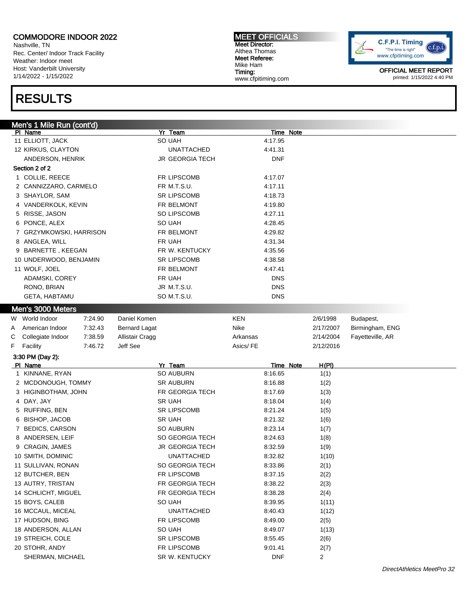Nashville, TN Rec. Center/ Indoor Track Facility Weather: Indoor meet Host: Vanderbilt University 1/14/2022 - 1/15/2022

### RESULTS

### Men's 1 Mile Run (cont'd)

|   | $m$ ens i mile Kuli (COIII (I)<br>PI Name |         |                        | Yr Team                |            | <b>Time Note</b> |              |                  |
|---|-------------------------------------------|---------|------------------------|------------------------|------------|------------------|--------------|------------------|
|   | 11 ELLIOTT, JACK                          |         |                        | SO UAH                 | 4:17.95    |                  |              |                  |
|   | 12 KIRKUS, CLAYTON                        |         |                        | <b>UNATTACHED</b>      | 4:41.31    |                  |              |                  |
|   | ANDERSON, HENRIK                          |         |                        | <b>JR GEORGIA TECH</b> | DNF        |                  |              |                  |
|   | Section 2 of 2                            |         |                        |                        |            |                  |              |                  |
|   | 1 COLLIE, REECE                           |         |                        | FR LIPSCOMB            | 4:17.07    |                  |              |                  |
|   | 2 CANNIZZARO, CARMELO                     |         |                        | FR M.T.S.U.            | 4:17.11    |                  |              |                  |
|   | 3 SHAYLOR, SAM                            |         |                        | <b>SR LIPSCOMB</b>     | 4:18.73    |                  |              |                  |
|   | 4 VANDERKOLK, KEVIN                       |         |                        | FR BELMONT             | 4:19.80    |                  |              |                  |
|   | 5 RISSE, JASON                            |         |                        | SO LIPSCOMB            | 4:27.11    |                  |              |                  |
|   | 6 PONCE, ALEX                             |         |                        | SO UAH                 | 4:28.45    |                  |              |                  |
|   | 7 GRZYMKOWSKI, HARRISON                   |         |                        | FR BELMONT             | 4:29.82    |                  |              |                  |
|   | 8 ANGLEA, WILL                            |         |                        | FR UAH                 | 4:31.34    |                  |              |                  |
|   | 9 BARNETTE, KEEGAN                        |         |                        | FR W. KENTUCKY         | 4:35.56    |                  |              |                  |
|   | 10 UNDERWOOD, BENJAMIN                    |         |                        | <b>SR LIPSCOMB</b>     | 4:38.58    |                  |              |                  |
|   | 11 WOLF, JOEL                             |         |                        | FR BELMONT             | 4:47.41    |                  |              |                  |
|   | ADAMSKI, COREY                            |         |                        | FR UAH                 | <b>DNS</b> |                  |              |                  |
|   |                                           |         |                        | JR M.T.S.U.            | <b>DNS</b> |                  |              |                  |
|   | RONO, BRIAN                               |         |                        | SO M.T.S.U.            | <b>DNS</b> |                  |              |                  |
|   | <b>GETA, HABTAMU</b>                      |         |                        |                        |            |                  |              |                  |
|   | Men's 3000 Meters                         |         |                        |                        |            |                  |              |                  |
|   | W World Indoor                            | 7:24.90 | Daniel Komen           |                        | <b>KEN</b> |                  | 2/6/1998     | Budapest,        |
| Α | American Indoor                           | 7:32.43 | <b>Bernard Lagat</b>   |                        | Nike       |                  | 2/17/2007    | Birmingham, ENG  |
| С | Collegiate Indoor                         | 7:38.59 | <b>Allistair Cragg</b> |                        | Arkansas   |                  | 2/14/2004    | Fayetteville, AR |
| F | Facility                                  | 7:46.72 | Jeff See               |                        | Asics/FE   |                  | 2/12/2016    |                  |
|   | 3:30 PM (Day 2):                          |         |                        |                        |            |                  |              |                  |
|   | PI Name                                   |         |                        | Yr Team                |            | Time Note        | <u>H(PI)</u> |                  |
|   | 1 KINNANE, RYAN                           |         |                        | SO AUBURN              | 8:16.65    |                  | 1(1)         |                  |
|   | 2 MCDONOUGH, TOMMY                        |         |                        | <b>SR AUBURN</b>       | 8:16.88    |                  | 1(2)         |                  |
|   | 3 HIGINBOTHAM, JOHN                       |         |                        | FR GEORGIA TECH        | 8:17.69    |                  | 1(3)         |                  |
|   | 4 DAY, JAY                                |         |                        | <b>SR UAH</b>          | 8:18.04    |                  | 1(4)         |                  |
|   | 5 RUFFING, BEN                            |         |                        | <b>SR LIPSCOMB</b>     | 8:21.24    |                  | 1(5)         |                  |
|   | 6 BISHOP, JACOB                           |         |                        | <b>SR UAH</b>          | 8:21.32    |                  | 1(6)         |                  |
|   | 7 BEDICS, CARSON                          |         |                        | <b>SO AUBURN</b>       | 8:23.14    |                  | 1(7)         |                  |
|   | 8 ANDERSEN, LEIF                          |         |                        | <b>SO GEORGIA TECH</b> | 8:24.63    |                  | 1(8)         |                  |
|   | 9 CRAGIN, JAMES                           |         |                        | JR GEORGIA TECH        | 8:32.59    |                  | 1(9)         |                  |
|   | 10 SMITH, DOMINIC                         |         |                        | <b>UNATTACHED</b>      | 8:32.82    |                  | 1(10)        |                  |
|   | 11 SULLIVAN, RONAN                        |         |                        | <b>SO GEORGIA TECH</b> | 8:33.86    |                  | 2(1)         |                  |
|   | 12 BUTCHER, BEN                           |         |                        | FR LIPSCOMB            | 8:37.15    |                  | 2(2)         |                  |
|   | 13 AUTRY, TRISTAN                         |         |                        | FR GEORGIA TECH        | 8:38.22    |                  | 2(3)         |                  |
|   | 14 SCHLICHT, MIGUEL                       |         |                        | FR GEORGIA TECH        | 8:38.28    |                  | 2(4)         |                  |
|   | 15 BOYS, CALEB                            |         |                        | SO UAH                 | 8:39.95    |                  | 1(11)        |                  |
|   |                                           |         |                        |                        |            |                  |              |                  |
|   | 16 MCCAUL, MICEAL                         |         |                        | UNATTACHED             | 8:40.43    |                  | 1(12)        |                  |
|   | 17 HUDSON, BING                           |         |                        | FR LIPSCOMB            | 8:49.00    |                  | 2(5)         |                  |
|   | 18 ANDERSON, ALLAN                        |         |                        | SO UAH                 | 8:49.07    |                  | 1(13)        |                  |
|   | 19 STREICH, COLE                          |         |                        | <b>SR LIPSCOMB</b>     | 8:55.45    |                  | 2(6)         |                  |
|   | 20 STOHR, ANDY                            |         |                        | FR LIPSCOMB            | 9:01.41    |                  | 2(7)         |                  |

C.F.P.I. Timing  $(c.f.p.i.$ "The time is right" www.cfpitiming.com

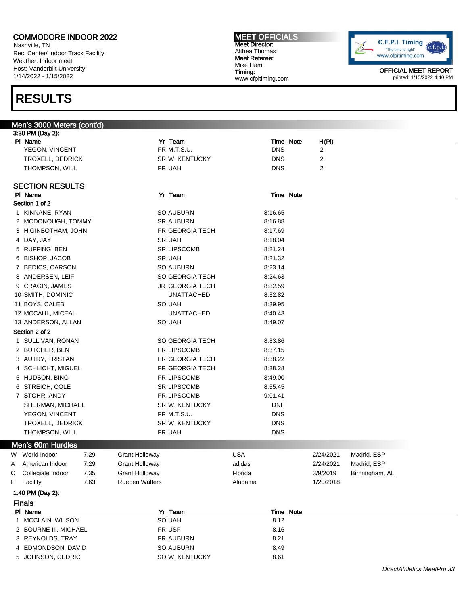Nashville, TN Rec. Center/ Indoor Track Facility Weather: Indoor meet Host: Vanderbilt University 1/14/2022 - 1/15/2022

### RESULTS

#### Men's 3000 Meters (cont'd) 3:30 PM (Day 2): Pl Name Yr Team Time Note H(Pl) YEGON, VINCENT FR M.T.S.U. CONSIDER A POSSESSING A POSSESSING A POSSESSING A POSSESSING A POSSESSING A POSSESSING A POSSESSING A POSSESSING A POSSESSING A POSSESSING A POSSESSING A POSSESSING A POSSESSING A POSSESSING A PO TROXELL, DEDRICK SR W. KENTUCKY DNS 2 THOMPSON, WILL **EXECUTE THE UAH DISCUSSION CONSCIOUS ASSESS** SECTION RESULTS PI Name **Note 2008** Yr Team **Time Note** 2014 Section 1 of 2 1 KINNANE, RYAN SO AUBURN 8:16.65 2 MCDONOUGH, TOMMY SR AUBURN 8:16.88 3 HIGINBOTHAM, JOHN FR GEORGIA TECH 8:17.69 4 DAY, JAY 8:18.04 5 RUFFING, BEN SR LIPSCOMB 8:21.24 6 BISHOP, JACOB SR UAH 8:21.32 7 BEDICS, CARSON SO AUBURN 8:23.14 8 ANDERSEN, LEIF SO GEORGIA TECH 8:24.63 9 CRAGIN, JAMES **JR GEORGIA TECH** 8:32.59 10 SMITH, DOMINIC **10 SMITH, DOMINIC 10 SMITH**, DOMINIC 11 BOYS, CALEB SO UAH 8:39.95 12 MCCAUL, MICEAL UNATTACHED 8:40.43 13 ANDERSON, ALLAN SO UAH SO UAH 8:49.07 Section 2 of 2 1 SULLIVAN, RONAN SO GEORGIA TECH 8:33.86 2 BUTCHER, BEN FR LIPSCOMB 8:37.15 3 AUTRY, TRISTAN FR GEORGIA TECH 8:38.22 4 SCHLICHT, MIGUEL **FR GEORGIA TECH** 8:38.28 5 HUDSON, BING **FR LIPSCOMB** 8:49.00 6 STREICH, COLE SR LIPSCOMB 8:55.45 7 STOHR, ANDY **FRILIPSCOMB** 9:01.41 SHERMAN, MICHAEL SR W. KENTUCKY DNF YEGON, VINCENT DISCRIPTION OF R. M.T.S.U. THE POST OF DUST TROXELL, DEDRICK GRAM BR W. KENTUCKY DISSON DISSONS THOMPSON, WILL **EXECUTE 12 INCREASE AND THE UAH** DIS Men's 60m Hurdles W World Indoor **7.29** Grant Holloway **CONSC 100 USA** 2/24/2021 Madrid, ESP A American Indoor 7.29 Grant Holloway and adidas and the 2/24/2021 Madrid, ESP C Collegiate Indoor 7.35 Grant Holloway **Florida** Florida 3/9/2019 Birmingham, AL F Facility 7.63 Rueben Walters **Alabama** 1/20/2018 1:40 PM (Day 2): Finals Pl Name Time Note 2014 and 2015 and 2016 and 2017 and 2017 and 2017 and 2017 and 2017 and 2017 and 2017 and 201 1 MCCLAIN, WILSON SO UAH SO UAH 8.12 2 BOURNE III, MICHAEL **FR USF 8.16** 3 REYNOLDS, TRAY FR AUBURN 8.21 4 EDMONDSON, DAVID SO AUBURN 8.49



MEET OFFICIALS Meet Director: Althea Thomas Meet Referee: Mike Ham Timing: www.cfpitiming.com

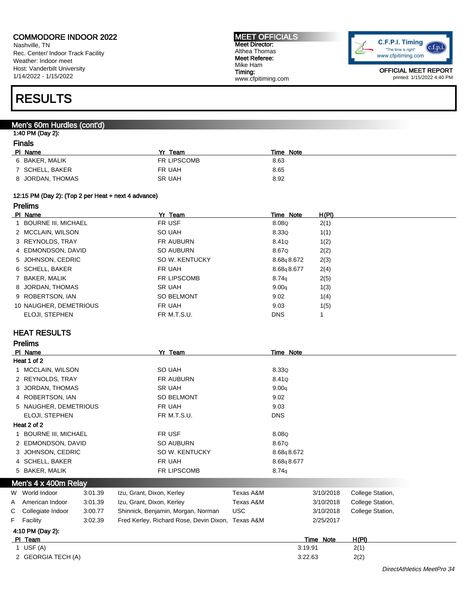Nashville, TN Rec. Center/ Indoor Track Facility Weather: Indoor meet Host: Vanderbilt University 1/14/2022 - 1/15/2022

#### MEET OFFICIALS Meet Director: Althea Thomas Meet Referee: Mike Ham Timing: www.cfpitiming.com



OFFICIAL MEET REPORT printed: 1/15/2022 4:40 PM

### RESULTS

#### Men's 60m Hurdles (cont'd)

#### 1:40 PM (Day 2): Finals

| PI Name          | Team<br>v.  | Note<br>Time |
|------------------|-------------|--------------|
| 6 BAKER, MALIK   | FR LIPSCOMB | 8.63         |
| 7 SCHELL, BAKER  | FR UAH      | 8.65         |
| 8 JORDAN, THOMAS | SR UAH      | 8.92         |

#### 12:15 PM (Day 2): (Top 2 per Heat + next 4 advance)

#### Prelims

| Yr Team                                                                                                                                                                                                                          | Time Note                                                                                                                                            | H(PI) |
|----------------------------------------------------------------------------------------------------------------------------------------------------------------------------------------------------------------------------------|------------------------------------------------------------------------------------------------------------------------------------------------------|-------|
|                                                                                                                                                                                                                                  | 8.08Q                                                                                                                                                | 2(1)  |
|                                                                                                                                                                                                                                  | 8.33Q                                                                                                                                                | 1(1)  |
|                                                                                                                                                                                                                                  | 8.41Q                                                                                                                                                | 1(2)  |
|                                                                                                                                                                                                                                  | 8.670                                                                                                                                                | 2(2)  |
|                                                                                                                                                                                                                                  | 8.68g 8.672                                                                                                                                          | 2(3)  |
|                                                                                                                                                                                                                                  | 8.68g 8.677                                                                                                                                          | 2(4)  |
|                                                                                                                                                                                                                                  | 8.74q                                                                                                                                                | 2(5)  |
|                                                                                                                                                                                                                                  | 9.00q                                                                                                                                                | 1(3)  |
|                                                                                                                                                                                                                                  | 9.02                                                                                                                                                 | 1(4)  |
|                                                                                                                                                                                                                                  | 9.03                                                                                                                                                 | 1(5)  |
|                                                                                                                                                                                                                                  | <b>DNS</b>                                                                                                                                           |       |
| BOURNE III, MICHAEL<br>2 MCCLAIN, WILSON<br>3 REYNOLDS, TRAY<br>4 EDMONDSON, DAVID<br>5 JOHNSON, CEDRIC<br>6 SCHELL, BAKER<br>7 BAKER, MALIK<br>8 JORDAN, THOMAS<br>9 ROBERTSON, IAN<br>10 NAUGHER, DEMETRIOUS<br>ELOJI, STEPHEN | FR USF<br>SO UAH<br>FR AUBURN<br>SO AUBURN<br>SO W. KENTUCKY<br>FR UAH<br><b>FR LIPSCOMB</b><br>SR UAH<br><b>SO BELMONT</b><br>FR UAH<br>FR M.T.S.U. |       |

#### HEAT RESULTS

#### Prelims

|   | PI Name               |         | Yr Team                                           |            | Time Note   |             |                  |  |  |  |
|---|-----------------------|---------|---------------------------------------------------|------------|-------------|-------------|------------------|--|--|--|
|   | Heat 1 of 2           |         |                                                   |            |             |             |                  |  |  |  |
|   | 1 MCCLAIN, WILSON     |         | SO UAH                                            |            | 8.33Q       |             |                  |  |  |  |
|   | 2 REYNOLDS, TRAY      |         | <b>FR AUBURN</b>                                  |            | 8.41Q       |             |                  |  |  |  |
|   | 3 JORDAN, THOMAS      |         | SR UAH                                            |            | 9.00q       |             |                  |  |  |  |
|   | 4 ROBERTSON, IAN      |         | <b>SO BELMONT</b>                                 |            | 9.02        |             |                  |  |  |  |
|   | 5 NAUGHER, DEMETRIOUS |         | FR UAH                                            |            | 9.03        |             |                  |  |  |  |
|   | ELOJI, STEPHEN        |         | FR M.T.S.U.                                       |            | <b>DNS</b>  |             |                  |  |  |  |
|   | Heat 2 of 2           |         |                                                   |            |             |             |                  |  |  |  |
|   | 1 BOURNE III, MICHAEL |         | FR USF                                            |            | 8.08Q       |             |                  |  |  |  |
|   | 2 EDMONDSON, DAVID    |         | <b>SO AUBURN</b>                                  |            |             | 8.67Q       |                  |  |  |  |
|   | 3 JOHNSON, CEDRIC     |         | SO W. KENTUCKY                                    |            |             | 8.68q 8.672 |                  |  |  |  |
|   | 4 SCHELL, BAKER       |         | FR UAH                                            |            | 8.68q 8.677 |             |                  |  |  |  |
|   | 5 BAKER, MALIK        |         | FR LIPSCOMB                                       |            | 8.74q       |             |                  |  |  |  |
|   | Men's 4 x 400m Relay  |         |                                                   |            |             |             |                  |  |  |  |
| W | World Indoor          | 3:01.39 | Izu, Grant, Dixon, Kerley                         | Texas A&M  |             | 3/10/2018   | College Station, |  |  |  |
| A | American Indoor       | 3:01.39 | Izu, Grant, Dixon, Kerley                         | Texas A&M  |             | 3/10/2018   | College Station, |  |  |  |
| C | Collegiate Indoor     | 3:00.77 | Shinnick, Benjamin, Morgan, Norman                | <b>USC</b> |             | 3/10/2018   | College Station, |  |  |  |
|   | F Facility            | 3:02.39 | Fred Kerley, Richard Rose, Devin Dixon, Texas A&M |            |             | 2/25/2017   |                  |  |  |  |
|   | 4:10 PM (Day 2):      |         |                                                   |            |             |             |                  |  |  |  |
|   | PI Team               |         |                                                   |            |             | Time Note   | H(PI)            |  |  |  |
|   | 1 USF $(A)$           |         |                                                   |            | 3:19.91     |             | 2(1)             |  |  |  |
|   | 2 GEORGIA TECH (A)    |         |                                                   |            | 3:22.63     |             | 2(2)             |  |  |  |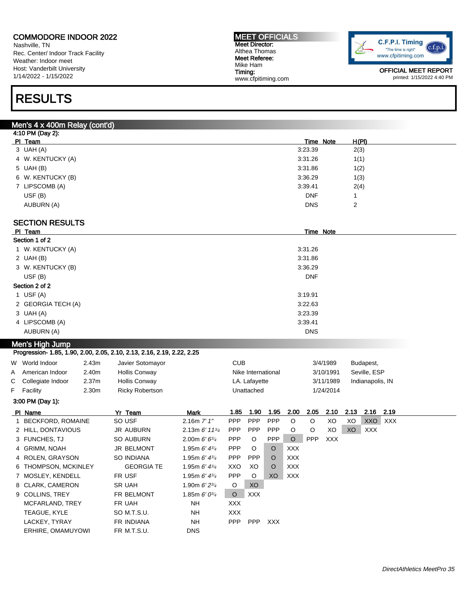Nashville, TN Rec. Center/ Indoor Track Facility Weather: Indoor meet Host: Vanderbilt University 1/14/2022 - 1/15/2022

### RESULTS

#### Men's 4 x 400m Relay (cont'd) 4:10 PM (Day 2):

| $+1.10$ F M (Day 2). |            |                    |
|----------------------|------------|--------------------|
| PI Team              |            | H(PI)<br>Time Note |
| $3$ UAH (A)          | 3:23.39    | 2(3)               |
| 4 W. KENTUCKY (A)    | 3:31.26    | 1(1)               |
| 5 UAH (B)            | 3:31.86    | 1(2)               |
| 6 W. KENTUCKY (B)    | 3:36.29    | 1(3)               |
| 7 LIPSCOMB (A)       | 3:39.41    | 2(4)               |
| USF(B)               | <b>DNF</b> |                    |
| AUBURN (A)           | <b>DNS</b> | 2                  |
|                      |            |                    |

#### SECTION RESULTS

| PI Team            | Time Note  |  |
|--------------------|------------|--|
| Section 1 of 2     |            |  |
| 1 W. KENTUCKY (A)  | 3:31.26    |  |
| 2 $UAH(B)$         | 3:31.86    |  |
| 3 W. KENTUCKY (B)  | 3:36.29    |  |
| USF (B)            | <b>DNF</b> |  |
| Section 2 of 2     |            |  |
| 1 USF $(A)$        | 3:19.91    |  |
| 2 GEORGIA TECH (A) | 3:22.63    |  |
| 3 UAH (A)          | 3:23.39    |  |
| 4 LIPSCOMB (A)     | 3:39.41    |  |
| AUBURN (A)         | <b>DNS</b> |  |

#### Men's High Jump

#### Progression- 1.85, 1.90, 2.00, 2.05, 2.10, 2.13, 2.16, 2.19, 2.22, 2.25

| W World Indoor      | 2.43 <sub>m</sub> | Javier Sotomayor       | CUB                | 3/4/1989  | Budapest,        |  |  |  |  |  |
|---------------------|-------------------|------------------------|--------------------|-----------|------------------|--|--|--|--|--|
| A American Indoor   | 2.40m             | <b>Hollis Conway</b>   | Nike International | 3/10/1991 | Seville, ESP     |  |  |  |  |  |
| C Collegiate Indoor | 2.37 <sub>m</sub> | <b>Hollis Conway</b>   | LA. Lafayette      | 3/11/1989 | Indianapolis, IN |  |  |  |  |  |
| F Facility          | 2.30 <sub>m</sub> | <b>Ricky Robertson</b> | Unattached         | 1/24/2014 |                  |  |  |  |  |  |
| 3:00 PM (Day 1):    |                   |                        |                    |           |                  |  |  |  |  |  |

Pl Name Yr Team Mark 1.85 1.90 1.95 2.00 2.05 2.10 2.13 2.16 2.19 1 BECKFORD, ROMAINE SO USF 2.16m 7' 1" PPP PPP PPP O O XO XO XXO XXX 2 HILL, DONTAVIOUS JR AUBURN 2.13m 6' 1134 PPP PPP PPP O O XO XO XXX 3 FUNCHES, TJ SO AUBURN 2.00m 6' 63/<sup>4</sup> PPP O PPP O PPP XXX 4 GRIMM, NOAH JR BELMONT 1.95m 6' 43/<sup>4</sup> PPP O O XXX 4 ROLEN, GRAYSON SO INDIANA 1.95m 6' 434 PPP PPP O XXX 6 THOMPSON, MCKINLEY GEORGIA TE  $1.95$ m 6' 434 XXO XO O XXX 7 MOSLEY, KENDELL FR USF 1.95m 6' 434 PPP O XO XXX 8 CLARK, CAMERON SR UAH 1.90m 6' 23/4 O XO 9 COLLINS, TREY FR BELMONT  $1.85$ m 6' 034 O XXX MCFARLAND, TREY FR UAH NH XXX TEAGUE, KYLE SO M.T.S.U. NH XXX LACKEY, TYRAY FRINDIANA NH PPP PPP XXX ERHIRE, OMAMUYOWI FR M.T.S.U. DNS

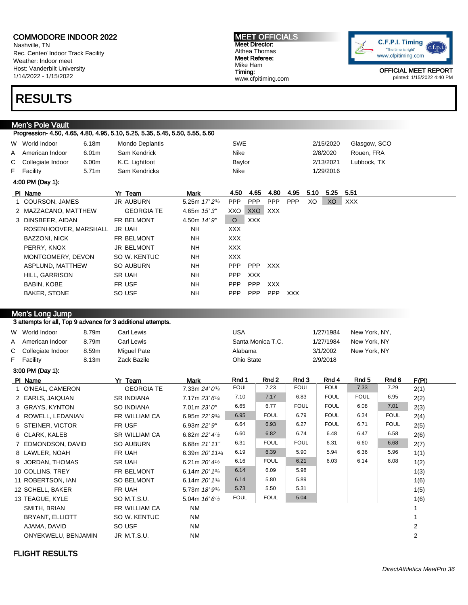Nashville, TN Rec. Center/ Indoor Track Facility Weather: Indoor meet Host: Vanderbilt University 1/14/2022 - 1/15/2022

### RESULTS

### Men's Pole Vault

Progression- 4.50, 4.65, 4.80, 4.95, 5.10, 5.25, 5.35, 5.45, 5.50, 5.55, 5.60

|   | W World Indoor        | 6.18m             | Mondo Deplantis   |                | <b>SWE</b> |            |            |            |          | 2/15/2020  | Glasgow, SCO |  |
|---|-----------------------|-------------------|-------------------|----------------|------------|------------|------------|------------|----------|------------|--------------|--|
| A | American Indoor       | 6.01 <sub>m</sub> | Sam Kendrick      | Nike           |            |            |            |            | 2/8/2020 | Rouen, FRA |              |  |
|   | C Collegiate Indoor   | 6.00m             | K.C. Lightfoot    |                | Baylor     |            |            |            |          | 2/13/2021  | Lubbock, TX  |  |
|   | F Facility            | 5.71m             | Sam Kendricks     |                | Nike       |            |            |            |          | 1/29/2016  |              |  |
|   | 4:00 PM (Day 1):      |                   |                   |                |            |            |            |            |          |            |              |  |
|   | PI Name               |                   | Yr Team           | Mark           | 4.50       | 4.65       | 4.80       | 4.95       | 5.10     | 5.25       | 5.51         |  |
|   | 1 COURSON, JAMES      |                   | <b>JR AUBURN</b>  | 5.25m 17' 23/4 | <b>PPP</b> | <b>PPP</b> | <b>PPP</b> | <b>PPP</b> | XO       | XO.        | XXX          |  |
|   | 2 MAZZACANO, MATTHEW  |                   | <b>GEORGIA TE</b> | 4.65m $15'3''$ | XXO        | XXO        | XXX        |            |          |            |              |  |
|   | 3 DINSBEER, AIDAN     |                   | FR BELMONT        | 4.50m 14' 9"   | $\circ$    | XXX        |            |            |          |            |              |  |
|   | ROSENHOOVER, MARSHALL |                   | JR UAH            | <b>NH</b>      | XXX        |            |            |            |          |            |              |  |
|   | <b>BAZZONI, NICK</b>  |                   | FR BELMONT        | NH.            | XXX.       |            |            |            |          |            |              |  |
|   | PERRY, KNOX           |                   | <b>JR BELMONT</b> | NH.            | XXX        |            |            |            |          |            |              |  |
|   | MONTGOMERY, DEVON     |                   | SO W. KENTUC      | NH             | XXX        |            |            |            |          |            |              |  |
|   | ASPLUND, MATTHEW      |                   | <b>SO AUBURN</b>  | NH             | <b>PPP</b> | <b>PPP</b> | XXX        |            |          |            |              |  |
|   | HILL, GARRISON        |                   | <b>SR UAH</b>     | NH.            | <b>PPP</b> | <b>XXX</b> |            |            |          |            |              |  |
|   | BABIN, KOBE           |                   | FR USF            | <b>NH</b>      | <b>PPP</b> | <b>PPP</b> | <b>XXX</b> |            |          |            |              |  |
|   | <b>BAKER, STONE</b>   |                   | SO USF            | NH             | <b>PPP</b> | <b>PPP</b> | <b>PPP</b> | XXX        |          |            |              |  |
|   |                       |                   |                   |                |            |            |            |            |          |            |              |  |

#### Men's Long Jump

|    | <b>MELLS LONG JUILD</b> |       |                                                              |                                           |                     |                   |             |              |              |               |                |
|----|-------------------------|-------|--------------------------------------------------------------|-------------------------------------------|---------------------|-------------------|-------------|--------------|--------------|---------------|----------------|
|    |                         |       | 3 attempts for all, Top 9 advance for 3 additional attempts. |                                           |                     |                   |             |              |              |               |                |
|    | W World Indoor          | 8.79m | <b>Carl Lewis</b>                                            |                                           | <b>USA</b>          |                   |             | 1/27/1984    |              | New York, NY. |                |
| A  | American Indoor         | 8.79m | <b>Carl Lewis</b>                                            |                                           |                     | Santa Monica T.C. | 1/27/1984   |              | New York, NY |               |                |
| С  | Collegiate Indoor       | 8.59m | Miguel Pate                                                  |                                           | Alabama<br>3/1/2002 |                   |             | New York, NY |              |               |                |
| F. | Facility                | 8.13m | Zack Bazile                                                  |                                           | <b>Ohio State</b>   |                   |             | 2/9/2018     |              |               |                |
|    | 3:00 PM (Day 1):        |       |                                                              |                                           |                     |                   |             |              |              |               |                |
|    | PI Name                 |       | Yr Team                                                      | <b>Mark</b>                               | Rnd 1               | Rnd 2             | Rnd 3       | Rnd 4        | Rnd 5        | Rnd 6         | F(PI)          |
|    | 1 O'NEAL, CAMERON       |       | <b>GEORGIA TE</b>                                            | 7.33m 24' 03/4                            | <b>FOUL</b>         | 7.23              | <b>FOUL</b> | <b>FOUL</b>  | 7.33         | 7.29          | 2(1)           |
|    | 2 EARLS, JAIQUAN        |       | <b>SR INDIANA</b>                                            | 7.17m 23' 61/4                            | 7.10                | 7.17              | 6.83        | <b>FOUL</b>  | <b>FOUL</b>  | 6.95          | 2(2)           |
|    | 3 GRAYS, KYNTON         |       | <b>SO INDIANA</b>                                            | 7.01m 23'0''                              | 6.65                | 6.77              | <b>FOUL</b> | <b>FOUL</b>  | 6.08         | 7.01          | 2(3)           |
|    | 4 ROWELL, LEDANIAN      |       | FR WILLIAM CA                                                | 6.95m 22' 93/4                            | 6.95                | <b>FOUL</b>       | 6.79        | <b>FOUL</b>  | 6.34         | <b>FOUL</b>   | 2(4)           |
|    | 5 STEINER, VICTOR       |       | FR USF                                                       | 6.93m $22'9''$                            | 6.64                | 6.93              | 6.27        | <b>FOUL</b>  | 6.71         | <b>FOUL</b>   | 2(5)           |
|    | 6 CLARK, KALEB          |       | <b>SR WILLIAM CA</b>                                         | 6.82m $22'$ 4 $\frac{1}{2}$               | 6.60                | 6.82              | 6.74        | 6.48         | 6.47         | 6.58          | 2(6)           |
|    | 7 EDMONDSON, DAVID      |       | <b>SO AUBURN</b>                                             | 6.68m 21' 11"                             | 6.31                | <b>FOUL</b>       | <b>FOUL</b> | 6.31         | 6.60         | 6.68          | 2(7)           |
|    | 8 LAWLER, NOAH          |       | FR UAH                                                       | 6.39m 20' 11 <sup>3/4</sup>               | 6.19                | 6.39              | 5.90        | 5.94         | 6.36         | 5.96          | 1(1)           |
|    | 9 JORDAN, THOMAS        |       | <b>SR UAH</b>                                                | 6.21m $20'$ 4 <sup>1</sup> / <sub>2</sub> | 6.16                | <b>FOUL</b>       | 6.21        | 6.03         | 6.14         | 6.08          | 1(2)           |
|    | 10 COLLINS, TREY        |       | FR BELMONT                                                   | 6.14m 20' 13/4                            | 6.14                | 6.09              | 5.98        |              |              |               | 1(3)           |
|    | 11 ROBERTSON, IAN       |       | <b>SO BELMONT</b>                                            | 6.14m $20'$ 1 $\frac{3}{4}$               | 6.14                | 5.80              | 5.89        |              |              |               | 1(6)           |
|    | 12 SCHELL, BAKER        |       | FR UAH                                                       | 5.73m 18' 93/4                            | 5.73                | 5.50              | 5.31        |              |              |               | 1(5)           |
|    | 13 TEAGUE, KYLE         |       | SO M.T.S.U.                                                  | 5.04m 16' 6 <sup>1</sup> / <sub>2</sub>   | <b>FOUL</b>         | <b>FOUL</b>       | 5.04        |              |              |               | 1(6)           |
|    | SMITH, BRIAN            |       | FR WILLIAM CA                                                | <b>NM</b>                                 |                     |                   |             |              |              |               |                |
|    | BRYANT, ELLIOTT         |       | SO W. KENTUC                                                 | <b>NM</b>                                 |                     |                   |             |              |              |               | 1              |
|    | AJAMA, DAVID            |       | SO USF                                                       | <b>NM</b>                                 |                     |                   |             |              |              |               | 2              |
|    | ONYEKWELU, BENJAMIN     |       | JR M.T.S.U.                                                  | <b>NM</b>                                 |                     |                   |             |              |              |               | $\overline{2}$ |



OFFICIAL MEET REPORT printed: 1/15/2022 4:40 PM

MEET OFFICIALS Meet Director: Althea Thomas Meet Referee: Mike Ham Timing: www.cfpitiming.com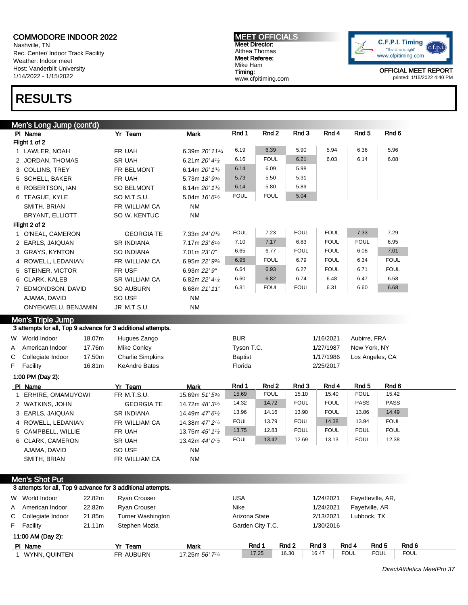Nashville, TN Rec. Center/ Indoor Track Facility Weather: Indoor meet Host: Vanderbilt University 1/14/2022 - 1/15/2022

## RESULTS

MEET OFFICIALS Meet Director: Althea Thomas Meet Referee: Mike Ham Timing: www.cfpitiming.com



|   | Men's Long Jump (cont'd)          |        |                                                              |                                         |                  |                      |                      |                        |                                 |                   |                  |
|---|-----------------------------------|--------|--------------------------------------------------------------|-----------------------------------------|------------------|----------------------|----------------------|------------------------|---------------------------------|-------------------|------------------|
|   | PI Name                           |        | Yr Team                                                      | <b>Mark</b>                             | Rnd 1            | Rnd 2                | Rnd 3                | Rnd 4                  | Rnd 5                           | Rnd 6             |                  |
|   | Flight 1 of 2                     |        |                                                              |                                         |                  |                      |                      |                        |                                 |                   |                  |
|   | 1 LAWLER, NOAH                    |        | FR UAH                                                       | 6.39m 20' 113/4                         | 6.19             | 6.39                 | 5.90                 | 5.94                   | 6.36                            | 5.96              |                  |
|   | 2 JORDAN, THOMAS                  |        | <b>SR UAH</b>                                                | 6.21m 20' 41/2                          | 6.16             | <b>FOUL</b>          | 6.21                 | 6.03                   | 6.14                            | 6.08              |                  |
|   | 3 COLLINS, TREY                   |        | FR BELMONT                                                   | 6.14m 20' 13/4                          | 6.14             | 6.09                 | 5.98                 |                        |                                 |                   |                  |
|   | 5 SCHELL, BAKER                   |        | FR UAH                                                       | 5.73m 18' 93/4                          | 5.73             | 5.50                 | 5.31                 |                        |                                 |                   |                  |
|   | 6 ROBERTSON, IAN                  |        | <b>SO BELMONT</b>                                            | 6.14m 20' 13/4                          | 6.14             | 5.80                 | 5.89                 |                        |                                 |                   |                  |
|   | 6 TEAGUE, KYLE                    |        | SO M.T.S.U.                                                  | 5.04m 16' 6 <sup>1</sup> / <sub>2</sub> | <b>FOUL</b>      | <b>FOUL</b>          | 5.04                 |                        |                                 |                   |                  |
|   | SMITH, BRIAN                      |        | FR WILLIAM CA                                                | <b>NM</b>                               |                  |                      |                      |                        |                                 |                   |                  |
|   | <b>BRYANT, ELLIOTT</b>            |        | SO W. KENTUC                                                 | <b>NM</b>                               |                  |                      |                      |                        |                                 |                   |                  |
|   | Flight 2 of 2                     |        |                                                              |                                         |                  |                      |                      |                        |                                 |                   |                  |
|   | 1 O'NEAL, CAMERON                 |        | <b>GEORGIA TE</b>                                            | 7.33m 24' 03/4                          | <b>FOUL</b>      | 7.23                 | <b>FOUL</b>          | <b>FOUL</b>            | 7.33                            | 7.29              |                  |
|   | 2 EARLS, JAIQUAN                  |        | <b>SR INDIANA</b>                                            | 7.17m 23' 61/4                          | 7.10             | 7.17                 | 6.83                 | <b>FOUL</b>            | <b>FOUL</b>                     | 6.95              |                  |
|   | 3 GRAYS, KYNTON                   |        | SO INDIANA                                                   | 7.01m 23' 0"                            | 6.65             | 6.77                 | <b>FOUL</b>          | <b>FOUL</b>            | 6.08                            | 7.01              |                  |
|   | 4 ROWELL, LEDANIAN                |        | FR WILLIAM CA                                                | 6.95m 22' 93/4                          | 6.95             | <b>FOUL</b>          | 6.79                 | <b>FOUL</b>            | 6.34                            | <b>FOUL</b>       |                  |
|   | 5 STEINER, VICTOR                 |        | FR USF                                                       | 6.93m 22' 9"                            | 6.64             | 6.93                 | 6.27                 | <b>FOUL</b>            | 6.71                            | <b>FOUL</b>       |                  |
|   | 6 CLARK, KALEB                    |        | <b>SR WILLIAM CA</b>                                         | 6.82m 22' 41/2                          | 6.60             | 6.82                 | 6.74                 | 6.48                   | 6.47                            | 6.58              |                  |
|   | 7 EDMONDSON, DAVID                |        | <b>SO AUBURN</b>                                             | 6.68m 21' 11"                           | 6.31             | <b>FOUL</b>          | <b>FOUL</b>          | 6.31                   | 6.60                            | 6.68              |                  |
|   | AJAMA, DAVID                      |        | SO USF                                                       | <b>NM</b>                               |                  |                      |                      |                        |                                 |                   |                  |
|   | ONYEKWELU, BENJAMIN               |        | JR M.T.S.U.                                                  | <b>NM</b>                               |                  |                      |                      |                        |                                 |                   |                  |
|   |                                   |        |                                                              |                                         |                  |                      |                      |                        |                                 |                   |                  |
|   | <b>Men's Triple Jump</b>          |        | 3 attempts for all, Top 9 advance for 3 additional attempts. |                                         |                  |                      |                      |                        |                                 |                   |                  |
|   |                                   | 18.07m |                                                              |                                         | <b>BUR</b>       |                      |                      |                        |                                 |                   |                  |
|   | W World Indoor<br>American Indoor | 17.76m | Hugues Zango<br><b>Mike Conley</b>                           |                                         | Tyson T.C.       |                      |                      | 1/16/2021<br>1/27/1987 | Aubirre, FRA<br>New York, NY    |                   |                  |
| Α |                                   |        |                                                              |                                         |                  |                      |                      |                        |                                 |                   |                  |
| С | Collegiate Indoor                 | 17.50m | <b>Charlie Simpkins</b>                                      |                                         | <b>Baptist</b>   |                      |                      | 1/17/1986              |                                 | Los Angeles, CA   |                  |
| F | Facility                          | 16.81m | <b>KeAndre Bates</b>                                         |                                         | Florida          |                      |                      | 2/25/2017              |                                 |                   |                  |
|   | 1:00 PM (Day 2):                  |        |                                                              |                                         |                  |                      |                      |                        |                                 |                   |                  |
|   | PI Name                           |        | Yr Team                                                      | <b>Mark</b>                             | Rnd 1            | Rnd 2<br><b>FOUL</b> | Rnd 3                | Rnd 4                  | Rnd <sub>5</sub><br><b>FOUL</b> | Rnd 6<br>15.42    |                  |
|   | 1 ERHIRE, OMAMUYOWI               |        | FR M.T.S.U.                                                  | 15.69m 51' 53/4                         | 15.69            |                      | 15.10<br><b>FOUL</b> | 15.40<br><b>FOUL</b>   | <b>PASS</b>                     | <b>PASS</b>       |                  |
|   | 2 WATKINS, JOHN                   |        | <b>GEORGIA TE</b>                                            | 14.72m 48' 3 <sup>1</sup> /2            | 14.32            | 14.72                |                      |                        |                                 |                   |                  |
|   | 3 EARLS, JAIQUAN                  |        | <b>SR INDIANA</b>                                            | 14.49m 47' 6 <sup>1</sup> /2            | 13.96            | 14.16                | 13.90                | <b>FOUL</b>            | 13.86                           | 14.49             |                  |
|   | 4 ROWELL, LEDANIAN                |        | FR WILLIAM CA                                                | 14.38m 47' 2 <sup>1/4</sup>             | <b>FOUL</b>      | 13.79                | <b>FOUL</b>          | 14.38                  | 13.94                           | <b>FOUL</b>       |                  |
|   | 5 CAMPBELL, WILLIE                |        | FR UAH                                                       | 13.75m 45' 11/2                         | 13.75            | 12.83                | <b>FOUL</b>          | <b>FOUL</b>            | <b>FOUL</b>                     | <b>FOUL</b>       |                  |
|   | 6 CLARK, CAMERON                  |        | <b>SR UAH</b>                                                | 13.42m 44' 0 <sup>1</sup> /2            | <b>FOUL</b>      | 13.42                | 12.69                | 13.13                  | <b>FOUL</b>                     | 12.38             |                  |
|   | AJAMA, DAVID                      |        | SO USF                                                       | <b>NM</b>                               |                  |                      |                      |                        |                                 |                   |                  |
|   | SMITH, BRIAN                      |        | FR WILLIAM CA                                                | <b>NM</b>                               |                  |                      |                      |                        |                                 |                   |                  |
|   |                                   |        |                                                              |                                         |                  |                      |                      |                        |                                 |                   |                  |
|   | Men's Shot Put                    |        |                                                              |                                         |                  |                      |                      |                        |                                 |                   |                  |
|   |                                   |        | 3 attempts for all, Top 9 advance for 3 additional attempts. |                                         |                  |                      |                      |                        |                                 |                   |                  |
|   | W World Indoor                    | 22.82m | Ryan Crouser                                                 |                                         | <b>USA</b>       |                      |                      | 1/24/2021              |                                 | Fayetteville, AR, |                  |
| A | American Indoor                   | 22.82m | Ryan Crouser                                                 |                                         | <b>Nike</b>      |                      |                      | 1/24/2021              | Fayetville, AR                  |                   |                  |
| С | Collegiate Indoor                 | 21.85m | Turner Washington                                            |                                         | Arizona State    |                      |                      | 2/13/2021              | Lubbock, TX                     |                   |                  |
| F | Facility                          | 21.11m | Stephen Mozia                                                |                                         | Garden City T.C. |                      |                      | 1/30/2016              |                                 |                   |                  |
|   | 11:00 AM (Day 2):                 |        |                                                              |                                         |                  |                      |                      |                        |                                 |                   |                  |
|   | PI Name                           |        | Yr Team                                                      | <b>Mark</b>                             |                  | Rnd 1                | Rnd 2                | Rnd 3                  | Rnd 4                           | Rnd <sub>5</sub>  | Rnd <sub>6</sub> |
|   | 1 WYNN, QUINTEN                   |        | FR AUBURN                                                    | 17.25m 56' 71/4                         |                  | 17.25                | 16.30                | 16.47                  | <b>FOUL</b>                     | <b>FOUL</b>       | <b>FOUL</b>      |